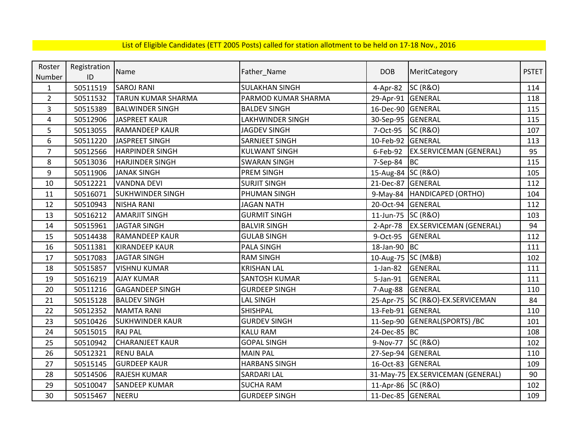| Roster         | Registration | Name                      |                       | <b>DOB</b>         |                                    | <b>PSTET</b> |
|----------------|--------------|---------------------------|-----------------------|--------------------|------------------------------------|--------------|
| Number         | ID           |                           | Father_Name           |                    | MeritCategory                      |              |
| $\mathbf{1}$   | 50511519     | <b>SAROJ RANI</b>         | <b>SULAKHAN SINGH</b> | 4-Apr-82           | <b>SC (R&amp;O)</b>                | 114          |
| $\overline{2}$ | 50511532     | <b>TARUN KUMAR SHARMA</b> | PARMOD KUMAR SHARMA   | 29-Apr-91 GENERAL  |                                    | 118          |
| 3              | 50515389     | <b>BALWINDER SINGH</b>    | <b>BALDEV SINGH</b>   | 16-Dec-90          | GENERAL                            | 115          |
| 4              | 50512906     | <b>JASPREET KAUR</b>      | LAKHWINDER SINGH      | 30-Sep-95 GENERAL  |                                    | 115          |
| 5              | 50513055     | <b>RAMANDEEP KAUR</b>     | <b>JAGDEV SINGH</b>   | 7-Oct-95           | <b>SC (R&amp;O)</b>                | 107          |
| 6              | 50511220     | JASPREET SINGH            | SARNJEET SINGH        | 10-Feb-92          | GENERAL                            | 113          |
| $\overline{7}$ | 50512566     | <b>HARPINDER SINGH</b>    | <b>KULWANT SINGH</b>  | 6-Feb-92           | <b>EX.SERVICEMAN (GENERAL)</b>     | 95           |
| 8              | 50513036     | <b>HARJINDER SINGH</b>    | <b>SWARAN SINGH</b>   | 7-Sep-84           | <b>BC</b>                          | 115          |
| 9              | 50511906     | <b>JANAK SINGH</b>        | <b>PREM SINGH</b>     | 15-Aug-84 SC (R&O) |                                    | 105          |
| 10             | 50512221     | <b>VANDNA DEVI</b>        | <b>SURJIT SINGH</b>   | 21-Dec-87          | GENERAL                            | 112          |
| 11             | 50516071     | <b>SUKHWINDER SINGH</b>   | PHUMAN SINGH          |                    | 9-May-84   HANDICAPED (ORTHO)      | 104          |
| 12             | 50510943     | <b>NISHA RANI</b>         | <b>JAGAN NATH</b>     | 20-Oct-94 GENERAL  |                                    | 112          |
| 13             | 50516212     | <b>AMARJIT SINGH</b>      | <b>GURMIT SINGH</b>   | 11-Jun-75          | <b>SC (R&amp;O)</b>                | 103          |
| 14             | 50515961     | <b>JAGTAR SINGH</b>       | <b>BALVIR SINGH</b>   | $2-Apr-78$         | <b>EX.SERVICEMAN (GENERAL)</b>     | 94           |
| 15             | 50514438     | <b>RAMANDEEP KAUR</b>     | <b>GULAB SINGH</b>    | 9-Oct-95           | <b>GENERAL</b>                     | 112          |
| 16             | 50511381     | <b>KIRANDEEP KAUR</b>     | <b>PALA SINGH</b>     | 18-Jan-90          | <b>BC</b>                          | 111          |
| 17             | 50517083     | <b>JAGTAR SINGH</b>       | <b>RAM SINGH</b>      | 10-Aug-75 SC (M&B) |                                    | 102          |
| 18             | 50515857     | <b>VISHNU KUMAR</b>       | <b>KRISHAN LAL</b>    | $1-Jan-82$         | <b>GENERAL</b>                     | 111          |
| 19             | 50516219     | <b>AJAY KUMAR</b>         | <b>SANTOSH KUMAR</b>  | 5-Jan-91           | <b>GENERAL</b>                     | 111          |
| 20             | 50511216     | <b>GAGANDEEP SINGH</b>    | <b>GURDEEP SINGH</b>  | 7-Aug-88           | <b>GENERAL</b>                     | 110          |
| 21             | 50515128     | <b>BALDEV SINGH</b>       | <b>LAL SINGH</b>      |                    | 25-Apr-75   SC (R&O)-EX.SERVICEMAN | 84           |
| 22             | 50512352     | <b>MAMTA RANI</b>         | SHISHPAL              | 13-Feb-91 GENERAL  |                                    | 110          |
| 23             | 50510426     | <b>SUKHWINDER KAUR</b>    | <b>GURDEV SINGH</b>   | 11-Sep-90          | GENERAL(SPORTS) /BC                | 101          |
| 24             | 50515015     | <b>RAJ PAL</b>            | <b>KALU RAM</b>       | 24-Dec-85 BC       |                                    | 108          |
| 25             | 50510942     | <b>CHARANJEET KAUR</b>    | <b>GOPAL SINGH</b>    | 9-Nov-77           | <b>SC (R&amp;O)</b>                | 102          |
| 26             | 50512321     | <b>RENU BALA</b>          | <b>MAIN PAL</b>       | 27-Sep-94 GENERAL  |                                    | 110          |
| 27             | 50515145     | <b>GURDEEP KAUR</b>       | <b>HARBANS SINGH</b>  | 16-Oct-83 GENERAL  |                                    | 109          |
| 28             | 50514506     | <b>RAJESH KUMAR</b>       | <b>SARDARI LAL</b>    |                    | 31-May-75 EX.SERVICEMAN (GENERAL)  | 90           |
| 29             | 50510047     | <b>SANDEEP KUMAR</b>      | <b>SUCHA RAM</b>      | 11-Apr-86 SC (R&O) |                                    | 102          |
| 30             | 50515467     | <b>NEERU</b>              | <b>GURDEEP SINGH</b>  | 11-Dec-85 GENERAL  |                                    | 109          |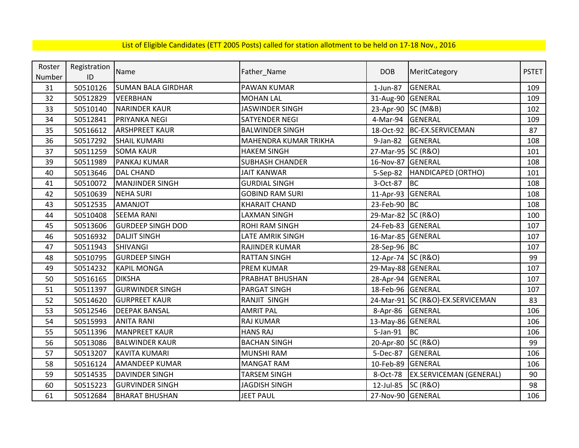| Roster | Registration | Name                      | Father_Name                  | <b>DOB</b>         | MeritCategory                    | <b>PSTET</b> |
|--------|--------------|---------------------------|------------------------------|--------------------|----------------------------------|--------------|
| Number | ID           |                           |                              |                    |                                  |              |
| 31     | 50510126     | <b>SUMAN BALA GIRDHAR</b> | <b>PAWAN KUMAR</b>           | 1-Jun-87           | GENERAL                          | 109          |
| 32     | 50512829     | <b>VEERBHAN</b>           | <b>MOHAN LAL</b>             | 31-Aug-90          | <b>GENERAL</b>                   | 109          |
| 33     | 50510140     | <b>NARINDER KAUR</b>      | <b>JASWINDER SINGH</b>       | 23-Apr-90 SC (M&B) |                                  | 102          |
| 34     | 50512841     | PRIYANKA NEGI             | <b>SATYENDER NEGI</b>        | 4-Mar-94           | GENERAL                          | 109          |
| 35     | 50516612     | <b>ARSHPREET KAUR</b>     | <b>BALWINDER SINGH</b>       |                    | 18-Oct-92 BC-EX.SERVICEMAN       | 87           |
| 36     | 50517292     | <b>SHAIL KUMARI</b>       | <b>MAHENDRA KUMAR TRIKHA</b> | 9-Jan-82           | GENERAL                          | 108          |
| 37     | 50511259     | <b>SOMA KAUR</b>          | <b>HAKEM SINGH</b>           | 27-Mar-95 SC (R&O) |                                  | 101          |
| 39     | 50511989     | PANKAJ KUMAR              | <b>SUBHASH CHANDER</b>       | 16-Nov-87          | <b>GENERAL</b>                   | 108          |
| 40     | 50513646     | <b>DAL CHAND</b>          | <b>JAIT KANWAR</b>           | 5-Sep-82           | HANDICAPED (ORTHO)               | 101          |
| 41     | 50510072     | <b>MANJINDER SINGH</b>    | <b>GURDIAL SINGH</b>         | 3-Oct-87           | <b>BC</b>                        | 108          |
| 42     | 50510639     | <b>NEHA SURI</b>          | <b>GOBIND RAM SURI</b>       | 11-Apr-93          | <b>GENERAL</b>                   | 108          |
| 43     | 50512535     | <b>TOLIANMA</b>           | <b>KHARAIT CHAND</b>         | 23-Feb-90          | <b>BC</b>                        | 108          |
| 44     | 50510408     | <b>SEEMA RANI</b>         | <b>LAXMAN SINGH</b>          | 29-Mar-82 SC (R&O) |                                  | 100          |
| 45     | 50513606     | <b>GURDEEP SINGH DOD</b>  | <b>ROHI RAM SINGH</b>        | 24-Feb-83 GENERAL  |                                  | 107          |
| 46     | 50516932     | <b>DALJIT SINGH</b>       | LATE AMRIK SINGH             | 16-Mar-85 GENERAL  |                                  | 107          |
| 47     | 50511943     | <b>SHIVANGI</b>           | RAJINDER KUMAR               | 28-Sep-96 BC       |                                  | 107          |
| 48     | 50510795     | <b>GURDEEP SINGH</b>      | <b>RATTAN SINGH</b>          | 12-Apr-74 SC (R&O) |                                  | 99           |
| 49     | 50514232     | <b>KAPIL MONGA</b>        | <b>PREM KUMAR</b>            | 29-May-88 GENERAL  |                                  | 107          |
| 50     | 50516165     | <b>DIKSHA</b>             | <b>PRABHAT BHUSHAN</b>       | 28-Apr-94 GENERAL  |                                  | 107          |
| 51     | 50511397     | <b>GURWINDER SINGH</b>    | <b>PARGAT SINGH</b>          | 18-Feb-96 GENERAL  |                                  | 107          |
| 52     | 50514620     | <b>GURPREET KAUR</b>      | RANJIT SINGH                 |                    | 24-Mar-91 SC (R&O)-EX.SERVICEMAN | 83           |
| 53     | 50512546     | <b>DEEPAK BANSAL</b>      | <b>AMRIT PAL</b>             | 8-Apr-86           | GENERAL                          | 106          |
| 54     | 50515993     | <b>ANITA RANI</b>         | <b>RAJ KUMAR</b>             | 13-May-86 GENERAL  |                                  | 106          |
| 55     | 50511396     | <b>MANPREET KAUR</b>      | <b>HANS RAJ</b>              | 5-Jan-91           | BC                               | 106          |
| 56     | 50513086     | <b>BALWINDER KAUR</b>     | <b>BACHAN SINGH</b>          | 20-Apr-80 SC (R&O) |                                  | 99           |
| 57     | 50513207     | <b>KAVITA KUMARI</b>      | <b>MUNSHI RAM</b>            | 5-Dec-87           | <b>GENERAL</b>                   | 106          |
| 58     | 50516124     | <b>AMANDEEP KUMAR</b>     | <b>MANGAT RAM</b>            | 10-Feb-89          | <b>GENERAL</b>                   | 106          |
| 59     | 50514535     | <b>DAVINDER SINGH</b>     | <b>TARSEM SINGH</b>          | 8-Oct-78           | <b>EX.SERVICEMAN (GENERAL)</b>   | 90           |
| 60     | 50515223     | <b>GURVINDER SINGH</b>    | <b>JAGDISH SINGH</b>         | 12-Jul-85          | <b>SC (R&amp;O)</b>              | 98           |
| 61     | 50512684     | <b>BHARAT BHUSHAN</b>     | <b>JEET PAUL</b>             | 27-Nov-90 GENERAL  |                                  | 106          |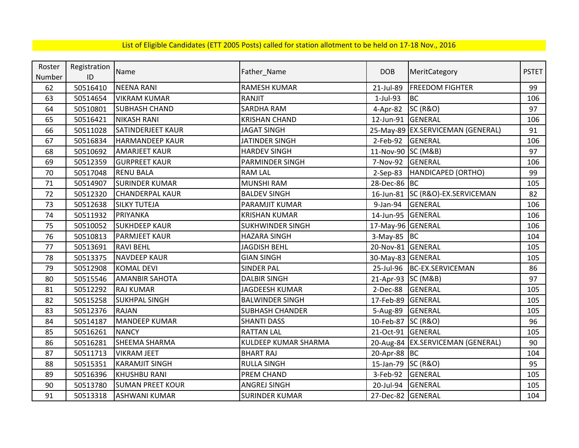| Roster | Registration | Name                    |                         | <b>DOB</b>         |                                     | <b>PSTET</b> |
|--------|--------------|-------------------------|-------------------------|--------------------|-------------------------------------|--------------|
| Number | ID           |                         | Father_Name             |                    | MeritCategory                       |              |
| 62     | 50516410     | <b>NEENA RANI</b>       | <b>RAMESH KUMAR</b>     | 21-Jul-89          | <b>FREEDOM FIGHTER</b>              | 99           |
| 63     | 50514654     | <b>VIKRAM KUMAR</b>     | RANJIT                  | 1-Jul-93           | <b>BC</b>                           | 106          |
| 64     | 50510801     | <b>SUBHASH CHAND</b>    | <b>SARDHA RAM</b>       | $4-Apr-82$         | <b>SC (R&amp;O)</b>                 | 97           |
| 65     | 50516421     | <b>NIKASH RANI</b>      | <b>KRISHAN CHAND</b>    | 12-Jun-91          | GENERAL                             | 106          |
| 66     | 50511028     | SATINDERJEET KAUR       | <b>JAGAT SINGH</b>      |                    | 25-May-89 EX.SERVICEMAN (GENERAL)   | 91           |
| 67     | 50516834     | <b>HARMANDEEP KAUR</b>  | <b>JATINDER SINGH</b>   | 2-Feb-92           | GENERAL                             | 106          |
| 68     | 50510692     | <b>AMARJEET KAUR</b>    | <b>HARDEV SINGH</b>     | 11-Nov-90 SC (M&B) |                                     | 97           |
| 69     | 50512359     | <b>GURPREET KAUR</b>    | PARMINDER SINGH         | 7-Nov-92           | <b>GENERAL</b>                      | 106          |
| 70     | 50517048     | <b>RENU BALA</b>        | <b>RAM LAL</b>          | $2-Sep-83$         | HANDICAPED (ORTHO)                  | 99           |
| 71     | 50514907     | <b>SURINDER KUMAR</b>   | <b>MUNSHI RAM</b>       | 28-Dec-86 BC       |                                     | 105          |
| 72     | 50512320     | <b>CHANDERPAL KAUR</b>  | <b>BALDEV SINGH</b>     |                    | 16-Jun-81 SC (R&O)-EX.SERVICEMAN    | 82           |
| 73     | 50512638     | <b>SILKY TUTEJA</b>     | PARAMJIT KUMAR          | 9-Jan-94           | <b>GENERAL</b>                      | 106          |
| 74     | 50511932     | PRIYANKA                | <b>KRISHAN KUMAR</b>    | 14-Jun-95          | GENERAL                             | 106          |
| 75     | 50510052     | <b>SUKHDEEP KAUR</b>    | <b>SUKHWINDER SINGH</b> | 17-May-96 GENERAL  |                                     | 106          |
| 76     | 50510813     | <b>PARMJEET KAUR</b>    | <b>HAZARA SINGH</b>     | $3-May-85$ BC      |                                     | 104          |
| 77     | 50513691     | <b>RAVI BEHL</b>        | <b>JAGDISH BEHL</b>     | 20-Nov-81 GENERAL  |                                     | 105          |
| 78     | 50513375     | <b>NAVDEEP KAUR</b>     | <b>GIAN SINGH</b>       | 30-May-83 GENERAL  |                                     | 105          |
| 79     | 50512908     | <b>KOMAL DEVI</b>       | <b>SINDER PAL</b>       | 25-Jul-96          | BC-EX.SERVICEMAN                    | 86           |
| 80     | 50515546     | <b>AMANBIR SAHOTA</b>   | <b>DALBIR SINGH</b>     | 21-Apr-93 SC (M&B) |                                     | 97           |
| 81     | 50512292     | <b>RAJ KUMAR</b>        | <b>JAGDEESH KUMAR</b>   | 2-Dec-88           | <b>GENERAL</b>                      | 105          |
| 82     | 50515258     | <b>SUKHPAL SINGH</b>    | <b>BALWINDER SINGH</b>  | 17-Feb-89          | <b>GENERAL</b>                      | 105          |
| 83     | 50512376     | <b>RAJAN</b>            | <b>SUBHASH CHANDER</b>  | 5-Aug-89           | <b>GENERAL</b>                      | 105          |
| 84     | 50514187     | <b>MANDEEP KUMAR</b>    | <b>SHANTI DASS</b>      | 10-Feb-87 SC (R&O) |                                     | 96           |
| 85     | 50516261     | <b>NANCY</b>            | <b>RATTAN LAL</b>       | 21-Oct-91          | GENERAL                             | 105          |
| 86     | 50516281     | SHEEMA SHARMA           | KULDEEP KUMAR SHARMA    |                    | 20-Aug-84   EX.SERVICEMAN (GENERAL) | 90           |
| 87     | 50511713     | <b>VIKRAM JEET</b>      | <b>BHART RAJ</b>        | 20-Apr-88 BC       |                                     | 104          |
| 88     | 50515351     | <b>KARAMJIT SINGH</b>   | <b>RULLA SINGH</b>      | 15-Jan-79          | <b>SC (R&amp;O)</b>                 | 95           |
| 89     | 50516396     | <b>KHUSHBU RANI</b>     | PREM CHAND              | 3-Feb-92           | GENERAL                             | 105          |
| 90     | 50513780     | <b>SUMAN PREET KOUR</b> | <b>ANGREJ SINGH</b>     | 20-Jul-94          | <b>GENERAL</b>                      | 105          |
| 91     | 50513318     | <b>ASHWANI KUMAR</b>    | <b>SURINDER KUMAR</b>   | 27-Dec-82 GENERAL  |                                     | 104          |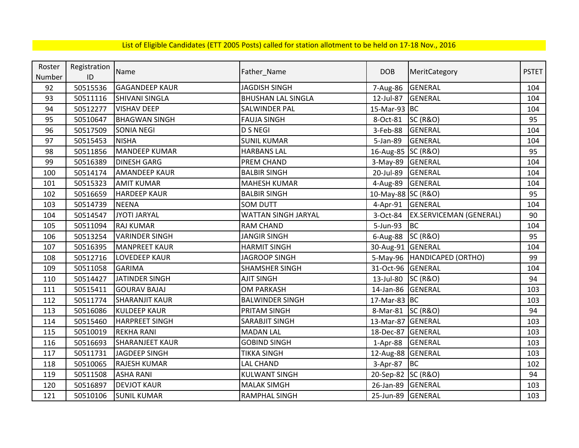| Roster | Registration | Name                   |                           | <b>DOB</b>         |                                | <b>PSTET</b> |
|--------|--------------|------------------------|---------------------------|--------------------|--------------------------------|--------------|
| Number | ID           |                        | Father_Name               |                    | MeritCategory                  |              |
| 92     | 50515536     | <b>GAGANDEEP KAUR</b>  | <b>JAGDISH SINGH</b>      | 7-Aug-86           | <b>GENERAL</b>                 | 104          |
| 93     | 50511116     | <b>SHIVANI SINGLA</b>  | <b>BHUSHAN LAL SINGLA</b> | 12-Jul-87          | <b>GENERAL</b>                 | 104          |
| 94     | 50512277     | <b>VISHAV DEEP</b>     | SALWINDER PAL             | 15-Mar-93 BC       |                                | 104          |
| 95     | 50510647     | <b>BHAGWAN SINGH</b>   | <b>FAUJA SINGH</b>        | 8-Oct-81           | <b>SC (R&amp;O)</b>            | 95           |
| 96     | 50517509     | <b>SONIA NEGI</b>      | <b>D S NEGI</b>           | 3-Feb-88           | <b>GENERAL</b>                 | 104          |
| 97     | 50515453     | <b>NISHA</b>           | <b>SUNIL KUMAR</b>        | 5-Jan-89           | <b>GENERAL</b>                 | 104          |
| 98     | 50511856     | MANDEEP KUMAR          | <b>HARBANS LAL</b>        | 16-Aug-85 SC (R&O) |                                | 95           |
| 99     | 50516389     | <b>DINESH GARG</b>     | PREM CHAND                | 3-May-89 GENERAL   |                                | 104          |
| 100    | 50514174     | <b>AMANDEEP KAUR</b>   | <b>BALBIR SINGH</b>       | 20-Jul-89          | <b>GENERAL</b>                 | 104          |
| 101    | 50515323     | <b>AMIT KUMAR</b>      | <b>MAHESH KUMAR</b>       | 4-Aug-89           | GENERAL                        | 104          |
| 102    | 50516659     | <b>HARDEEP KAUR</b>    | <b>BALBIR SINGH</b>       | 10-May-88 SC (R&O) |                                | 95           |
| 103    | 50514739     | <b>NEENA</b>           | <b>SOM DUTT</b>           | 4-Apr-91           | <b>GENERAL</b>                 | 104          |
| 104    | 50514547     | JYOTI JARYAL           | WATTAN SINGH JARYAL       | 3-Oct-84           | <b>EX.SERVICEMAN (GENERAL)</b> | 90           |
| 105    | 50511094     | <b>RAJ KUMAR</b>       | <b>RAM CHAND</b>          | 5-Jun-93           | <b>BC</b>                      | 104          |
| 106    | 50513254     | <b>VARINDER SINGH</b>  | <b>JANGIR SINGH</b>       | $6$ -Aug-88        | <b>SC (R&amp;O)</b>            | 95           |
| 107    | 50516395     | <b>MANPREET KAUR</b>   | <b>HARMIT SINGH</b>       | 30-Aug-91 GENERAL  |                                | 104          |
| 108    | 50512716     | <b>LOVEDEEP KAUR</b>   | JAGROOP SINGH             |                    | 5-May-96   HANDICAPED (ORTHO)  | 99           |
| 109    | 50511058     | <b>GARIMA</b>          | <b>SHAMSHER SINGH</b>     | 31-Oct-96 GENERAL  |                                | 104          |
| 110    | 50514427     | <b>JATINDER SINGH</b>  | <b>AJIT SINGH</b>         | 13-Jul-80          | <b>SC (R&amp;O)</b>            | 94           |
| 111    | 50515411     | <b>GOURAV BAJAJ</b>    | <b>OM PARKASH</b>         | 14-Jan-86          | GENERAL                        | 103          |
| 112    | 50511774     | <b>SHARANJIT KAUR</b>  | <b>BALWINDER SINGH</b>    | 17-Mar-83 BC       |                                | 103          |
| 113    | 50516086     | <b>KULDEEP KAUR</b>    | PRITAM SINGH              | 8-Mar-81 SC (R&O)  |                                | 94           |
| 114    | 50515460     | <b>HARPREET SINGH</b>  | SARABJIT SINGH            | 13-Mar-87 GENERAL  |                                | 103          |
| 115    | 50510019     | <b>REKHA RANI</b>      | <b>MADAN LAL</b>          | 18-Dec-87          | GENERAL                        | 103          |
| 116    | 50516693     | <b>SHARANJEET KAUR</b> | <b>GOBIND SINGH</b>       | 1-Apr-88           | GENERAL                        | 103          |
| 117    | 50511731     | <b>JAGDEEP SINGH</b>   | <b>TIKKA SINGH</b>        | 12-Aug-88 GENERAL  |                                | 103          |
| 118    | 50510065     | <b>RAJESH KUMAR</b>    | LAL CHAND                 | 3-Apr-87           | <b>BC</b>                      | 102          |
| 119    | 50511508     | <b>ASHA RANI</b>       | <b>KULWANT SINGH</b>      | 20-Sep-82 SC (R&O) |                                | 94           |
| 120    | 50516897     | <b>DEVJOT KAUR</b>     | <b>MALAK SIMGH</b>        | 26-Jan-89          | <b>GENERAL</b>                 | 103          |
| 121    | 50510106     | <b>SUNIL KUMAR</b>     | <b>RAMPHAL SINGH</b>      | 25-Jun-89 GENERAL  |                                | 103          |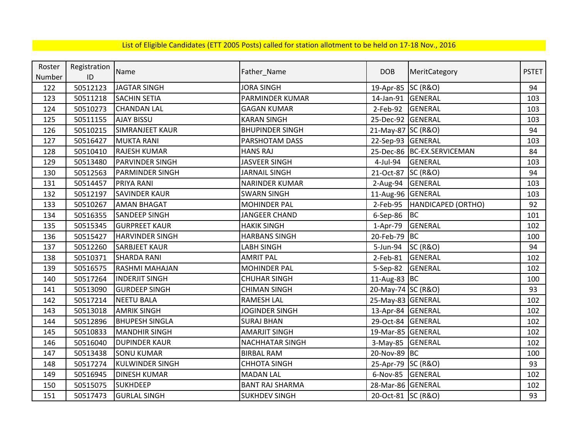| Roster | Registration |                        |                        |                    |                            | <b>PSTET</b> |
|--------|--------------|------------------------|------------------------|--------------------|----------------------------|--------------|
| Number | ID           | Name                   | Father_Name            | <b>DOB</b>         | MeritCategory              |              |
| 122    | 50512123     | <b>JAGTAR SINGH</b>    | <b>JORA SINGH</b>      | 19-Apr-85 SC (R&O) |                            | 94           |
| 123    | 50511218     | <b>SACHIN SETIA</b>    | PARMINDER KUMAR        | 14-Jan-91          | <b>GENERAL</b>             | 103          |
| 124    | 50510273     | <b>CHANDAN LAL</b>     | <b>GAGAN KUMAR</b>     | $2$ -Feb-92        | GENERAL                    | 103          |
| 125    | 50511155     | <b>AJAY BISSU</b>      | <b>KARAN SINGH</b>     | 25-Dec-92          | <b>GENERAL</b>             | 103          |
| 126    | 50510215     | <b>SIMRANJEET KAUR</b> | <b>BHUPINDER SINGH</b> | 21-May-87 SC (R&O) |                            | 94           |
| 127    | 50516427     | <b>MUKTA RANI</b>      | PARSHOTAM DASS         | 22-Sep-93 GENERAL  |                            | 103          |
| 128    | 50510410     | <b>RAJESH KUMAR</b>    | <b>HANS RAJ</b>        |                    | 25-Dec-86 BC-EX.SERVICEMAN | 84           |
| 129    | 50513480     | <b>PARVINDER SINGH</b> | <b>JASVEER SINGH</b>   | 4-Jul-94           | <b>GENERAL</b>             | 103          |
| 130    | 50512563     | <b>PARMINDER SINGH</b> | <b>JARNAIL SINGH</b>   | 21-Oct-87          | <b>SC (R&amp;O)</b>        | 94           |
| 131    | 50514457     | PRIYA RANI             | <b>NARINDER KUMAR</b>  | 2-Aug-94           | <b>GENERAL</b>             | 103          |
| 132    | 50512197     | SAVINDER KAUR          | <b>SWARN SINGH</b>     | 11-Aug-96 GENERAL  |                            | 103          |
| 133    | 50510267     | <b>AMAN BHAGAT</b>     | <b>MOHINDER PAL</b>    | $2$ -Feb-95        | HANDICAPED (ORTHO)         | 92           |
| 134    | 50516355     | <b>SANDEEP SINGH</b>   | JANGEER CHAND          | $6-$ Sep $-86$     | <b>BC</b>                  | 101          |
| 135    | 50515345     | <b>GURPREET KAUR</b>   | <b>HAKIK SINGH</b>     | 1-Apr-79           | GENERAL                    | 102          |
| 136    | 50515427     | <b>HARVINDER SINGH</b> | <b>HARBANS SINGH</b>   | 20-Feb-79          | <b>BC</b>                  | 100          |
| 137    | 50512260     | <b>SARBJEET KAUR</b>   | <b>LABH SINGH</b>      | 5-Jun-94           | <b>SC (R&amp;O)</b>        | 94           |
| 138    | 50510371     | <b>SHARDA RANI</b>     | <b>AMRIT PAL</b>       | 2-Feb-81           | <b>GENERAL</b>             | 102          |
| 139    | 50516575     | <b>RASHMI MAHAJAN</b>  | <b>MOHINDER PAL</b>    | 5-Sep-82           | <b>GENERAL</b>             | 102          |
| 140    | 50517264     | <b>INDERJIT SINGH</b>  | <b>CHUHAR SINGH</b>    | 11-Aug-83 BC       |                            | 100          |
| 141    | 50513090     | <b>GURDEEP SINGH</b>   | <b>CHIMAN SINGH</b>    | 20-May-74 SC (R&O) |                            | 93           |
| 142    | 50517214     | <b>NEETU BALA</b>      | <b>RAMESH LAL</b>      | 25-May-83 GENERAL  |                            | 102          |
| 143    | 50513018     | <b>AMRIK SINGH</b>     | <b>JOGINDER SINGH</b>  | 13-Apr-84 GENERAL  |                            | 102          |
| 144    | 50512896     | <b>BHUPESH SINGLA</b>  | <b>SURAJ BHAN</b>      | 29-Oct-84 GENERAL  |                            | 102          |
| 145    | 50510833     | <b>MANDHIR SINGH</b>   | <b>AMARJIT SINGH</b>   | 19-Mar-85 GENERAL  |                            | 102          |
| 146    | 50516040     | <b>DUPINDER KAUR</b>   | <b>NACHHATAR SINGH</b> | 3-May-85 GENERAL   |                            | 102          |
| 147    | 50513438     | <b>SONU KUMAR</b>      | <b>BIRBAL RAM</b>      | 20-Nov-89 BC       |                            | 100          |
| 148    | 50517274     | KULWINDER SINGH        | <b>CHHOTA SINGH</b>    | 25-Apr-79 SC (R&O) |                            | 93           |
| 149    | 50516945     | <b>DINESH KUMAR</b>    | <b>MADAN LAL</b>       | 6-Nov-85           | GENERAL                    | 102          |
| 150    | 50515075     | <b>SUKHDEEP</b>        | <b>BANT RAJ SHARMA</b> | 28-Mar-86 GENERAL  |                            | 102          |
| 151    | 50517473     | <b>GURLAL SINGH</b>    | <b>SUKHDEV SINGH</b>   | 20-Oct-81 SC (R&O) |                            | 93           |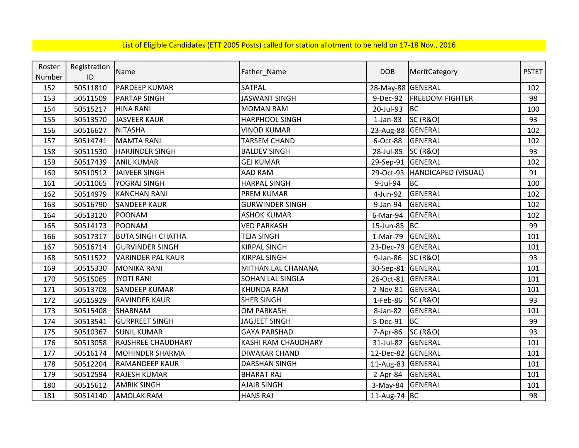| Roster | Registration | Name                      |                        | <b>DOB</b>        | MeritCategory          | <b>PSTET</b> |
|--------|--------------|---------------------------|------------------------|-------------------|------------------------|--------------|
| Number | ID           |                           | Father_Name            |                   |                        |              |
| 152    | 50511810     | <b>PARDEEP KUMAR</b>      | SATPAL                 | 28-May-88 GENERAL |                        | 102          |
| 153    | 50511509     | <b>PARTAP SINGH</b>       | <b>JASWANT SINGH</b>   | 9-Dec-92          | <b>FREEDOM FIGHTER</b> | 98           |
| 154    | 50515217     | <b>HINA RANI</b>          | <b>MOMAN RAM</b>       | 20-Jul-93         | <b>BC</b>              | 100          |
| 155    | 50513570     | JASVEER KAUR              | <b>HARPHOOL SINGH</b>  | $1$ -Jan-83       | <b>SC (R&amp;O)</b>    | 93           |
| 156    | 50516627     | <b>NITASHA</b>            | <b>VINOD KUMAR</b>     | 23-Aug-88 GENERAL |                        | 102          |
| 157    | 50514741     | <b>MAMTA RANI</b>         | <b>TARSEM CHAND</b>    | 6-Oct-88          | <b>GENERAL</b>         | 102          |
| 158    | 50511530     | <b>HARJINDER SINGH</b>    | <b>BALDEV SINGH</b>    | 28-Jul-85         | <b>SC (R&amp;O)</b>    | 93           |
| 159    | 50517439     | <b>ANIL KUMAR</b>         | <b>GEJ KUMAR</b>       | 29-Sep-91 GENERAL |                        | 102          |
| 160    | 50510512     | <b>JAIVEER SINGH</b>      | <b>AAD RAM</b>         | 29-Oct-93         | HANDICAPED (VISUAL)    | 91           |
| 161    | 50511065     | YOGRAJ SINGH              | <b>HARPAL SINGH</b>    | 9-Jul-94          | <b>BC</b>              | 100          |
| 162    | 50514979     | <b>KANCHAN RANI</b>       | <b>PREM KUMAR</b>      | 4-Jun-92          | GENERAL                | 102          |
| 163    | 50516790     | <b>SANDEEP KAUR</b>       | <b>GURWINDER SINGH</b> | 9-Jan-94          | <b>GENERAL</b>         | 102          |
| 164    | 50513120     | POONAM                    | <b>ASHOK KUMAR</b>     | 6-Mar-94          | GENERAL                | 102          |
| 165    | 50514173     | POONAM                    | <b>VED PARKASH</b>     | 15-Jun-85 BC      |                        | 99           |
| 166    | 50517317     | <b>BUTA SINGH CHATHA</b>  | <b>TEJA SINGH</b>      | 1-Mar-79          | GENERAL                | 101          |
| 167    | 50516714     | <b>GURVINDER SINGH</b>    | <b>KIRPAL SINGH</b>    | 23-Dec-79         | GENERAL                | 101          |
| 168    | 50511522     | <b>VARINDER PAL KAUR</b>  | <b>KIRPAL SINGH</b>    | 9-Jan-86          | <b>SC (R&amp;O)</b>    | 93           |
| 169    | 50515330     | <b>MONIKA RANI</b>        | MITHAN LAL CHANANA     | 30-Sep-81 GENERAL |                        | 101          |
| 170    | 50515065     | <b>JYOTI RANI</b>         | SOHAN LAL SINGLA       | 26-Oct-81         | GENERAL                | 101          |
| 171    | 50513708     | <b>SANDEEP KUMAR</b>      | <b>KHUNDA RAM</b>      | 2-Nov-81          | <b>GENERAL</b>         | 101          |
| 172    | 50515929     | <b>RAVINDER KAUR</b>      | <b>SHER SINGH</b>      | 1-Feb-86          | <b>SC (R&amp;O)</b>    | 93           |
| 173    | 50515408     | <b>SHABNAM</b>            | <b>OM PARKASH</b>      | 8-Jan-82          | <b>GENERAL</b>         | 101          |
| 174    | 50513541     | <b>GURPREET SINGH</b>     | <b>JAGJEET SINGH</b>   | 5-Dec-91          | <b>BC</b>              | 99           |
| 175    | 50510367     | <b>SUNIL KUMAR</b>        | <b>GAYA PARSHAD</b>    | 7-Apr-86          | <b>SC (R&amp;O)</b>    | 93           |
| 176    | 50513058     | <b>RAJSHREE CHAUDHARY</b> | KASHI RAM CHAUDHARY    | 31-Jul-82         | <b>GENERAL</b>         | 101          |
| 177    | 50516174     | <b>MOHINDER SHARMA</b>    | <b>DIWAKAR CHAND</b>   | 12-Dec-82         | <b>GENERAL</b>         | 101          |
| 178    | 50512204     | <b>RAMANDEEP KAUR</b>     | <b>DARSHAN SINGH</b>   | 11-Aug-83 GENERAL |                        | 101          |
| 179    | 50512594     | <b>RAJESH KUMAR</b>       | <b>BHARAT RAJ</b>      | $2-Apr-84$        | <b>GENERAL</b>         | 101          |
| 180    | 50515612     | <b>AMRIK SINGH</b>        | <b>AJAIB SINGH</b>     | 3-May-84          | <b>GENERAL</b>         | 101          |
| 181    | 50514140     | <b>AMOLAK RAM</b>         | <b>HANS RAJ</b>        | 11-Aug-74 BC      |                        | 98           |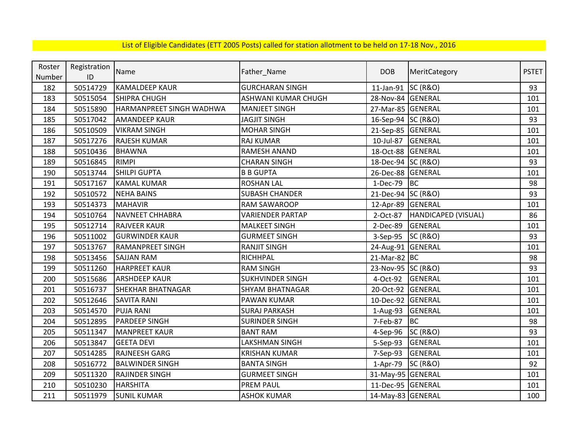| Roster | Registration | Name                     |                         | <b>DOB</b>         |                     | <b>PSTET</b> |
|--------|--------------|--------------------------|-------------------------|--------------------|---------------------|--------------|
| Number | ID           |                          | Father_Name             |                    | MeritCategory       |              |
| 182    | 50514729     | <b>KAMALDEEP KAUR</b>    | <b>GURCHARAN SINGH</b>  | 11-Jan-91 SC (R&O) |                     | 93           |
| 183    | 50515054     | <b>SHIPRA CHUGH</b>      | ASHWANI KUMAR CHUGH     | 28-Nov-84 GENERAL  |                     | 101          |
| 184    | 50515890     | HARMANPREET SINGH WADHWA | <b>MANJEET SINGH</b>    | 27-Mar-85 GENERAL  |                     | 101          |
| 185    | 50517042     | <b>AMANDEEP KAUR</b>     | <b>JAGJIT SINGH</b>     | 16-Sep-94 SC (R&O) |                     | 93           |
| 186    | 50510509     | <b>VIKRAM SINGH</b>      | <b>MOHAR SINGH</b>      | 21-Sep-85 GENERAL  |                     | 101          |
| 187    | 50517276     | <b>RAJESH KUMAR</b>      | RAJ KUMAR               | 10-Jul-87          | GENERAL             | 101          |
| 188    | 50510436     | <b>BHAWNA</b>            | RAMESH ANAND            | 18-Oct-88          | <b>GENERAL</b>      | 101          |
| 189    | 50516845     | <b>RIMPI</b>             | <b>CHARAN SINGH</b>     | 18-Dec-94 SC (R&O) |                     | 93           |
| 190    | 50513744     | <b>SHILPI GUPTA</b>      | <b>B B GUPTA</b>        | 26-Dec-88 GENERAL  |                     | 101          |
| 191    | 50517167     | <b>KAMAL KUMAR</b>       | <b>ROSHAN LAL</b>       | 1-Dec-79           | BC                  | 98           |
| 192    | 50510572     | <b>NEHA BAINS</b>        | <b>SUBASH CHANDER</b>   | 21-Dec-94 SC (R&O) |                     | 93           |
| 193    | 50514373     | <b>MAHAVIR</b>           | <b>RAM SAWAROOP</b>     | 12-Apr-89 GENERAL  |                     | 101          |
| 194    | 50510764     | <b>NAVNEET CHHABRA</b>   | <b>VARIENDER PARTAP</b> | 2-Oct-87           | HANDICAPED (VISUAL) | 86           |
| 195    | 50512714     | <b>RAJVEER KAUR</b>      | <b>MALKEET SINGH</b>    | 2-Dec-89           | GENERAL             | 101          |
| 196    | 50511002     | <b>GURWINDER KAUR</b>    | <b>GURMEET SINGH</b>    | 3-Sep-95           | <b>SC (R&amp;O)</b> | 93           |
| 197    | 50513767     | <b>RAMANPREET SINGH</b>  | <b>RANJIT SINGH</b>     | 24-Aug-91 GENERAL  |                     | 101          |
| 198    | 50513456     | SAJJAN RAM               | RICHHPAL                | 21-Mar-82 BC       |                     | 98           |
| 199    | 50511260     | <b>HARPREET KAUR</b>     | <b>RAM SINGH</b>        | 23-Nov-95 SC (R&O) |                     | 93           |
| 200    | 50515686     | <b>ARSHDEEP KAUR</b>     | <b>SUKHVINDER SINGH</b> | 4-Oct-92           | <b>GENERAL</b>      | 101          |
| 201    | 50516737     | SHEKHAR BHATNAGAR        | <b>SHYAM BHATNAGAR</b>  | 20-Oct-92 GENERAL  |                     | 101          |
| 202    | 50512646     | <b>SAVITA RANI</b>       | <b>PAWAN KUMAR</b>      | 10-Dec-92 GENERAL  |                     | 101          |
| 203    | 50514570     | <b>PUJA RANI</b>         | <b>SURAJ PARKASH</b>    | 1-Aug-93           | GENERAL             | 101          |
| 204    | 50512895     | <b>PARDEEP SINGH</b>     | <b>SURINDER SINGH</b>   | 7-Feb-87           | BC                  | 98           |
| 205    | 50511347     | <b>MANPREET KAUR</b>     | <b>BANT RAM</b>         | 4-Sep-96           | <b>SC (R&amp;O)</b> | 93           |
| 206    | 50513847     | <b>GEETA DEVI</b>        | LAKSHMAN SINGH          | 5-Sep-93           | <b>GENERAL</b>      | 101          |
| 207    | 50514285     | <b>RAJNEESH GARG</b>     | <b>KRISHAN KUMAR</b>    | 7-Sep-93           | GENERAL             | 101          |
| 208    | 50516772     | <b>BALWINDER SINGH</b>   | <b>BANTA SINGH</b>      | 1-Apr-79           | <b>SC (R&amp;O)</b> | 92           |
| 209    | 50511320     | RAJINDER SINGH           | <b>GURMEET SINGH</b>    | 31-May-95 GENERAL  |                     | 101          |
| 210    | 50510230     | <b>HARSHITA</b>          | <b>PREM PAUL</b>        | 11-Dec-95 GENERAL  |                     | 101          |
| 211    | 50511979     | <b>SUNIL KUMAR</b>       | <b>ASHOK KUMAR</b>      | 14-May-83 GENERAL  |                     | 100          |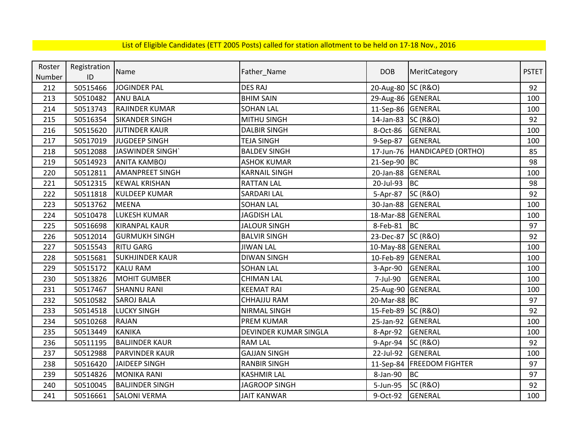| Roster | Registration | Name                   |                       | <b>DOB</b>         |                             | <b>PSTET</b> |
|--------|--------------|------------------------|-----------------------|--------------------|-----------------------------|--------------|
| Number | ID           |                        | Father_Name           |                    | MeritCategory               |              |
| 212    | 50515466     | <b>JOGINDER PAL</b>    | <b>DES RAJ</b>        | 20-Aug-80 SC (R&O) |                             | 92           |
| 213    | 50510482     | <b>ANU BALA</b>        | <b>BHIM SAIN</b>      | 29-Aug-86 GENERAL  |                             | 100          |
| 214    | 50513743     | <b>RAJINDER KUMAR</b>  | <b>SOHAN LAL</b>      | 11-Sep-86 GENERAL  |                             | 100          |
| 215    | 50516354     | <b>SIKANDER SINGH</b>  | <b>MITHU SINGH</b>    | 14-Jan-83 SC (R&O) |                             | 92           |
| 216    | 50515620     | <b>JUTINDER KAUR</b>   | <b>DALBIR SINGH</b>   | 8-Oct-86           | <b>GENERAL</b>              | 100          |
| 217    | 50517019     | JUGDEEP SINGH          | <b>TEJA SINGH</b>     | 9-Sep-87           | GENERAL                     | 100          |
| 218    | 50512088     | <b>JASWINDER SINGH</b> | <b>BALDEV SINGH</b>   | 17-Jun-76          | HANDICAPED (ORTHO)          | 85           |
| 219    | 50514923     | <b>ANITA KAMBOJ</b>    | <b>ASHOK KUMAR</b>    | 21-Sep-90 BC       |                             | 98           |
| 220    | 50512811     | <b>AMANPREET SINGH</b> | <b>KARNAIL SINGH</b>  | 20-Jan-88          | <b>GENERAL</b>              | 100          |
| 221    | 50512315     | <b>KEWAL KRISHAN</b>   | <b>RATTAN LAL</b>     | 20-Jul-93          | <b>BC</b>                   | 98           |
| 222    | 50511818     | <b>KULDEEP KUMAR</b>   | <b>SARDARI LAL</b>    | 5-Apr-87           | <b>SC (R&amp;O)</b>         | 92           |
| 223    | 50513762     | <b>MEENA</b>           | <b>SOHAN LAL</b>      | 30-Jan-88          | GENERAL                     | 100          |
| 224    | 50510478     | <b>LUKESH KUMAR</b>    | <b>JAGDISH LAL</b>    | 18-Mar-88 GENERAL  |                             | 100          |
| 225    | 50516698     | <b>KIRANPAL KAUR</b>   | <b>JALOUR SINGH</b>   | 8-Feb-81           | <b>BC</b>                   | 97           |
| 226    | 50512014     | <b>GURMUKH SINGH</b>   | <b>BALVIR SINGH</b>   | 23-Dec-87 SC (R&O) |                             | 92           |
| 227    | 50515543     | <b>RITU GARG</b>       | <b>JIWAN LAL</b>      | 10-May-88 GENERAL  |                             | 100          |
| 228    | 50515681     | <b>SUKHJINDER KAUR</b> | <b>DIWAN SINGH</b>    | 10-Feb-89 GENERAL  |                             | 100          |
| 229    | 50515172     | <b>KALU RAM</b>        | <b>SOHAN LAL</b>      | 3-Apr-90           | GENERAL                     | 100          |
| 230    | 50513826     | <b>MOHIT GUMBER</b>    | <b>CHIMAN LAL</b>     | 7-Jul-90           | GENERAL                     | 100          |
| 231    | 50517467     | <b>SHANNU RANI</b>     | <b>KEEMAT RAI</b>     | 25-Aug-90          | GENERAL                     | 100          |
| 232    | 50510582     | <b>SAROJ BALA</b>      | <b>CHHAJJU RAM</b>    | 20-Mar-88 BC       |                             | 97           |
| 233    | 50514518     | <b>LUCKY SINGH</b>     | NIRMAL SINGH          | 15-Feb-89 SC (R&O) |                             | 92           |
| 234    | 50510268     | <b>RAJAN</b>           | PREM KUMAR            | 25-Jan-92 GENERAL  |                             | 100          |
| 235    | 50513449     | <b>KANIKA</b>          | DEVINDER KUMAR SINGLA | 8-Apr-92           | GENERAL                     | 100          |
| 236    | 50511195     | <b>BALJINDER KAUR</b>  | <b>RAM LAL</b>        | 9-Apr-94           | <b>SC (R&amp;O)</b>         | 92           |
| 237    | 50512988     | <b>PARVINDER KAUR</b>  | <b>GAJJAN SINGH</b>   | 22-Jul-92          | <b>GENERAL</b>              | 100          |
| 238    | 50516420     | <b>JAIDEEP SINGH</b>   | <b>RANBIR SINGH</b>   |                    | 11-Sep-84   FREEDOM FIGHTER | 97           |
| 239    | 50514826     | <b>MONIKA RANI</b>     | <b>KASHMIR LAL</b>    | 8-Jan-90           | <b>BC</b>                   | 97           |
| 240    | 50510045     | <b>BALJINDER SINGH</b> | <b>JAGROOP SINGH</b>  | 5-Jun-95           | <b>SC (R&amp;O)</b>         | 92           |
| 241    | 50516661     | <b>SALONI VERMA</b>    | <b>JAIT KANWAR</b>    | 9-Oct-92           | <b>GENERAL</b>              | 100          |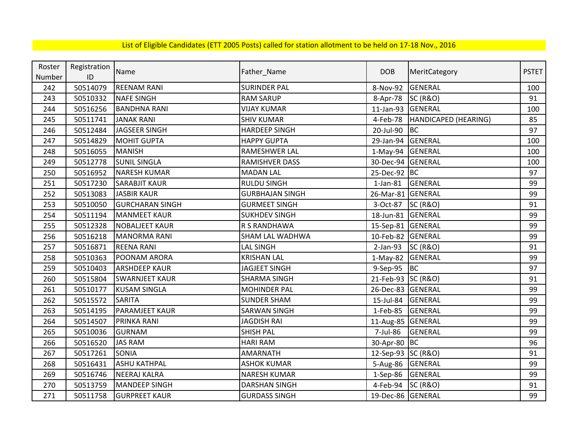| Roster | Registration  | Name                   |                        | <b>DOB</b>         |                      | <b>PSTET</b> |
|--------|---------------|------------------------|------------------------|--------------------|----------------------|--------------|
| Number | $\mathsf{ID}$ |                        | Father_Name            |                    | MeritCategory        |              |
| 242    | 50514079      | <b>REENAM RANI</b>     | <b>SURINDER PAL</b>    | 8-Nov-92           | <b>GENERAL</b>       | 100          |
| 243    | 50510332      | <b>NAFE SINGH</b>      | <b>RAM SARUP</b>       | 8-Apr-78           | <b>SC (R&amp;O)</b>  | 91           |
| 244    | 50516256      | <b>BANDHNA RANI</b>    | <b>VIJAY KUMAR</b>     | $11$ -Jan-93       | <b>GENERAL</b>       | 100          |
| 245    | 50511741      | <b>JANAK RANI</b>      | <b>SHIV KUMAR</b>      | 4-Feb-78           | HANDICAPED (HEARING) | 85           |
| 246    | 50512484      | <b>JAGSEER SINGH</b>   | <b>HARDEEP SINGH</b>   | 20-Jul-90          | BC                   | 97           |
| 247    | 50514829      | <b>MOHIT GUPTA</b>     | <b>HAPPY GUPTA</b>     | 29-Jan-94          | GENERAL              | 100          |
| 248    | 50516055      | <b>MANISH</b>          | RAMESHWER LAL          | $1-May-94$         | <b>GENERAL</b>       | 100          |
| 249    | 50512778      | <b>SUNIL SINGLA</b>    | RAMISHVER DASS         | 30-Dec-94          | GENERAL              | 100          |
| 250    | 50516952      | <b>NARESH KUMAR</b>    | <b>MADAN LAL</b>       | 25-Dec-92 BC       |                      | 97           |
| 251    | 50517230      | <b>SARABJIT KAUR</b>   | <b>RULDU SINGH</b>     | $1$ -Jan- $81$     | GENERAL              | 99           |
| 252    | 50513083      | <b>JASBIR KAUR</b>     | <b>GURBHAJAN SINGH</b> | 26-Mar-81          | <b>GENERAL</b>       | 99           |
| 253    | 50510050      | <b>GURCHARAN SINGH</b> | <b>GURMEET SINGH</b>   | 3-Oct-87           | <b>SC (R&amp;O)</b>  | 91           |
| 254    | 50511194      | <b>MANMEET KAUR</b>    | <b>SUKHDEV SINGH</b>   | 18-Jun-81          | <b>GENERAL</b>       | 99           |
| 255    | 50512328      | <b>NOBALIEET KAUR</b>  | R S RANDHAWA           | 15-Sep-81 GENERAL  |                      | 99           |
| 256    | 50516218      | <b>MANORMA RANI</b>    | SHAM LAL WADHWA        | 10-Feb-82 GENERAL  |                      | 99           |
| 257    | 50516871      | <b>REENA RANI</b>      | LAL SINGH              | $2-Jan-93$         | <b>SC (R&amp;O)</b>  | 91           |
| 258    | 50510363      | POONAM ARORA           | <b>KRISHAN LAL</b>     | 1-May-82 GENERAL   |                      | 99           |
| 259    | 50510403      | <b>ARSHDEEP KAUR</b>   | <b>JAGJEET SINGH</b>   | 9-Sep-95           | BC                   | 97           |
| 260    | 50515804      | <b>SWARNJEET KAUR</b>  | <b>SHARMA SINGH</b>    | 21-Feb-93 SC (R&O) |                      | 91           |
| 261    | 50510177      | <b>KUSAM SINGLA</b>    | <b>MOHINDER PAL</b>    | 26-Dec-83          | <b>GENERAL</b>       | 99           |
| 262    | 50515572      | <b>SARITA</b>          | <b>SUNDER SHAM</b>     | 15-Jul-84          | GENERAL              | 99           |
| 263    | 50514195      | <b>PARAMJEET KAUR</b>  | <b>SARWAN SINGH</b>    | 1-Feb-85           | GENERAL              | 99           |
| 264    | 50514507      | <b>PRINKA RANI</b>     | <b>JAGDISH RAI</b>     | 11-Aug-85 GENERAL  |                      | 99           |
| 265    | 50510036      | <b>GURNAM</b>          | <b>SHISH PAL</b>       | 7-Jul-86           | GENERAL              | 99           |
| 266    | 50516520      | <b>JAS RAM</b>         | <b>HARI RAM</b>        | 30-Apr-80          | BC                   | 96           |
| 267    | 50517261      | <b>SONIA</b>           | <b>AMARNATH</b>        | 12-Sep-93 SC (R&O) |                      | 91           |
| 268    | 50516431      | <b>ASHU KATHPAL</b>    | <b>ASHOK KUMAR</b>     | 5-Aug-86           | GENERAL              | 99           |
| 269    | 50516746      | <b>NEERAJ KALRA</b>    | <b>NARESH KUMAR</b>    | 1-Sep-86           | GENERAL              | 99           |
| 270    | 50513759      | <b>MANDEEP SINGH</b>   | <b>DARSHAN SINGH</b>   | 4-Feb-94           | <b>SC (R&amp;O)</b>  | 91           |
| 271    | 50511758      | <b>GURPREET KAUR</b>   | <b>GURDASS SINGH</b>   | 19-Dec-86 GENERAL  |                      | 99           |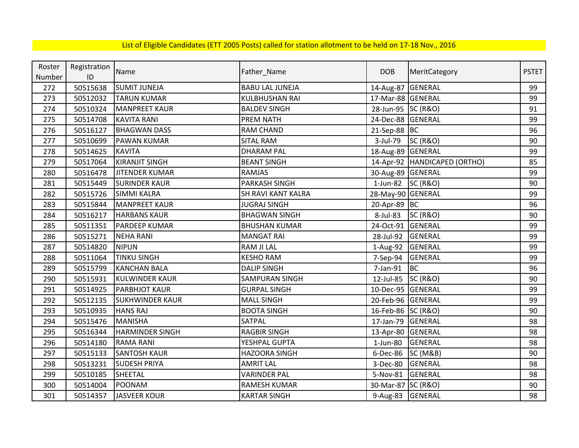| Roster | Registration  | Name                   |                        | <b>DOB</b>         | MeritCategory                | <b>PSTET</b> |
|--------|---------------|------------------------|------------------------|--------------------|------------------------------|--------------|
| Number | $\mathsf{ID}$ |                        | Father_Name            |                    |                              |              |
| 272    | 50515638      | <b>SUMIT JUNEJA</b>    | <b>BABU LAL JUNEJA</b> | 14-Aug-87          | <b>GENERAL</b>               | 99           |
| 273    | 50512032      | <b>TARUN KUMAR</b>     | <b>KULBHUSHAN RAI</b>  | 17-Mar-88 GENERAL  |                              | 99           |
| 274    | 50510324      | <b>MANPREET KAUR</b>   | <b>BALDEV SINGH</b>    | 28-Jun-95 SC (R&O) |                              | 91           |
| 275    | 50514708      | <b>KAVITA RANI</b>     | PREM NATH              | 24-Dec-88 GENERAL  |                              | 99           |
| 276    | 50516127      | <b>BHAGWAN DASS</b>    | RAM CHAND              | 21-Sep-88 BC       |                              | 96           |
| 277    | 50510699      | <b>PAWAN KUMAR</b>     | <b>SITAL RAM</b>       | 3-Jul-79           | <b>SC (R&amp;O)</b>          | 90           |
| 278    | 50514625      | <b>KAVITA</b>          | <b>DHARAM PAL</b>      | 18-Aug-89 GENERAL  |                              | 99           |
| 279    | 50517064      | <b>KIRANJIT SINGH</b>  | <b>BEANT SINGH</b>     |                    | 14-Apr-92 HANDICAPED (ORTHO) | 85           |
| 280    | 50516478      | <b>JITENDER KUMAR</b>  | <b>RAMJAS</b>          | 30-Aug-89 GENERAL  |                              | 99           |
| 281    | 50515449      | <b>SURINDER KAUR</b>   | PARKASH SINGH          | 1-Jun-82           | <b>SC (R&amp;O)</b>          | 90           |
| 282    | 50515726      | <b>SIMMI KALRA</b>     | SH RAVI KANT KALRA     | 28-May-90 GENERAL  |                              | 99           |
| 283    | 50515844      | <b>MANPREET KAUR</b>   | <b>JUGRAJ SINGH</b>    | 20-Apr-89 BC       |                              | 96           |
| 284    | 50516217      | <b>HARBANS KAUR</b>    | <b>BHAGWAN SINGH</b>   | 8-Jul-83           | <b>SC (R&amp;O)</b>          | 90           |
| 285    | 50511351      | <b>PARDEEP KUMAR</b>   | <b>BHUSHAN KUMAR</b>   | 24-Oct-91          | GENERAL                      | 99           |
| 286    | 50515271      | <b>NEHA RANI</b>       | <b>MANGAT RAI</b>      | 28-Jul-92          | <b>GENERAL</b>               | 99           |
| 287    | 50514820      | <b>NIPUN</b>           | <b>RAM JI LAL</b>      | 1-Aug-92           | GENERAL                      | 99           |
| 288    | 50511064      | <b>TINKU SINGH</b>     | <b>KESHO RAM</b>       | 7-Sep-94           | <b>GENERAL</b>               | 99           |
| 289    | 50515799      | <b>KANCHAN BALA</b>    | <b>DALIP SINGH</b>     | 7-Jan-91           | <b>BC</b>                    | 96           |
| 290    | 50515931      | <b>KULWINDER KAUR</b>  | <b>SAMPURAN SINGH</b>  | 12-Jul-85          | <b>SC (R&amp;O)</b>          | 90           |
| 291    | 50514925      | <b>PARBHJOT KAUR</b>   | <b>GURPAL SINGH</b>    | 10-Dec-95 GENERAL  |                              | 99           |
| 292    | 50512135      | <b>SUKHWINDER KAUR</b> | <b>MALL SINGH</b>      | 20-Feb-96 GENERAL  |                              | 99           |
| 293    | 50510935      | <b>HANS RAJ</b>        | <b>BOOTA SINGH</b>     | 16-Feb-86 SC (R&O) |                              | 90           |
| 294    | 50515476      | <b>MANISHA</b>         | <b>SATPAL</b>          | 17-Jan-79          | <b>GENERAL</b>               | 98           |
| 295    | 50516344      | <b>HARMINDER SINGH</b> | <b>RAGBIR SINGH</b>    | 13-Apr-80          | GENERAL                      | 98           |
| 296    | 50514180      | <b>RAMA RANI</b>       | YESHPAL GUPTA          | $1$ -Jun-80        | <b>GENERAL</b>               | 98           |
| 297    | 50515133      | <b>SANTOSH KAUR</b>    | <b>HAZOORA SINGH</b>   | 6-Dec-86           | <b>SC (M&amp;B)</b>          | 90           |
| 298    | 50513231      | <b>SUDESH PRIYA</b>    | <b>AMRIT LAL</b>       | 3-Dec-80           | <b>GENERAL</b>               | 98           |
| 299    | 50510185      | SHEETAL                | <b>VARINDER PAL</b>    | 5-Nov-81           | <b>GENERAL</b>               | 98           |
| 300    | 50514004      | POONAM                 | RAMESH KUMAR           | 30-Mar-87 SC (R&O) |                              | 90           |
| 301    | 50514357      | JASVEER KOUR           | <b>KARTAR SINGH</b>    | 9-Aug-83 GENERAL   |                              | 98           |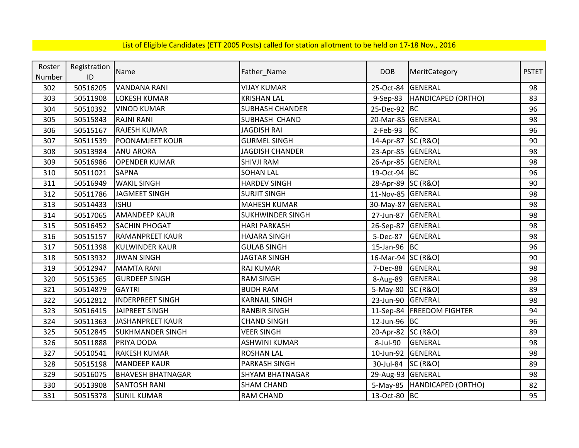| Roster | Registration | Name                     |                         | <b>DOB</b>         |                               | <b>PSTET</b> |
|--------|--------------|--------------------------|-------------------------|--------------------|-------------------------------|--------------|
| Number | ID           |                          | Father_Name             |                    | MeritCategory                 |              |
| 302    | 50516205     | <b>VANDANA RANI</b>      | <b>VIJAY KUMAR</b>      | 25-Oct-84          | GENERAL                       | 98           |
| 303    | 50511908     | <b>LOKESH KUMAR</b>      | <b>KRISHAN LAL</b>      | 9-Sep-83           | HANDICAPED (ORTHO)            | 83           |
| 304    | 50510392     | <b>VINOD KUMAR</b>       | <b>SUBHASH CHANDER</b>  | 25-Dec-92 BC       |                               | 96           |
| 305    | 50515843     | <b>RAJNI RANI</b>        | SUBHASH CHAND           | 20-Mar-85 GENERAL  |                               | 98           |
| 306    | 50515167     | <b>RAJESH KUMAR</b>      | JAGDISH RAI             | 2-Feb-93           | BC                            | 96           |
| 307    | 50511539     | <b>POONAMJEET KOUR</b>   | <b>GURMEL SINGH</b>     | 14-Apr-87 SC (R&O) |                               | 90           |
| 308    | 50513984     | <b>ANU ARORA</b>         | <b>JAGDISH CHANDER</b>  | 23-Apr-85          | GENERAL                       | 98           |
| 309    | 50516986     | <b>OPENDER KUMAR</b>     | <b>SHIVJI RAM</b>       | 26-Apr-85          | GENERAL                       | 98           |
| 310    | 50511021     | <b>SAPNA</b>             | <b>SOHAN LAL</b>        | 19-Oct-94 BC       |                               | 96           |
| 311    | 50516949     | <b>WAKIL SINGH</b>       | <b>HARDEV SINGH</b>     | 28-Apr-89 SC (R&O) |                               | 90           |
| 312    | 50511786     | <b>JAGMEET SINGH</b>     | <b>SURJIT SINGH</b>     | 11-Nov-85 GENERAL  |                               | 98           |
| 313    | 50514433     | <b>ISHU</b>              | <b>MAHESH KUMAR</b>     | 30-May-87 GENERAL  |                               | 98           |
| 314    | 50517065     | <b>AMANDEEP KAUR</b>     | <b>SUKHWINDER SINGH</b> | 27-Jun-87          | <b>GENERAL</b>                | 98           |
| 315    | 50516452     | <b>SACHIN PHOGAT</b>     | <b>HARI PARKASH</b>     | 26-Sep-87          | GENERAL                       | 98           |
| 316    | 50515157     | <b>RAMANPREET KAUR</b>   | <b>HAJARA SINGH</b>     | 5-Dec-87           | <b>GENERAL</b>                | 98           |
| 317    | 50511398     | <b>KULWINDER KAUR</b>    | <b>GULAB SINGH</b>      | 15-Jan-96 BC       |                               | 96           |
| 318    | 50513932     | <b>JIWAN SINGH</b>       | <b>JAGTAR SINGH</b>     | 16-Mar-94 SC (R&O) |                               | 90           |
| 319    | 50512947     | <b>MAMTA RANI</b>        | RAJ KUMAR               | 7-Dec-88           | <b>GENERAL</b>                | 98           |
| 320    | 50515365     | <b>GURDEEP SINGH</b>     | <b>RAM SINGH</b>        | 8-Aug-89           | <b>GENERAL</b>                | 98           |
| 321    | 50514879     | <b>GAYTRI</b>            | <b>BUDH RAM</b>         | 5-May-80 SC (R&O)  |                               | 89           |
| 322    | 50512812     | <b>INDERPREET SINGH</b>  | <b>KARNAIL SINGH</b>    | 23-Jun-90          | GENERAL                       | 98           |
| 323    | 50516415     | JAIPREET SINGH           | <b>RANBIR SINGH</b>     |                    | 11-Sep-84   FREEDOM FIGHTER   | 94           |
| 324    | 50511363     | <b>JASHANPREET KAUR</b>  | <b>CHAND SINGH</b>      | 12-Jun-96 BC       |                               | 96           |
| 325    | 50512845     | <b>SUKHMANDER SINGH</b>  | <b>VEER SINGH</b>       | 20-Apr-82 SC (R&O) |                               | 89           |
| 326    | 50511888     | PRIYA DODA               | <b>ASHWINI KUMAR</b>    | 8-Jul-90           | GENERAL                       | 98           |
| 327    | 50510541     | <b>RAKESH KUMAR</b>      | <b>ROSHAN LAL</b>       | 10-Jun-92          | GENERAL                       | 98           |
| 328    | 50515198     | <b>MANDEEP KAUR</b>      | PARKASH SINGH           | 30-Jul-84          | <b>SC (R&amp;O)</b>           | 89           |
| 329    | 50516075     | <b>BHAVESH BHATNAGAR</b> | SHYAM BHATNAGAR         | 29-Aug-93 GENERAL  |                               | 98           |
| 330    | 50513908     | <b>SANTOSH RANI</b>      | <b>SHAM CHAND</b>       |                    | 5-May-85   HANDICAPED (ORTHO) | 82           |
| 331    | 50515378     | <b>SUNIL KUMAR</b>       | <b>RAM CHAND</b>        | 13-Oct-80 BC       |                               | 95           |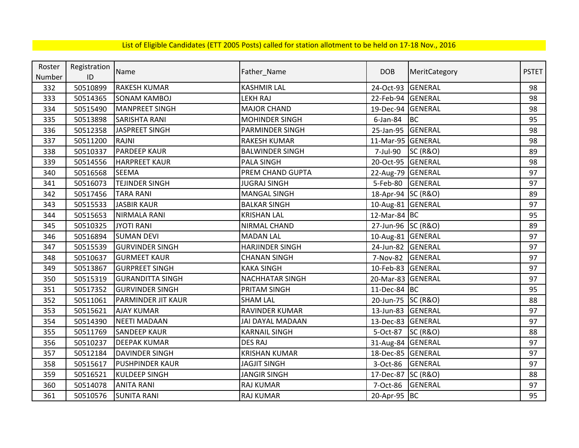| Roster | Registration | Name                      |                        | <b>DOB</b>         |                     | <b>PSTET</b> |
|--------|--------------|---------------------------|------------------------|--------------------|---------------------|--------------|
| Number | ID           |                           | Father_Name            |                    | MeritCategory       |              |
| 332    | 50510899     | <b>RAKESH KUMAR</b>       | <b>KASHMIR LAL</b>     | 24-Oct-93          | <b>GENERAL</b>      | 98           |
| 333    | 50514365     | <b>SONAM KAMBOJ</b>       | LEKH RAJ               | 22-Feb-94          | GENERAL             | 98           |
| 334    | 50515490     | <b>MANPREET SINGH</b>     | <b>MAJOR CHAND</b>     | 19-Dec-94 GENERAL  |                     | 98           |
| 335    | 50513898     | <b>SARISHTA RANI</b>      | <b>MOHINDER SINGH</b>  | 6-Jan-84           | <b>BC</b>           | 95           |
| 336    | 50512358     | <b>JASPREET SINGH</b>     | PARMINDER SINGH        | 25-Jan-95          | GENERAL             | 98           |
| 337    | 50511200     | <b>RAJNI</b>              | <b>RAKESH KUMAR</b>    | 11-Mar-95 GENERAL  |                     | 98           |
| 338    | 50510337     | <b>PARDEEP KAUR</b>       | <b>BALWINDER SINGH</b> | 7-Jul-90           | <b>SC (R&amp;O)</b> | 89           |
| 339    | 50514556     | <b>HARPREET KAUR</b>      | <b>PALA SINGH</b>      | 20-Oct-95          | GENERAL             | 98           |
| 340    | 50516568     | <b>SEEMA</b>              | PREM CHAND GUPTA       | 22-Aug-79 GENERAL  |                     | 97           |
| 341    | 50516073     | <b>TEJINDER SINGH</b>     | <b>JUGRAJ SINGH</b>    | 5-Feb-80           | <b>GENERAL</b>      | 97           |
| 342    | 50517456     | <b>TARA RANI</b>          | <b>MANGAL SINGH</b>    | 18-Apr-94 SC (R&O) |                     | 89           |
| 343    | 50515533     | JASBIR KAUR               | <b>BALKAR SINGH</b>    | 10-Aug-81 GENERAL  |                     | 97           |
| 344    | 50515653     | <b>NIRMALA RANI</b>       | <b>KRISHAN LAL</b>     | 12-Mar-84 BC       |                     | 95           |
| 345    | 50510325     | <b>JYOTI RANI</b>         | NIRMAL CHAND           | 27-Jun-96 SC (R&O) |                     | 89           |
| 346    | 50516894     | <b>SUMAN DEVI</b>         | <b>MADAN LAL</b>       | 10-Aug-81 GENERAL  |                     | 97           |
| 347    | 50515539     | <b>GURVINDER SINGH</b>    | <b>HARJINDER SINGH</b> | 24-Jun-82 GENERAL  |                     | 97           |
| 348    | 50510637     | <b>GURMEET KAUR</b>       | <b>CHANAN SINGH</b>    | 7-Nov-82           | <b>GENERAL</b>      | 97           |
| 349    | 50513867     | <b>GURPREET SINGH</b>     | <b>KAKA SINGH</b>      | 10-Feb-83 GENERAL  |                     | 97           |
| 350    | 50515319     | <b>GURANDITTA SINGH</b>   | <b>NACHHATAR SINGH</b> | 20-Mar-83 GENERAL  |                     | 97           |
| 351    | 50517352     | <b>GURVINDER SINGH</b>    | PRITAM SINGH           | 11-Dec-84 BC       |                     | 95           |
| 352    | 50511061     | <b>PARMINDER JIT KAUR</b> | <b>SHAM LAL</b>        | 20-Jun-75 SC (R&O) |                     | 88           |
| 353    | 50515621     | <b>AJAY KUMAR</b>         | RAVINDER KUMAR         | 13-Jun-83 GENERAL  |                     | 97           |
| 354    | 50514390     | <b>NEETI MADAAN</b>       | JAI DAYAL MADAAN       | 13-Dec-83 GENERAL  |                     | 97           |
| 355    | 50511769     | <b>SANDEEP KAUR</b>       | <b>KARNAIL SINGH</b>   | 5-Oct-87           | <b>SC (R&amp;O)</b> | 88           |
| 356    | 50510237     | <b>DEEPAK KUMAR</b>       | <b>DES RAJ</b>         | 31-Aug-84 GENERAL  |                     | 97           |
| 357    | 50512184     | <b>DAVINDER SINGH</b>     | <b>KRISHAN KUMAR</b>   | 18-Dec-85 GENERAL  |                     | 97           |
| 358    | 50515617     | <b>PUSHPINDER KAUR</b>    | <b>JAGJIT SINGH</b>    | 3-Oct-86           | <b>GENERAL</b>      | 97           |
| 359    | 50516521     | <b>KULDEEP SINGH</b>      | <b>JANGIR SINGH</b>    | 17-Dec-87          | <b>SC (R&amp;O)</b> | 88           |
| 360    | 50514078     | <b>ANITA RANI</b>         | <b>RAJ KUMAR</b>       | 7-Oct-86           | GENERAL             | 97           |
| 361    | 50510576     | <b>SUNITA RANI</b>        | RAJ KUMAR              | 20-Apr-95 BC       |                     | 95           |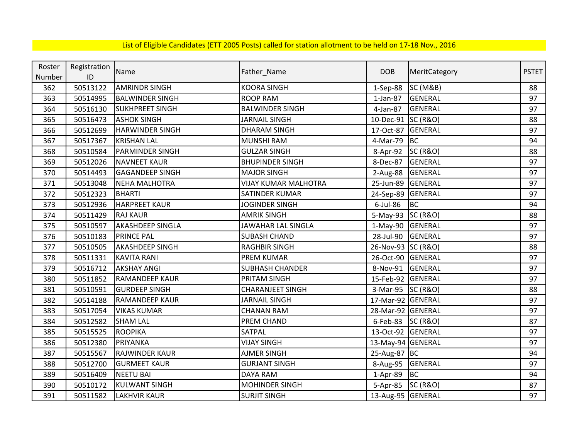| Roster | Registration | Name                    |                             | <b>DOB</b>         |                     | <b>PSTET</b> |
|--------|--------------|-------------------------|-----------------------------|--------------------|---------------------|--------------|
| Number | ID           |                         | Father_Name                 |                    | MeritCategory       |              |
| 362    | 50513122     | <b>AMRINDR SINGH</b>    | <b>KOORA SINGH</b>          | $1-Sep-88$         | <b>SC (M&amp;B)</b> | 88           |
| 363    | 50514995     | <b>BALWINDER SINGH</b>  | <b>ROOP RAM</b>             | $1$ -Jan-87        | <b>GENERAL</b>      | 97           |
| 364    | 50516130     | <b>SUKHPREET SINGH</b>  | <b>BALWINDER SINGH</b>      | 4-Jan-87           | GENERAL             | 97           |
| 365    | 50516473     | <b>ASHOK SINGH</b>      | <b>JARNAIL SINGH</b>        | 10-Dec-91 SC (R&O) |                     | 88           |
| 366    | 50512699     | <b>HARWINDER SINGH</b>  | <b>DHARAM SINGH</b>         | 17-Oct-87          | GENERAL             | 97           |
| 367    | 50517367     | <b>KRISHAN LAL</b>      | <b>MUNSHI RAM</b>           | 4-Mar-79           | <b>BC</b>           | 94           |
| 368    | 50510584     | <b>PARMINDER SINGH</b>  | <b>GULZAR SINGH</b>         | 8-Apr-92           | <b>SC (R&amp;O)</b> | 88           |
| 369    | 50512026     | <b>NAVNEET KAUR</b>     | <b>BHUPINDER SINGH</b>      | 8-Dec-87           | <b>GENERAL</b>      | 97           |
| 370    | 50514493     | <b>GAGANDEEP SINGH</b>  | <b>MAJOR SINGH</b>          | 2-Aug-88           | <b>GENERAL</b>      | 97           |
| 371    | 50513048     | <b>NEHA MALHOTRA</b>    | <b>VIJAY KUMAR MALHOTRA</b> | 25-Jun-89          | <b>GENERAL</b>      | 97           |
| 372    | 50512323     | <b>BHARTI</b>           | SATINDER KUMAR              | 24-Sep-89          | <b>GENERAL</b>      | 97           |
| 373    | 50512936     | <b>HARPREET KAUR</b>    | <b>JOGINDER SINGH</b>       | $6$ -Jul-86        | <b>BC</b>           | 94           |
| 374    | 50511429     | <b>RAJ KAUR</b>         | <b>AMRIK SINGH</b>          | 5-May-93           | <b>SC (R&amp;O)</b> | 88           |
| 375    | 50510597     | <b>AKASHDEEP SINGLA</b> | JAWAHAR LAL SINGLA          | $1-May-90$         | <b>GENERAL</b>      | 97           |
| 376    | 50510183     | <b>PRINCE PAL</b>       | <b>SUBASH CHAND</b>         | 28-Jul-90          | <b>GENERAL</b>      | 97           |
| 377    | 50510505     | <b>AKASHDEEP SINGH</b>  | <b>RAGHBIR SINGH</b>        | 26-Nov-93 SC (R&O) |                     | 88           |
| 378    | 50511331     | <b>KAVITA RANI</b>      | <b>PREM KUMAR</b>           | 26-Oct-90          | GENERAL             | 97           |
| 379    | 50516712     | <b>AKSHAY ANGI</b>      | <b>SUBHASH CHANDER</b>      | 8-Nov-91           | <b>GENERAL</b>      | 97           |
| 380    | 50511852     | <b>RAMANDEEP KAUR</b>   | PRITAM SINGH                | 15-Feb-92          | <b>GENERAL</b>      | 97           |
| 381    | 50510591     | <b>GURDEEP SINGH</b>    | <b>CHARANJEET SINGH</b>     | 3-Mar-95 SC (R&O)  |                     | 88           |
| 382    | 50514188     | <b>RAMANDEEP KAUR</b>   | <b>JARNAIL SINGH</b>        | 17-Mar-92 GENERAL  |                     | 97           |
| 383    | 50517054     | <b>VIKAS KUMAR</b>      | <b>CHANAN RAM</b>           | 28-Mar-92 GENERAL  |                     | 97           |
| 384    | 50512582     | <b>SHAM LAL</b>         | PREM CHAND                  | 6-Feb-83 SC (R&O)  |                     | 87           |
| 385    | 50515525     | <b>ROOPIKA</b>          | SATPAL                      | 13-Oct-92 GENERAL  |                     | 97           |
| 386    | 50512380     | PRIYANKA                | <b>VIJAY SINGH</b>          | 13-May-94 GENERAL  |                     | 97           |
| 387    | 50515567     | RAJWINDER KAUR          | <b>AJMER SINGH</b>          | 25-Aug-87 BC       |                     | 94           |
| 388    | 50512700     | <b>GURMEET KAUR</b>     | <b>GURJANT SINGH</b>        | 8-Aug-95           | <b>GENERAL</b>      | 97           |
| 389    | 50516409     | <b>NEETU BAI</b>        | <b>DAYA RAM</b>             | 1-Apr-89           | BC                  | 94           |
| 390    | 50510172     | <b>KULWANT SINGH</b>    | <b>MOHINDER SINGH</b>       | 5-Apr-85           | <b>SC (R&amp;O)</b> | 87           |
| 391    | 50511582     | <b>LAKHVIR KAUR</b>     | <b>SURJIT SINGH</b>         | 13-Aug-95 GENERAL  |                     | 97           |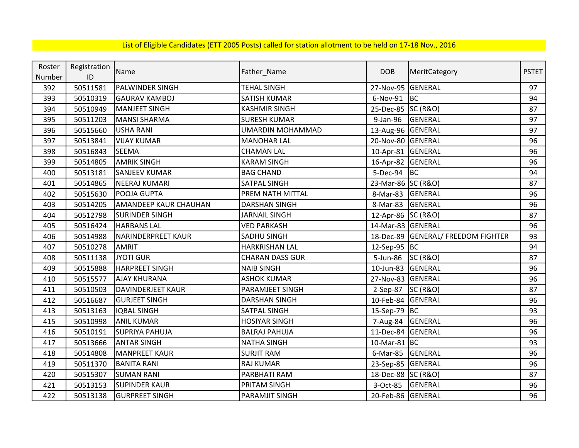| Roster | Registration | Name                         |                         | <b>DOB</b>         |                                 | <b>PSTET</b> |
|--------|--------------|------------------------------|-------------------------|--------------------|---------------------------------|--------------|
| Number | ID           |                              | Father_Name             |                    | MeritCategory                   |              |
| 392    | 50511581     | PALWINDER SINGH              | <b>TEHAL SINGH</b>      | 27-Nov-95          | GENERAL                         | 97           |
| 393    | 50510319     | <b>GAURAV KAMBOJ</b>         | <b>SATISH KUMAR</b>     | 6-Nov-91           | <b>BC</b>                       | 94           |
| 394    | 50510949     | <b>MANJEET SINGH</b>         | <b>KASHMIR SINGH</b>    | 25-Dec-85 SC (R&O) |                                 | 87           |
| 395    | 50511203     | <b>MANSI SHARMA</b>          | <b>SURESH KUMAR</b>     | 9-Jan-96           | <b>GENERAL</b>                  | 97           |
| 396    | 50515660     | <b>USHA RANI</b>             | <b>UMARDIN MOHAMMAD</b> | 13-Aug-96 GENERAL  |                                 | 97           |
| 397    | 50513841     | <b>VIJAY KUMAR</b>           | <b>MANOHAR LAL</b>      | 20-Nov-80 GENERAL  |                                 | 96           |
| 398    | 50516843     | SEEMA                        | <b>CHAMAN LAL</b>       | 10-Apr-81 GENERAL  |                                 | 96           |
| 399    | 50514805     | <b>AMRIK SINGH</b>           | <b>KARAM SINGH</b>      | 16-Apr-82 GENERAL  |                                 | 96           |
| 400    | 50513181     | <b>SANJEEV KUMAR</b>         | <b>BAG CHAND</b>        | $5-Dec-94$ BC      |                                 | 94           |
| 401    | 50514865     | <b>NEERAJ KUMARI</b>         | <b>SATPAL SINGH</b>     | 23-Mar-86 SC (R&O) |                                 | 87           |
| 402    | 50515630     | POOJA GUPTA                  | PREM NATH MITTAL        | 8-Mar-83           | <b>GENERAL</b>                  | 96           |
| 403    | 50514205     | <b>AMANDEEP KAUR CHAUHAN</b> | <b>DARSHAN SINGH</b>    | 8-Mar-83           | GENERAL                         | 96           |
| 404    | 50512798     | <b>SURINDER SINGH</b>        | <b>JARNAIL SINGH</b>    | 12-Apr-86 SC (R&O) |                                 | 87           |
| 405    | 50516424     | <b>HARBANS LAL</b>           | <b>VED PARKASH</b>      | 14-Mar-83 GENERAL  |                                 | 96           |
| 406    | 50514988     | <b>NARINDERPREET KAUR</b>    | SADHU SINGH             | 18-Dec-89          | <b>GENERAL/ FREEDOM FIGHTER</b> | 93           |
| 407    | 50510278     | <b>AMRIT</b>                 | <b>HARKRISHAN LAL</b>   | 12-Sep-95 BC       |                                 | 94           |
| 408    | 50511138     | <b>JYOTI GUR</b>             | <b>CHARAN DASS GUR</b>  | 5-Jun-86           | <b>SC (R&amp;O)</b>             | 87           |
| 409    | 50515888     | <b>HARPREET SINGH</b>        | <b>NAIB SINGH</b>       | 10-Jun-83          | <b>GENERAL</b>                  | 96           |
| 410    | 50515577     | <b>AJAY KHURANA</b>          | <b>ASHOK KUMAR</b>      | 27-Nov-83          | <b>GENERAL</b>                  | 96           |
| 411    | 50510503     | DAVINDERJEET KAUR            | PARAMJEET SINGH         | $2-Sep-87$         | <b>SC (R&amp;O)</b>             | 87           |
| 412    | 50516687     | <b>GURJEET SINGH</b>         | <b>DARSHAN SINGH</b>    | 10-Feb-84 GENERAL  |                                 | 96           |
| 413    | 50513163     | <b>IQBAL SINGH</b>           | SATPAL SINGH            | 15-Sep-79          | BC                              | 93           |
| 415    | 50510998     | <b>ANIL KUMAR</b>            | <b>HOSIYAR SINGH</b>    | 7-Aug-84           | <b>GENERAL</b>                  | 96           |
| 416    | 50510191     | <b>SUPRIYA PAHUJA</b>        | <b>BALRAJ PAHUJA</b>    | 11-Dec-84          | <b>GENERAL</b>                  | 96           |
| 417    | 50513666     | <b>ANTAR SINGH</b>           | <b>NATHA SINGH</b>      | 10-Mar-81 BC       |                                 | 93           |
| 418    | 50514808     | <b>MANPREET KAUR</b>         | <b>SURJIT RAM</b>       | 6-Mar-85           | GENERAL                         | 96           |
| 419    | 50511370     | <b>BANITA RANI</b>           | RAJ KUMAR               | 23-Sep-85 GENERAL  |                                 | 96           |
| 420    | 50515307     | <b>SUMAN RANI</b>            | PARBHATI RAM            | 18-Dec-88 SC (R&O) |                                 | 87           |
| 421    | 50513153     | <b>SUPINDER KAUR</b>         | PRITAM SINGH            | 3-Oct-85           | <b>GENERAL</b>                  | 96           |
| 422    | 50513138     | <b>GURPREET SINGH</b>        | PARAMJIT SINGH          | 20-Feb-86 GENERAL  |                                 | 96           |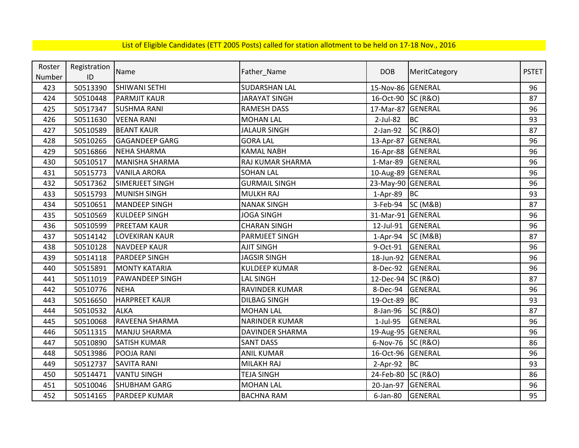| List of Eligible Candidates (ETT 2005 Posts) called for station allotment to be held on 17-18 Nov., 2016 |  |
|----------------------------------------------------------------------------------------------------------|--|
|----------------------------------------------------------------------------------------------------------|--|

| Roster | Registration  | Name                   |                        | <b>DOB</b>        |                     | <b>PSTET</b> |
|--------|---------------|------------------------|------------------------|-------------------|---------------------|--------------|
| Number | $\mathsf{ID}$ |                        | Father_Name            |                   | MeritCategory       |              |
| 423    | 50513390      | <b>SHIWANI SETHI</b>   | <b>SUDARSHAN LAL</b>   | 15-Nov-86 GENERAL |                     | 96           |
| 424    | 50510448      | <b>PARMJIT KAUR</b>    | <b>JARAYAT SINGH</b>   | 16-Oct-90         | <b>SC (R&amp;O)</b> | 87           |
| 425    | 50517347      | <b>SUSHMA RANI</b>     | <b>RAMESH DASS</b>     | 17-Mar-87         | GENERAL             | 96           |
| 426    | 50511630      | <b>VEENA RANI</b>      | <b>MOHAN LAL</b>       | 2-Jul-82          | <b>BC</b>           | 93           |
| 427    | 50510589      | <b>BEANT KAUR</b>      | <b>JALAUR SINGH</b>    | $2-Jan-92$        | <b>SC (R&amp;O)</b> | 87           |
| 428    | 50510265      | <b>GAGANDEEP GARG</b>  | <b>GORA LAL</b>        | 13-Apr-87         | <b>GENERAL</b>      | 96           |
| 429    | 50516866      | <b>NEHA SHARMA</b>     | <b>KAMAL NABH</b>      | 16-Apr-88         | <b>GENERAL</b>      | 96           |
| 430    | 50510517      | <b>MANISHA SHARMA</b>  | RAJ KUMAR SHARMA       | 1-Mar-89          | GENERAL             | 96           |
| 431    | 50515773      | <b>VANILA ARORA</b>    | <b>SOHAN LAL</b>       | 10-Aug-89 GENERAL |                     | 96           |
| 432    | 50517362      | SIMERJEET SINGH        | <b>GURMAIL SINGH</b>   | 23-May-90 GENERAL |                     | 96           |
| 433    | 50515793      | MUNISH SINGH           | <b>MULKH RAJ</b>       | 1-Apr-89 BC       |                     | 93           |
| 434    | 50510651      | <b>MANDEEP SINGH</b>   | <b>NANAK SINGH</b>     | 3-Feb-94          | SC (M&B)            | 87           |
| 435    | 50510569      | <b>KULDEEP SINGH</b>   | <b>JOGA SINGH</b>      | 31-Mar-91         | GENERAL             | 96           |
| 436    | 50510599      | <b>PREETAM KAUR</b>    | <b>CHARAN SINGH</b>    | 12-Jul-91         | <b>GENERAL</b>      | 96           |
| 437    | 50514142      | <b>LOVEKIRAN KAUR</b>  | PARMJEET SINGH         | $1-Apr-94$        | <b>SC (M&amp;B)</b> | 87           |
| 438    | 50510128      | <b>NAVDEEP KAUR</b>    | <b>AJIT SINGH</b>      | 9-Oct-91          | <b>GENERAL</b>      | 96           |
| 439    | 50514118      | <b>PARDEEP SINGH</b>   | <b>JAGSIR SINGH</b>    | 18-Jun-92         | GENERAL             | 96           |
| 440    | 50515891      | <b>MONTY KATARIA</b>   | <b>KULDEEP KUMAR</b>   | 8-Dec-92          | GENERAL             | 96           |
| 441    | 50511019      | <b>PAWANDEEP SINGH</b> | <b>LAL SINGH</b>       | 12-Dec-94         | <b>SC (R&amp;O)</b> | 87           |
| 442    | 50510776      | <b>NEHA</b>            | RAVINDER KUMAR         | 8-Dec-94          | <b>GENERAL</b>      | 96           |
| 443    | 50516650      | <b>HARPREET KAUR</b>   | <b>DILBAG SINGH</b>    | 19-Oct-89 BC      |                     | 93           |
| 444    | 50510532      | <b>ALKA</b>            | <b>MOHAN LAL</b>       | 8-Jan-96          | <b>SC (R&amp;O)</b> | 87           |
| 445    | 50510068      | RAVEENA SHARMA         | <b>NARINDER KUMAR</b>  | 1-Jul-95          | <b>GENERAL</b>      | 96           |
| 446    | 50511315      | <b>MANJU SHARMA</b>    | <b>DAVINDER SHARMA</b> | 19-Aug-95 GENERAL |                     | 96           |
| 447    | 50510890      | <b>SATISH KUMAR</b>    | <b>SANT DASS</b>       | 6-Nov-76          | <b>SC (R&amp;O)</b> | 86           |
| 448    | 50513986      | POOJA RANI             | <b>ANIL KUMAR</b>      | 16-Oct-96 GENERAL |                     | 96           |
| 449    | 50512737      | <b>SAVITA RANI</b>     | MILAKH RAJ             | 2-Apr-92          | <b>BC</b>           | 93           |
| 450    | 50514471      | <b>VANTU SINGH</b>     | <b>TEJA SINGH</b>      | 24-Feb-80         | <b>SC (R&amp;O)</b> | 86           |
| 451    | 50510046      | <b>SHUBHAM GARG</b>    | <b>MOHAN LAL</b>       | 20-Jan-97         | <b>GENERAL</b>      | 96           |
| 452    | 50514165      | <b>PARDEEP KUMAR</b>   | <b>BACHNA RAM</b>      | $6$ -Jan-80       | GENERAL             | 95           |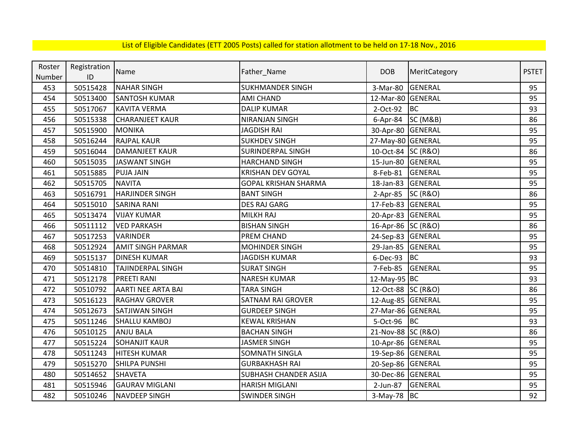| Roster | Registration |                           |                              | <b>DOB</b>         |                     | <b>PSTET</b> |
|--------|--------------|---------------------------|------------------------------|--------------------|---------------------|--------------|
| Number | ID           | Name                      | Father_Name                  |                    | MeritCategory       |              |
| 453    | 50515428     | <b>NAHAR SINGH</b>        | <b>SUKHMANDER SINGH</b>      | 3-Mar-80           | <b>GENERAL</b>      | 95           |
| 454    | 50513400     | <b>SANTOSH KUMAR</b>      | <b>AMI CHAND</b>             | 12-Mar-80 GENERAL  |                     | 95           |
| 455    | 50517067     | <b>KAVITA VERMA</b>       | <b>DALIP KUMAR</b>           | 2-Oct-92           | BC                  | 93           |
| 456    | 50515338     | <b>CHARANJEET KAUR</b>    | NIRANJAN SINGH               | 6-Apr-84           | <b>SC (M&amp;B)</b> | 86           |
| 457    | 50515900     | <b>MONIKA</b>             | <b>JAGDISH RAI</b>           | 30-Apr-80          | <b>GENERAL</b>      | 95           |
| 458    | 50516244     | <b>RAJPAL KAUR</b>        | <b>SUKHDEV SINGH</b>         | 27-May-80 GENERAL  |                     | 95           |
| 459    | 50516044     | <b>DAMANJEET KAUR</b>     | <b>SURINDERPAL SINGH</b>     | 10-Oct-84 SC (R&O) |                     | 86           |
| 460    | 50515035     | <b>JASWANT SINGH</b>      | <b>HARCHAND SINGH</b>        | 15-Jun-80          | <b>GENERAL</b>      | 95           |
| 461    | 50515885     | <b>PUJA JAIN</b>          | <b>KRISHAN DEV GOYAL</b>     | 8-Feb-81           | <b>GENERAL</b>      | 95           |
| 462    | 50515705     | <b>NAVITA</b>             | <b>GOPAL KRISHAN SHARMA</b>  | 18-Jan-83          | <b>GENERAL</b>      | 95           |
| 463    | 50516791     | <b>HARJINDER SINGH</b>    | <b>BANT SINGH</b>            | $2-Apr-85$         | <b>SC (R&amp;O)</b> | 86           |
| 464    | 50515010     | <b>SARINA RANI</b>        | <b>DES RAJ GARG</b>          | 17-Feb-83          | <b>GENERAL</b>      | 95           |
| 465    | 50513474     | <b>VIJAY KUMAR</b>        | <b>MILKH RAJ</b>             | 20-Apr-83          | GENERAL             | 95           |
| 466    | 50511112     | <b>VED PARKASH</b>        | <b>BISHAN SINGH</b>          | 16-Apr-86 SC (R&O) |                     | 86           |
| 467    | 50517253     | <b>VARINDER</b>           | PREM CHAND                   | 24-Sep-83 GENERAL  |                     | 95           |
| 468    | 50512924     | <b>AMIT SINGH PARMAR</b>  | <b>MOHINDER SINGH</b>        | 29-Jan-85          | <b>GENERAL</b>      | 95           |
| 469    | 50515137     | <b>DINESH KUMAR</b>       | <b>JAGDISH KUMAR</b>         | 6-Dec-93           | <b>BC</b>           | 93           |
| 470    | 50514810     | <b>TAJINDERPAL SINGH</b>  | <b>SURAT SINGH</b>           | 7-Feb-85           | <b>GENERAL</b>      | 95           |
| 471    | 50512178     | <b>PREETI RANI</b>        | <b>NARESH KUMAR</b>          | 12-May-95 BC       |                     | 93           |
| 472    | 50510792     | <b>AARTI NEE ARTA BAI</b> | <b>TARA SINGH</b>            | 12-Oct-88 SC (R&O) |                     | 86           |
| 473    | 50516123     | <b>RAGHAV GROVER</b>      | <b>SATNAM RAI GROVER</b>     | 12-Aug-85 GENERAL  |                     | 95           |
| 474    | 50512673     | SATJIWAN SINGH            | <b>GURDEEP SINGH</b>         | 27-Mar-86 GENERAL  |                     | 95           |
| 475    | 50511246     | <b>SHALLU KAMBOJ</b>      | <b>KEWAL KRISHAN</b>         | 5-Oct-96           | <b>BC</b>           | 93           |
| 476    | 50510125     | <b>ANJU BALA</b>          | <b>BACHAN SINGH</b>          | 21-Nov-88 SC (R&O) |                     | 86           |
| 477    | 50515224     | <b>SOHANJIT KAUR</b>      | <b>JASMER SINGH</b>          | 10-Apr-86 GENERAL  |                     | 95           |
| 478    | 50511243     | <b>HITESH KUMAR</b>       | <b>SOMNATH SINGLA</b>        | 19-Sep-86 GENERAL  |                     | 95           |
| 479    | 50515270     | SHILPA PUNSHI             | <b>GURBAKHASH RAI</b>        | 20-Sep-86 GENERAL  |                     | 95           |
| 480    | 50514652     | <b>SHAVETA</b>            | <b>SUBHASH CHANDER ASIJA</b> | 30-Dec-86 GENERAL  |                     | 95           |
| 481    | 50515946     | <b>GAURAV MIGLANI</b>     | <b>HARISH MIGLANI</b>        | 2-Jun-87           | <b>GENERAL</b>      | 95           |
| 482    | 50510246     | <b>NAVDEEP SINGH</b>      | <b>SWINDER SINGH</b>         | $3-May-78$ BC      |                     | 92           |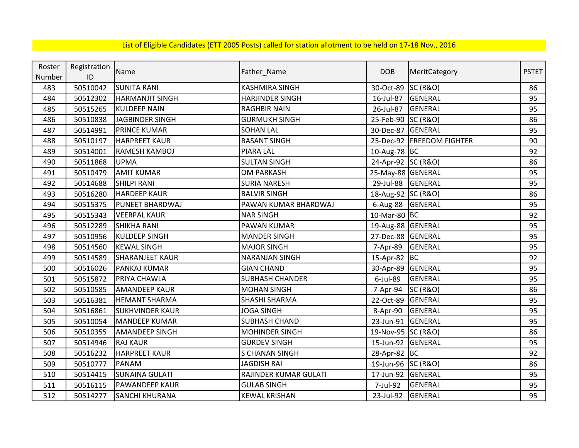| Roster | Registration | Name                   |                        | <b>DOB</b>         | MeritCategory             | <b>PSTET</b> |
|--------|--------------|------------------------|------------------------|--------------------|---------------------------|--------------|
| Number | ID           |                        | Father_Name            |                    |                           |              |
| 483    | 50510042     | <b>SUNITA RANI</b>     | <b>KASHMIRA SINGH</b>  | 30-Oct-89          | <b>SC (R&amp;O)</b>       | 86           |
| 484    | 50512302     | <b>HARMANJIT SINGH</b> | <b>HARJINDER SINGH</b> | 16-Jul-87          | <b>GENERAL</b>            | 95           |
| 485    | 50515265     | <b>KULDEEP NAIN</b>    | <b>RAGHBIR NAIN</b>    | 26-Jul-87          | <b>GENERAL</b>            | 95           |
| 486    | 50510838     | <b>JAGBINDER SINGH</b> | <b>GURMUKH SINGH</b>   | 25-Feb-90 SC (R&O) |                           | 86           |
| 487    | 50514991     | <b>PRINCE KUMAR</b>    | <b>SOHAN LAL</b>       | 30-Dec-87 GENERAL  |                           | 95           |
| 488    | 50510197     | <b>HARPREET KAUR</b>   | <b>BASANT SINGH</b>    |                    | 25-Dec-92 FREEDOM FIGHTER | 90           |
| 489    | 50514001     | <b>RAMESH KAMBOJ</b>   | PIARA LAL              | 10-Aug-78 BC       |                           | 92           |
| 490    | 50511868     | <b>UPMA</b>            | <b>SULTAN SINGH</b>    | 24-Apr-92 SC (R&O) |                           | 86           |
| 491    | 50510479     | <b>AMIT KUMAR</b>      | <b>OM PARKASH</b>      | 25-May-88 GENERAL  |                           | 95           |
| 492    | 50514688     | <b>SHILPI RANI</b>     | <b>SURIA NARESH</b>    | 29-Jul-88 GENERAL  |                           | 95           |
| 493    | 50516280     | <b>HARDEEP KAUR</b>    | <b>BALVIR SINGH</b>    | 18-Aug-92 SC (R&O) |                           | 86           |
| 494    | 50515375     | <b>PUNEET BHARDWAJ</b> | PAWAN KUMAR BHARDWAJ   | 6-Aug-88 GENERAL   |                           | 95           |
| 495    | 50515343     | <b>VEERPAL KAUR</b>    | <b>NAR SINGH</b>       | 10-Mar-80 BC       |                           | 92           |
| 496    | 50512289     | <b>SHIKHA RANI</b>     | PAWAN KUMAR            | 19-Aug-88 GENERAL  |                           | 95           |
| 497    | 50510956     | KULDEEP SINGH          | <b>MANDER SINGH</b>    | 27-Dec-88 GENERAL  |                           | 95           |
| 498    | 50514560     | <b>KEWAL SINGH</b>     | <b>MAJOR SINGH</b>     | 7-Apr-89           | <b>GENERAL</b>            | 95           |
| 499    | 50514589     | <b>SHARANJEET KAUR</b> | <b>NARANJAN SINGH</b>  | 15-Apr-82 BC       |                           | 92           |
| 500    | 50516026     | <b>PANKAJ KUMAR</b>    | <b>GIAN CHAND</b>      | 30-Apr-89          | GENERAL                   | 95           |
| 501    | 50515872     | PRIYA CHAWLA           | <b>SUBHASH CHANDER</b> | $6$ -Jul-89        | <b>GENERAL</b>            | 95           |
| 502    | 50510585     | <b>AMANDEEP KAUR</b>   | <b>MOHAN SINGH</b>     | 7-Apr-94           | <b>SC (R&amp;O)</b>       | 86           |
| 503    | 50516381     | <b>HEMANT SHARMA</b>   | SHASHI SHARMA          | 22-Oct-89          | <b>GENERAL</b>            | 95           |
| 504    | 50516861     | <b>SUKHVINDER KAUR</b> | <b>JOGA SINGH</b>      | 8-Apr-90           | GENERAL                   | 95           |
| 505    | 50510054     | <b>MANDEEP KUMAR</b>   | <b>SUBHASH CHAND</b>   | 23-Jun-91          | <b>GENERAL</b>            | 95           |
| 506    | 50510355     | <b>AMANDEEP SINGH</b>  | <b>MOHINDER SINGH</b>  | 19-Nov-95 SC (R&O) |                           | 86           |
| 507    | 50514946     | <b>RAJ KAUR</b>        | <b>GURDEV SINGH</b>    | 15-Jun-92          | <b>GENERAL</b>            | 95           |
| 508    | 50516232     | <b>HARPREET KAUR</b>   | <b>S CHANAN SINGH</b>  | 28-Apr-82 BC       |                           | 92           |
| 509    | 50510777     | <b>PANAM</b>           | <b>JAGDISH RAI</b>     | 19-Jun-96 SC (R&O) |                           | 86           |
| 510    | 50514415     | <b>SUNAINA GULATI</b>  | RAJINDER KUMAR GULATI  | 17-Jun-92          | GENERAL                   | 95           |
| 511    | 50516115     | <b>PAWANDEEP KAUR</b>  | <b>GULAB SINGH</b>     | 7-Jul-92           | GENERAL                   | 95           |
| 512    | 50514277     | <b>SANCHI KHURANA</b>  | <b>KEWAL KRISHAN</b>   | 23-Jul-92          | GENERAL                   | 95           |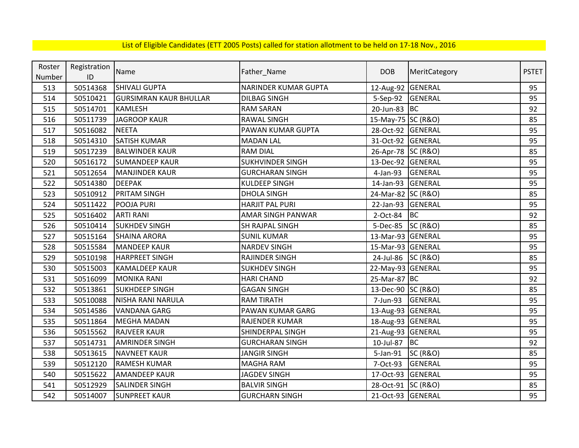| Roster | Registration | Name                          | Father_Name                 | <b>DOB</b>         | MeritCategory       | <b>PSTET</b> |
|--------|--------------|-------------------------------|-----------------------------|--------------------|---------------------|--------------|
| Number | ID           |                               |                             |                    |                     |              |
| 513    | 50514368     | <b>SHIVALI GUPTA</b>          | <b>NARINDER KUMAR GUPTA</b> | 12-Aug-92 GENERAL  |                     | 95           |
| 514    | 50510421     | <b>GURSIMRAN KAUR BHULLAR</b> | <b>DILBAG SINGH</b>         | 5-Sep-92           | GENERAL             | 95           |
| 515    | 50514701     | <b>KAMLESH</b>                | <b>RAM SARAN</b>            | 20-Jun-83 BC       |                     | 92           |
| 516    | 50511739     | <b>JAGROOP KAUR</b>           | <b>RAWAL SINGH</b>          | 15-May-75 SC (R&O) |                     | 85           |
| 517    | 50516082     | <b>NEETA</b>                  | PAWAN KUMAR GUPTA           | 28-Oct-92 GENERAL  |                     | 95           |
| 518    | 50514310     | <b>SATISH KUMAR</b>           | <b>MADAN LAL</b>            | 31-Oct-92 GENERAL  |                     | 95           |
| 519    | 50517239     | <b>BALWINDER KAUR</b>         | <b>RAM DIAL</b>             | 26-Apr-78 SC (R&O) |                     | 85           |
| 520    | 50516172     | <b>SUMANDEEP KAUR</b>         | <b>SUKHVINDER SINGH</b>     | 13-Dec-92 GENERAL  |                     | 95           |
| 521    | 50512654     | <b>MANJINDER KAUR</b>         | <b>GURCHARAN SINGH</b>      | 4-Jan-93           | <b>GENERAL</b>      | 95           |
| 522    | 50514380     | <b>DEEPAK</b>                 | <b>KULDEEP SINGH</b>        | 14-Jan-93 GENERAL  |                     | 95           |
| 523    | 50510912     | PRITAM SINGH                  | <b>DHOLA SINGH</b>          | 24-Mar-82 SC (R&O) |                     | 85           |
| 524    | 50511422     | POOJA PURI                    | <b>HARJIT PAL PURI</b>      | 22-Jan-93 GENERAL  |                     | 95           |
| 525    | 50516402     | <b>ARTI RANI</b>              | AMAR SINGH PANWAR           | 2-Oct-84           | BC                  | 92           |
| 526    | 50510414     | <b>SUKHDEV SINGH</b>          | SH RAJPAL SINGH             | 5-Dec-85 SC (R&O)  |                     | 85           |
| 527    | 50515164     | <b>SHAINA ARORA</b>           | <b>SUNIL KUMAR</b>          | 13-Mar-93 GENERAL  |                     | 95           |
| 528    | 50515584     | <b>MANDEEP KAUR</b>           | <b>NARDEV SINGH</b>         | 15-Mar-93 GENERAL  |                     | 95           |
| 529    | 50510198     | <b>HARPREET SINGH</b>         | RAJINDER SINGH              | 24-Jul-86 SC (R&O) |                     | 85           |
| 530    | 50515003     | <b>KAMALDEEP KAUR</b>         | <b>SUKHDEV SINGH</b>        | 22-May-93 GENERAL  |                     | 95           |
| 531    | 50516099     | <b>MONIKA RANI</b>            | <b>HARI CHAND</b>           | 25-Mar-87 BC       |                     | 92           |
| 532    | 50513861     | <b>SUKHDEEP SINGH</b>         | <b>GAGAN SINGH</b>          | 13-Dec-90 SC (R&O) |                     | 85           |
| 533    | 50510088     | NISHA RANI NARULA             | <b>RAM TIRATH</b>           | 7-Jun-93           | <b>GENERAL</b>      | 95           |
| 534    | 50514586     | <b>VANDANA GARG</b>           | PAWAN KUMAR GARG            | 13-Aug-93 GENERAL  |                     | 95           |
| 535    | 50511864     | <b>MEGHA MADAN</b>            | <b>RAJENDER KUMAR</b>       | 18-Aug-93 GENERAL  |                     | 95           |
| 536    | 50515562     | <b>RAJVEER KAUR</b>           | SHINDERPAL SINGH            | 21-Aug-93 GENERAL  |                     | 95           |
| 537    | 50514731     | <b>AMRINDER SINGH</b>         | <b>GURCHARAN SINGH</b>      | 10-Jul-87          | <b>BC</b>           | 92           |
| 538    | 50513615     | <b>NAVNEET KAUR</b>           | <b>JANGIR SINGH</b>         | 5-Jan-91           | <b>SC (R&amp;O)</b> | 85           |
| 539    | 50512120     | <b>RAMESH KUMAR</b>           | MAGHA RAM                   | 7-Oct-93           | GENERAL             | 95           |
| 540    | 50515622     | <b>AMANDEEP KAUR</b>          | <b>JAGDEV SINGH</b>         | 17-Oct-93 GENERAL  |                     | 95           |
| 541    | 50512929     | <b>SALINDER SINGH</b>         | <b>BALVIR SINGH</b>         | 28-Oct-91 SC (R&O) |                     | 85           |
| 542    | 50514007     | <b>SUNPREET KAUR</b>          | <b>GURCHARN SINGH</b>       | 21-Oct-93 GENERAL  |                     | 95           |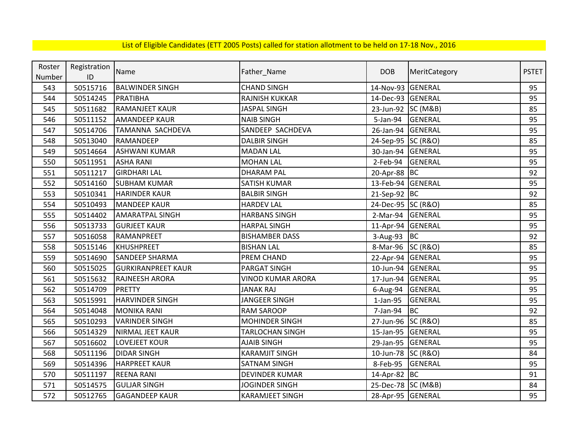| Roster | Registration | Name                      |                          | <b>DOB</b>         | MeritCategory       | <b>PSTET</b> |
|--------|--------------|---------------------------|--------------------------|--------------------|---------------------|--------------|
| Number | ID           |                           | Father_Name              |                    |                     |              |
| 543    | 50515716     | <b>BALWINDER SINGH</b>    | <b>CHAND SINGH</b>       | 14-Nov-93          | GENERAL             | 95           |
| 544    | 50514245     | PRATIBHA                  | RAJNISH KUKKAR           | 14-Dec-93 GENERAL  |                     | 95           |
| 545    | 50511682     | <b>RAMANJEET KAUR</b>     | <b>JASPAL SINGH</b>      | 23-Jun-92 SC (M&B) |                     | 85           |
| 546    | 50511152     | <b>AMANDEEP KAUR</b>      | <b>NAIB SINGH</b>        | 5-Jan-94           | <b>GENERAL</b>      | 95           |
| 547    | 50514706     | TAMANNA SACHDEVA          | SANDEEP SACHDEVA         | 26-Jan-94          | GENERAL             | 95           |
| 548    | 50513040     | RAMANDEEP                 | <b>DALBIR SINGH</b>      | 24-Sep-95 SC (R&O) |                     | 85           |
| 549    | 50514664     | <b>ASHWANI KUMAR</b>      | <b>MADAN LAL</b>         | 30-Jan-94          | <b>GENERAL</b>      | 95           |
| 550    | 50511951     | <b>ASHA RANI</b>          | <b>MOHAN LAL</b>         | 2-Feb-94           | <b>GENERAL</b>      | 95           |
| 551    | 50511217     | <b>GIRDHARI LAL</b>       | <b>DHARAM PAL</b>        | 20-Apr-88 BC       |                     | 92           |
| 552    | 50514160     | <b>SUBHAM KUMAR</b>       | <b>SATISH KUMAR</b>      | 13-Feb-94 GENERAL  |                     | 95           |
| 553    | 50510341     | <b>HARINDER KAUR</b>      | <b>BALBIR SINGH</b>      | 21-Sep-92 BC       |                     | 92           |
| 554    | 50510493     | <b>MANDEEP KAUR</b>       | <b>HARDEV LAL</b>        | 24-Dec-95 SC (R&O) |                     | 85           |
| 555    | 50514402     | <b>AMARATPAL SINGH</b>    | <b>HARBANS SINGH</b>     | 2-Mar-94           | <b>GENERAL</b>      | 95           |
| 556    | 50513733     | <b>GURJEET KAUR</b>       | <b>HARPAL SINGH</b>      | 11-Apr-94 GENERAL  |                     | 95           |
| 557    | 50516058     | RAMANPREET                | <b>BISHAMBER DASS</b>    | 3-Aug-93 $ BC$     |                     | 92           |
| 558    | 50515146     | <b>KHUSHPREET</b>         | <b>BISHAN LAL</b>        | 8-Mar-96 SC (R&O)  |                     | 85           |
| 559    | 50514690     | SANDEEP SHARMA            | PREM CHAND               | 22-Apr-94 GENERAL  |                     | 95           |
| 560    | 50515025     | <b>GURKIRANPREET KAUR</b> | PARGAT SINGH             | 10-Jun-94          | GENERAL             | 95           |
| 561    | 50515632     | RAJNEESH ARORA            | <b>VINOD KUMAR ARORA</b> | 17-Jun-94          | <b>GENERAL</b>      | 95           |
| 562    | 50514709     | <b>PRETTY</b>             | <b>JANAK RAJ</b>         | 6-Aug-94           | <b>GENERAL</b>      | 95           |
| 563    | 50515991     | <b>HARVINDER SINGH</b>    | <b>JANGEER SINGH</b>     | $1-Jan-95$         | <b>GENERAL</b>      | 95           |
| 564    | 50514048     | <b>MONIKA RANI</b>        | <b>RAM SAROOP</b>        | 7-Jan-94           | <b>BC</b>           | 92           |
| 565    | 50510293     | <b>VARINDER SINGH</b>     | <b>MOHINDER SINGH</b>    | 27-Jun-96 SC (R&O) |                     | 85           |
| 566    | 50514329     | NIRMAL JEET KAUR          | <b>TARLOCHAN SINGH</b>   | 15-Jan-95          | <b>GENERAL</b>      | 95           |
| 567    | 50516602     | LOVEJEET KOUR             | <b>AJAIB SINGH</b>       | 29-Jan-95          | <b>GENERAL</b>      | 95           |
| 568    | 50511196     | <b>DIDAR SINGH</b>        | <b>KARAMJIT SINGH</b>    | 10-Jun-78          | <b>SC (R&amp;O)</b> | 84           |
| 569    | 50514396     | <b>HARPREET KAUR</b>      | <b>SATNAM SINGH</b>      | 8-Feb-95           | GENERAL             | 95           |
| 570    | 50511197     | <b>REENA RANI</b>         | <b>DEVINDER KUMAR</b>    | 14-Apr-82 BC       |                     | 91           |
| 571    | 50514575     | <b>GULJAR SINGH</b>       | <b>JOGINDER SINGH</b>    | 25-Dec-78 SC (M&B) |                     | 84           |
| 572    | 50512765     | <b>GAGANDEEP KAUR</b>     | <b>KARAMJEET SINGH</b>   | 28-Apr-95 GENERAL  |                     | 95           |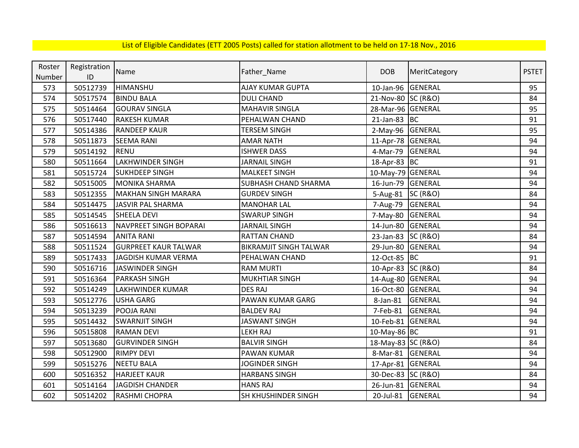| Roster | Registration | Name                        |                               | <b>DOB</b>         |                     | <b>PSTET</b> |
|--------|--------------|-----------------------------|-------------------------------|--------------------|---------------------|--------------|
| Number | ID           |                             | Father_Name                   |                    | MeritCategory       |              |
| 573    | 50512739     | HIMANSHU                    | <b>AJAY KUMAR GUPTA</b>       | 10-Jan-96          | <b>GENERAL</b>      | 95           |
| 574    | 50517574     | <b>BINDU BALA</b>           | <b>DULI CHAND</b>             | 21-Nov-80 SC (R&O) |                     | 84           |
| 575    | 50514464     | <b>GOURAV SINGLA</b>        | <b>MAHAVIR SINGLA</b>         | 28-Mar-96 GENERAL  |                     | 95           |
| 576    | 50517440     | <b>RAKESH KUMAR</b>         | PEHALWAN CHAND                | $21$ -Jan-83 BC    |                     | 91           |
| 577    | 50514386     | <b>RANDEEP KAUR</b>         | <b>TERSEM SINGH</b>           | 2-May-96 GENERAL   |                     | 95           |
| 578    | 50511873     | <b>SEEMA RANI</b>           | <b>AMAR NATH</b>              | 11-Apr-78 GENERAL  |                     | 94           |
| 579    | 50514192     | <b>RENU</b>                 | <b>ISHWER DASS</b>            | 4-Mar-79           | <b>GENERAL</b>      | 94           |
| 580    | 50511664     | <b>LAKHWINDER SINGH</b>     | <b>JARNAIL SINGH</b>          | 18-Apr-83 BC       |                     | 91           |
| 581    | 50515724     | <b>SUKHDEEP SINGH</b>       | <b>MALKEET SINGH</b>          | 10-May-79 GENERAL  |                     | 94           |
| 582    | 50515005     | <b>MONIKA SHARMA</b>        | <b>SUBHASH CHAND SHARMA</b>   | 16-Jun-79          | GENERAL             | 94           |
| 583    | 50512355     | <b>MAKHAN SINGH MARARA</b>  | <b>GURDEV SINGH</b>           | 5-Aug-81           | <b>SC (R&amp;O)</b> | 84           |
| 584    | 50514475     | <b>JASVIR PAL SHARMA</b>    | <b>MANOHAR LAL</b>            | 7-Aug-79           | <b>GENERAL</b>      | 94           |
| 585    | 50514545     | <b>SHEELA DEVI</b>          | <b>SWARUP SINGH</b>           | 7-May-80           | <b>GENERAL</b>      | 94           |
| 586    | 50516613     | NAVPREET SINGH BOPARAI      | <b>JARNAIL SINGH</b>          | 14-Jun-80          | <b>GENERAL</b>      | 94           |
| 587    | 50514594     | <b>ANITA RANI</b>           | <b>RATTAN CHAND</b>           | 23-Jan-83          | <b>SC (R&amp;O)</b> | 84           |
| 588    | 50511524     | <b>GURPREET KAUR TALWAR</b> | <b>BIKRAMJIT SINGH TALWAR</b> | 29-Jun-80          | GENERAL             | 94           |
| 589    | 50517433     | JAGDISH KUMAR VERMA         | PEHALWAN CHAND                | 12-Oct-85 BC       |                     | 91           |
| 590    | 50516716     | <b>JASWINDER SINGH</b>      | <b>RAM MURTI</b>              | 10-Apr-83 SC (R&O) |                     | 84           |
| 591    | 50516364     | <b>PARKASH SINGH</b>        | <b>MUKHTIAR SINGH</b>         | 14-Aug-80 GENERAL  |                     | 94           |
| 592    | 50514249     | LAKHWINDER KUMAR            | <b>DES RAJ</b>                | 16-Oct-80          | <b>GENERAL</b>      | 94           |
| 593    | 50512776     | <b>USHA GARG</b>            | PAWAN KUMAR GARG              | 8-Jan-81           | <b>GENERAL</b>      | 94           |
| 594    | 50513239     | POOJA RANI                  | <b>BALDEV RAJ</b>             | 7-Feb-81           | GENERAL             | 94           |
| 595    | 50514432     | <b>SWARNJIT SINGH</b>       | <b>JASWANT SINGH</b>          | 10-Feb-81          | <b>GENERAL</b>      | 94           |
| 596    | 50515808     | <b>RAMAN DEVI</b>           | <b>LEKH RAJ</b>               | 10-May-86 BC       |                     | 91           |
| 597    | 50513680     | <b>GURVINDER SINGH</b>      | <b>BALVIR SINGH</b>           | 18-May-83 SC (R&O) |                     | 84           |
| 598    | 50512900     | <b>RIMPY DEVI</b>           | <b>PAWAN KUMAR</b>            | 8-Mar-81           | <b>GENERAL</b>      | 94           |
| 599    | 50515276     | <b>NEETU BALA</b>           | JOGINDER SINGH                | 17-Apr-81 GENERAL  |                     | 94           |
| 600    | 50516352     | <b>HARJEET KAUR</b>         | <b>HARBANS SINGH</b>          | 30-Dec-83 SC (R&O) |                     | 84           |
| 601    | 50514164     | <b>JAGDISH CHANDER</b>      | <b>HANS RAJ</b>               | 26-Jun-81 GENERAL  |                     | 94           |
| 602    | 50514202     | RASHMI CHOPRA               | SH KHUSHINDER SINGH           | 20-Jul-81          | GENERAL             | 94           |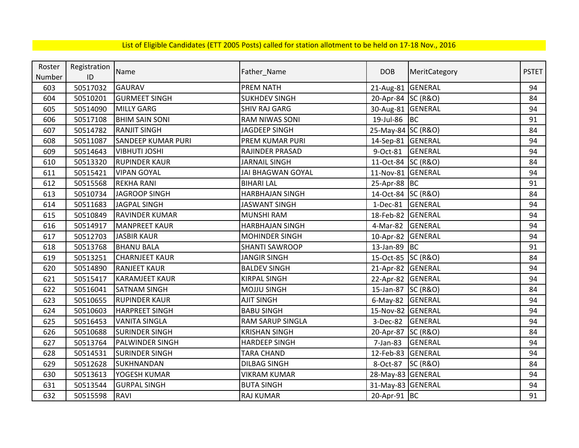| Roster | Registration |                           |                          | <b>DOB</b>         |                     | <b>PSTET</b> |
|--------|--------------|---------------------------|--------------------------|--------------------|---------------------|--------------|
| Number | ID           | Name                      | Father_Name              |                    | MeritCategory       |              |
| 603    | 50517032     | <b>GAURAV</b>             | <b>PREM NATH</b>         | 21-Aug-81 GENERAL  |                     | 94           |
| 604    | 50510201     | <b>GURMEET SINGH</b>      | <b>SUKHDEV SINGH</b>     | 20-Apr-84 SC (R&O) |                     | 84           |
| 605    | 50514090     | <b>MILLY GARG</b>         | <b>SHIV RAJ GARG</b>     | 30-Aug-81 GENERAL  |                     | 94           |
| 606    | 50517108     | <b>BHIM SAIN SONI</b>     | <b>RAM NIWAS SONI</b>    | 19-Jul-86 BC       |                     | 91           |
| 607    | 50514782     | <b>RANJIT SINGH</b>       | <b>JAGDEEP SINGH</b>     | 25-May-84 SC (R&O) |                     | 84           |
| 608    | 50511087     | <b>SANDEEP KUMAR PURI</b> | PREM KUMAR PURI          | 14-Sep-81 GENERAL  |                     | 94           |
| 609    | 50514643     | <b>VIBHUTI JOSHI</b>      | <b>RAJINDER PRASAD</b>   | 9-Oct-81           | <b>GENERAL</b>      | 94           |
| 610    | 50513320     | <b>RUPINDER KAUR</b>      | <b>JARNAIL SINGH</b>     | 11-Oct-84 SC (R&O) |                     | 84           |
| 611    | 50515421     | <b>VIPAN GOYAL</b>        | <b>JAI BHAGWAN GOYAL</b> | 11-Nov-81 GENERAL  |                     | 94           |
| 612    | 50515568     | <b>REKHA RANI</b>         | <b>BIHARI LAL</b>        | 25-Apr-88 BC       |                     | 91           |
| 613    | 50510734     | <b>JAGROOP SINGH</b>      | <b>HARBHAJAN SINGH</b>   | 14-Oct-84 SC (R&O) |                     | 84           |
| 614    | 50511683     | <b>JAGPAL SINGH</b>       | <b>JASWANT SINGH</b>     | $1-Dec-81$         | <b>GENERAL</b>      | 94           |
| 615    | 50510849     | RAVINDER KUMAR            | <b>MUNSHI RAM</b>        | 18-Feb-82          | <b>GENERAL</b>      | 94           |
| 616    | 50514917     | <b>MANPREET KAUR</b>      | <b>HARBHAJAN SINGH</b>   | 4-Mar-82           | <b>GENERAL</b>      | 94           |
| 617    | 50512703     | <b>JASBIR KAUR</b>        | <b>MOHINDER SINGH</b>    | 10-Apr-82 GENERAL  |                     | 94           |
| 618    | 50513768     | <b>BHANU BALA</b>         | <b>SHANTI SAWROOP</b>    | 13-Jan-89 BC       |                     | 91           |
| 619    | 50513251     | <b>CHARNJEET KAUR</b>     | <b>JANGIR SINGH</b>      | 15-Oct-85 SC (R&O) |                     | 84           |
| 620    | 50514890     | <b>RANJEET KAUR</b>       | <b>BALDEV SINGH</b>      | 21-Apr-82 GENERAL  |                     | 94           |
| 621    | 50515417     | <b>KARAMJEET KAUR</b>     | <b>KIRPAL SINGH</b>      | 22-Apr-82 GENERAL  |                     | 94           |
| 622    | 50516041     | <b>SATNAM SINGH</b>       | <b>MOJJU SINGH</b>       | 15-Jan-87 SC (R&O) |                     | 84           |
| 623    | 50510655     | <b>RUPINDER KAUR</b>      | <b>AJIT SINGH</b>        | 6-May-82 GENERAL   |                     | 94           |
| 624    | 50510603     | <b>HARPREET SINGH</b>     | <b>BABU SINGH</b>        | 15-Nov-82 GENERAL  |                     | 94           |
| 625    | 50516453     | <b>VANITA SINGLA</b>      | RAM SARUP SINGLA         | 3-Dec-82           | <b>GENERAL</b>      | 94           |
| 626    | 50510688     | <b>SURINDER SINGH</b>     | <b>KRISHAN SINGH</b>     | 20-Apr-87 SC (R&O) |                     | 84           |
| 627    | 50513764     | PALWINDER SINGH           | <b>HARDEEP SINGH</b>     | 7-Jan-83           | GENERAL             | 94           |
| 628    | 50514531     | <b>SURINDER SINGH</b>     | <b>TARA CHAND</b>        | 12-Feb-83          | <b>GENERAL</b>      | 94           |
| 629    | 50512628     | SUKHNANDAN                | <b>DILBAG SINGH</b>      | 8-Oct-87           | <b>SC (R&amp;O)</b> | 84           |
| 630    | 50513613     | YOGESH KUMAR              | <b>VIKRAM KUMAR</b>      | 28-May-83 GENERAL  |                     | 94           |
| 631    | 50513544     | <b>GURPAL SINGH</b>       | <b>BUTA SINGH</b>        | 31-May-83 GENERAL  |                     | 94           |
| 632    | 50515598     | RAVI                      | RAJ KUMAR                | 20-Apr-91 BC       |                     | 91           |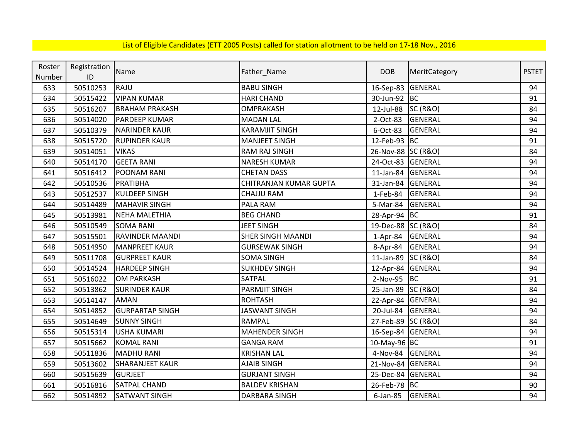| Roster | Registration |                        |                          | <b>DOB</b>         |                     | <b>PSTET</b> |
|--------|--------------|------------------------|--------------------------|--------------------|---------------------|--------------|
| Number | ID           | Name                   | Father_Name              |                    | MeritCategory       |              |
| 633    | 50510253     | <b>RAJU</b>            | <b>BABU SINGH</b>        | 16-Sep-83          | <b>GENERAL</b>      | 94           |
| 634    | 50515422     | <b>VIPAN KUMAR</b>     | <b>HARI CHAND</b>        | 30-Jun-92 BC       |                     | 91           |
| 635    | 50516207     | <b>BRAHAM PRAKASH</b>  | <b>OMPRAKASH</b>         | 12-Jul-88          | <b>SC (R&amp;O)</b> | 84           |
| 636    | 50514020     | <b>PARDEEP KUMAR</b>   | <b>MADAN LAL</b>         | 2-Oct-83           | <b>GENERAL</b>      | 94           |
| 637    | 50510379     | <b>NARINDER KAUR</b>   | <b>KARAMJIT SINGH</b>    | 6-Oct-83           | <b>GENERAL</b>      | 94           |
| 638    | 50515720     | <b>RUPINDER KAUR</b>   | <b>MANJEET SINGH</b>     | 12-Feb-93 BC       |                     | 91           |
| 639    | 50514051     | <b>VIKAS</b>           | RAM RAJ SINGH            | 26-Nov-88 SC (R&O) |                     | 84           |
| 640    | 50514170     | <b>GEETA RANI</b>      | <b>NARESH KUMAR</b>      | 24-Oct-83 GENERAL  |                     | 94           |
| 641    | 50516412     | POONAM RANI            | <b>CHETAN DASS</b>       | 11-Jan-84          | <b>GENERAL</b>      | 94           |
| 642    | 50510536     | PRATIBHA               | CHITRANJAN KUMAR GUPTA   | 31-Jan-84          | GENERAL             | 94           |
| 643    | 50512537     | <b>KULDEEP SINGH</b>   | <b>CHAJJU RAM</b>        | $1$ -Feb-84        | GENERAL             | 94           |
| 644    | 50514489     | <b>MAHAVIR SINGH</b>   | PALA RAM                 | 5-Mar-84           | GENERAL             | 94           |
| 645    | 50513981     | <b>NEHA MALETHIA</b>   | <b>BEG CHAND</b>         | 28-Apr-94 BC       |                     | 91           |
| 646    | 50510549     | <b>SOMA RANI</b>       | <b>JEET SINGH</b>        | 19-Dec-88 SC (R&O) |                     | 84           |
| 647    | 50515501     | <b>RAVINDER MAANDI</b> | <b>SHER SINGH MAANDI</b> | $1-Apr-84$         | <b>GENERAL</b>      | 94           |
| 648    | 50514950     | <b>MANPREET KAUR</b>   | <b>GURSEWAK SINGH</b>    | 8-Apr-84           | <b>GENERAL</b>      | 94           |
| 649    | 50511708     | <b>GURPREET KAUR</b>   | <b>SOMA SINGH</b>        | 11-Jan-89 SC (R&O) |                     | 84           |
| 650    | 50514524     | <b>HARDEEP SINGH</b>   | <b>SUKHDEV SINGH</b>     | 12-Apr-84 GENERAL  |                     | 94           |
| 651    | 50516022     | <b>OM PARKASH</b>      | SATPAL                   | 2-Nov-95           | <b>BC</b>           | 91           |
| 652    | 50513862     | <b>SURINDER KAUR</b>   | <b>PARMJIT SINGH</b>     | 25-Jan-89 SC (R&O) |                     | 84           |
| 653    | 50514147     | <b>AMAN</b>            | <b>ROHTASH</b>           | 22-Apr-84 GENERAL  |                     | 94           |
| 654    | 50514852     | <b>GURPARTAP SINGH</b> | <b>JASWANT SINGH</b>     | 20-Jul-84          | GENERAL             | 94           |
| 655    | 50514649     | <b>SUNNY SINGH</b>     | <b>RAMPAL</b>            | 27-Feb-89 SC (R&O) |                     | 84           |
| 656    | 50515314     | <b>USHA KUMARI</b>     | <b>MAHENDER SINGH</b>    | 16-Sep-84 GENERAL  |                     | 94           |
| 657    | 50515662     | <b>KOMAL RANI</b>      | <b>GANGA RAM</b>         | 10-May-96 BC       |                     | 91           |
| 658    | 50511836     | <b>MADHU RANI</b>      | <b>KRISHAN LAL</b>       | 4-Nov-84           | <b>GENERAL</b>      | 94           |
| 659    | 50513602     | <b>SHARANJEET KAUR</b> | <b>AJAIB SINGH</b>       | 21-Nov-84          | <b>GENERAL</b>      | 94           |
| 660    | 50515639     | <b>GURJEET</b>         | <b>GURJANT SINGH</b>     | 25-Dec-84 GENERAL  |                     | 94           |
| 661    | 50516816     | <b>SATPAL CHAND</b>    | <b>BALDEV KRISHAN</b>    | 26-Feb-78 BC       |                     | 90           |
| 662    | 50514892     | <b>SATWANT SINGH</b>   | DARBARA SINGH            | $6$ -Jan-85        | <b>GENERAL</b>      | 94           |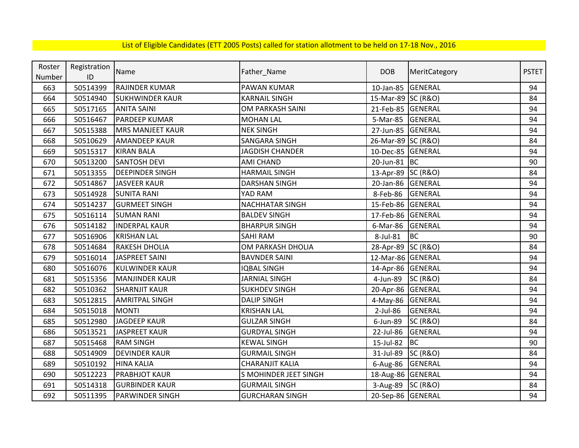| Roster | Registration | Name                    |                        | <b>DOB</b>         | MeritCategory       | <b>PSTET</b> |
|--------|--------------|-------------------------|------------------------|--------------------|---------------------|--------------|
| Number | ID           |                         | Father_Name            |                    |                     |              |
| 663    | 50514399     | <b>RAJINDER KUMAR</b>   | <b>PAWAN KUMAR</b>     | 10-Jan-85          | GENERAL             | 94           |
| 664    | 50514940     | <b>SUKHWINDER KAUR</b>  | <b>KARNAIL SINGH</b>   | 15-Mar-89 SC (R&O) |                     | 84           |
| 665    | 50517165     | <b>ANITA SAINI</b>      | OM PARKASH SAINI       | 21-Feb-85 GENERAL  |                     | 94           |
| 666    | 50516467     | <b>PARDEEP KUMAR</b>    | <b>MOHAN LAL</b>       | 5-Mar-85           | <b>GENERAL</b>      | 94           |
| 667    | 50515388     | <b>MRS MANJEET KAUR</b> | <b>NEK SINGH</b>       | 27-Jun-85 GENERAL  |                     | 94           |
| 668    | 50510629     | <b>AMANDEEP KAUR</b>    | <b>SANGARA SINGH</b>   | 26-Mar-89 SC (R&O) |                     | 84           |
| 669    | 50515317     | <b>KIRAN BALA</b>       | <b>JAGDISH CHANDER</b> | 10-Dec-85          | <b>GENERAL</b>      | 94           |
| 670    | 50513200     | <b>SANTOSH DEVI</b>     | <b>AMI CHAND</b>       | 20-Jun-81 BC       |                     | 90           |
| 671    | 50513355     | <b>DEEPINDER SINGH</b>  | <b>HARMAIL SINGH</b>   | 13-Apr-89 SC (R&O) |                     | 84           |
| 672    | 50514867     | JASVEER KAUR            | <b>DARSHAN SINGH</b>   | 20-Jan-86          | <b>GENERAL</b>      | 94           |
| 673    | 50514928     | <b>SUNITA RANI</b>      | YAD RAM                | 8-Feb-86           | GENERAL             | 94           |
| 674    | 50514237     | <b>GURMEET SINGH</b>    | <b>NACHHATAR SINGH</b> | 15-Feb-86          | GENERAL             | 94           |
| 675    | 50516114     | <b>SUMAN RANI</b>       | <b>BALDEV SINGH</b>    | 17-Feb-86          | GENERAL             | 94           |
| 676    | 50514182     | <b>INDERPAL KAUR</b>    | <b>BHARPUR SINGH</b>   | 6-Mar-86           | <b>GENERAL</b>      | 94           |
| 677    | 50516906     | <b>KRISHAN LAL</b>      | <b>SAHI RAM</b>        | 8-Jul-81           | <b>BC</b>           | 90           |
| 678    | 50514684     | <b>RAKESH DHOLIA</b>    | OM PARKASH DHOLIA      | 28-Apr-89          | <b>SC (R&amp;O)</b> | 84           |
| 679    | 50516014     | JASPREET SAINI          | <b>BAVNDER SAINI</b>   | 12-Mar-86 GENERAL  |                     | 94           |
| 680    | 50516076     | <b>KULWINDER KAUR</b>   | <b>IQBAL SINGH</b>     | 14-Apr-86 GENERAL  |                     | 94           |
| 681    | 50515356     | <b>MANJINDER KAUR</b>   | <b>JARNIAL SINGH</b>   | 4-Jun-89           | <b>SC (R&amp;O)</b> | 84           |
| 682    | 50510362     | <b>SHARNJIT KAUR</b>    | <b>SUKHDEV SINGH</b>   | 20-Apr-86          | GENERAL             | 94           |
| 683    | 50512815     | <b>AMRITPAL SINGH</b>   | <b>DALIP SINGH</b>     | 4-May-86           | <b>GENERAL</b>      | 94           |
| 684    | 50515018     | <b>MONTI</b>            | <b>KRISHAN LAL</b>     | $2$ -Jul-86        | <b>GENERAL</b>      | 94           |
| 685    | 50512980     | <b>JAGDEEP KAUR</b>     | <b>GULZAR SINGH</b>    | 6-Jun-89           | <b>SC (R&amp;O)</b> | 84           |
| 686    | 50513521     | <b>JASPREET KAUR</b>    | <b>GURDYAL SINGH</b>   | 22-Jul-86          | <b>GENERAL</b>      | 94           |
| 687    | 50515468     | <b>RAM SINGH</b>        | <b>KEWAL SINGH</b>     | 15-Jul-82          | <b>BC</b>           | 90           |
| 688    | 50514909     | <b>DEVINDER KAUR</b>    | <b>GURMAIL SINGH</b>   | 31-Jul-89          | <b>SC (R&amp;O)</b> | 84           |
| 689    | 50510192     | <b>HINA KALIA</b>       | <b>CHARANJIT KALIA</b> | $6$ -Aug-86        | <b>GENERAL</b>      | 94           |
| 690    | 50512223     | <b>PRABHJOT KAUR</b>    | S MOHINDER JEET SINGH  | 18-Aug-86 GENERAL  |                     | 94           |
| 691    | 50514318     | <b>GURBINDER KAUR</b>   | <b>GURMAIL SINGH</b>   | 3-Aug-89 SC (R&O)  |                     | 84           |
| 692    | 50511395     | <b>PARWINDER SINGH</b>  | <b>GURCHARAN SINGH</b> | 20-Sep-86 GENERAL  |                     | 94           |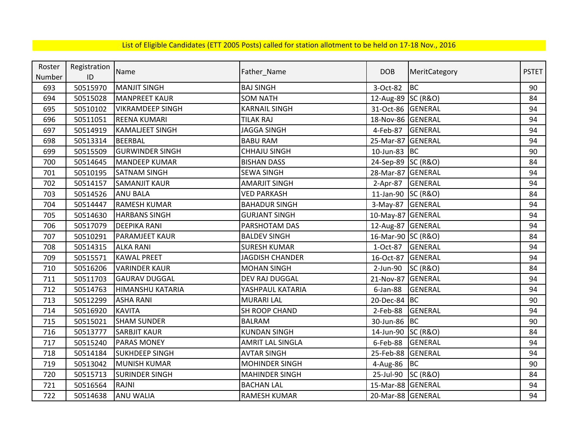| Roster | Registration | Name                    |                         | <b>DOB</b>         |                     | <b>PSTET</b> |
|--------|--------------|-------------------------|-------------------------|--------------------|---------------------|--------------|
| Number | ID           |                         | Father_Name             |                    | MeritCategory       |              |
| 693    | 50515970     | <b>MANJIT SINGH</b>     | <b>BAJ SINGH</b>        | 3-Oct-82           | <b>BC</b>           | 90           |
| 694    | 50515028     | <b>MANPREET KAUR</b>    | <b>SOM NATH</b>         | 12-Aug-89 SC (R&O) |                     | 84           |
| 695    | 50510102     | <b>VIKRAMDEEP SINGH</b> | <b>KARNAIL SINGH</b>    | 31-Oct-86 GENERAL  |                     | 94           |
| 696    | 50511051     | <b>REENA KUMARI</b>     | <b>TILAK RAJ</b>        | 18-Nov-86 GENERAL  |                     | 94           |
| 697    | 50514919     | <b>KAMALJEET SINGH</b>  | <b>JAGGA SINGH</b>      | 4-Feb-87           | <b>GENERAL</b>      | 94           |
| 698    | 50513314     | <b>BEERBAL</b>          | <b>BABU RAM</b>         | 25-Mar-87 GENERAL  |                     | 94           |
| 699    | 50515509     | <b>GURWINDER SINGH</b>  | <b>CHHAJU SINGH</b>     | 10-Jun-83 BC       |                     | 90           |
| 700    | 50514645     | <b>MANDEEP KUMAR</b>    | <b>BISHAN DASS</b>      | 24-Sep-89 SC (R&O) |                     | 84           |
| 701    | 50510195     | <b>SATNAM SINGH</b>     | <b>SEWA SINGH</b>       | 28-Mar-87 GENERAL  |                     | 94           |
| 702    | 50514157     | <b>SAMANJIT KAUR</b>    | <b>AMARJIT SINGH</b>    | 2-Apr-87           | GENERAL             | 94           |
| 703    | 50514526     | <b>ANU BALA</b>         | <b>VED PARKASH</b>      | 11-Jan-90 SC (R&O) |                     | 84           |
| 704    | 50514447     | <b>RAMESH KUMAR</b>     | <b>BAHADUR SINGH</b>    | 3-May-87 GENERAL   |                     | 94           |
| 705    | 50514630     | <b>HARBANS SINGH</b>    | <b>GURJANT SINGH</b>    | 10-May-87 GENERAL  |                     | 94           |
| 706    | 50517079     | <b>DEEPIKA RANI</b>     | PARSHOTAM DAS           | 12-Aug-87 GENERAL  |                     | 94           |
| 707    | 50510291     | PARAMJEET KAUR          | <b>BALDEV SINGH</b>     | 16-Mar-90 SC (R&O) |                     | 84           |
| 708    | 50514315     | <b>ALKA RANI</b>        | <b>SURESH KUMAR</b>     | 1-Oct-87           | GENERAL             | 94           |
| 709    | 50515571     | <b>KAWAL PREET</b>      | <b>JAGDISH CHANDER</b>  | 16-Oct-87          | <b>GENERAL</b>      | 94           |
| 710    | 50516206     | <b>VARINDER KAUR</b>    | <b>MOHAN SINGH</b>      | 2-Jun-90           | <b>SC (R&amp;O)</b> | 84           |
| 711    | 50511703     | <b>GAURAV DUGGAL</b>    | DEV RAJ DUGGAL          | 21-Nov-87          | GENERAL             | 94           |
| 712    | 50514763     | HIMANSHU KATARIA        | YASHPAUL KATARIA        | $6$ -Jan-88        | <b>GENERAL</b>      | 94           |
| 713    | 50512299     | <b>ASHA RANI</b>        | <b>MURARI LAL</b>       | 20-Dec-84 BC       |                     | 90           |
| 714    | 50516920     | <b>KAVITA</b>           | SH ROOP CHAND           | 2-Feb-88           | <b>GENERAL</b>      | 94           |
| 715    | 50515021     | <b>SHAM SUNDER</b>      | <b>BALRAM</b>           | 30-Jun-86 BC       |                     | 90           |
| 716    | 50513777     | <b>SARBJIT KAUR</b>     | <b>KUNDAN SINGH</b>     | 14-Jun-90 SC (R&O) |                     | 84           |
| 717    | 50515240     | <b>PARAS MONEY</b>      | <b>AMRIT LAL SINGLA</b> | 6-Feb-88           | GENERAL             | 94           |
| 718    | 50514184     | <b>SUKHDEEP SINGH</b>   | <b>AVTAR SINGH</b>      | 25-Feb-88          | <b>GENERAL</b>      | 94           |
| 719    | 50513042     | <b>MUNISH KUMAR</b>     | <b>MOHINDER SINGH</b>   | 4-Aug-86           | <b>BC</b>           | 90           |
| 720    | 50515713     | <b>SURINDER SINGH</b>   | <b>MAHINDER SINGH</b>   | 25-Jul-90          | <b>SC (R&amp;O)</b> | 84           |
| 721    | 50516564     | <b>RAJNI</b>            | <b>BACHAN LAL</b>       | 15-Mar-88 GENERAL  |                     | 94           |
| 722    | 50514638     | <b>ANU WALIA</b>        | RAMESH KUMAR            | 20-Mar-88 GENERAL  |                     | 94           |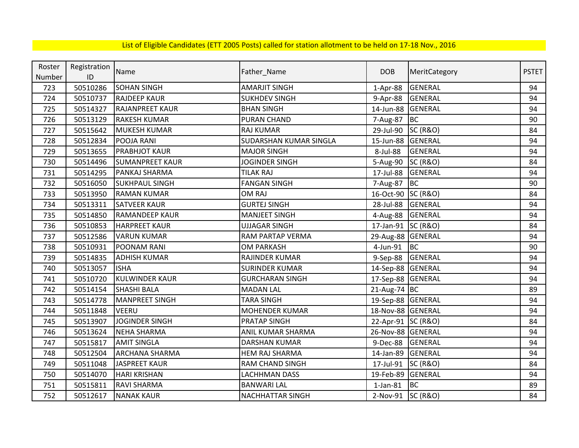| Roster | Registration | Name                   | Father_Name                   | <b>DOB</b>         | MeritCategory       | <b>PSTET</b> |
|--------|--------------|------------------------|-------------------------------|--------------------|---------------------|--------------|
| Number | ID           |                        |                               |                    |                     |              |
| 723    | 50510286     | <b>SOHAN SINGH</b>     | <b>AMARJIT SINGH</b>          | $1-Apr-88$         | <b>GENERAL</b>      | 94           |
| 724    | 50510737     | <b>RAJDEEP KAUR</b>    | <b>SUKHDEV SINGH</b>          | 9-Apr-88           | GENERAL             | 94           |
| 725    | 50514327     | <b>RAJANPREET KAUR</b> | <b>BHAN SINGH</b>             | 14-Jun-88          | <b>GENERAL</b>      | 94           |
| 726    | 50513129     | <b>RAKESH KUMAR</b>    | <b>PURAN CHAND</b>            | 7-Aug-87           | <b>BC</b>           | 90           |
| 727    | 50515642     | MUKESH KUMAR           | <b>RAJ KUMAR</b>              | 29-Jul-90          | <b>SC (R&amp;O)</b> | 84           |
| 728    | 50512834     | POOJA RANI             | <b>SUDARSHAN KUMAR SINGLA</b> | 15-Jun-88          | <b>GENERAL</b>      | 94           |
| 729    | 50513655     | <b>PRABHJOT KAUR</b>   | <b>MAJOR SINGH</b>            | 8-Jul-88           | <b>GENERAL</b>      | 94           |
| 730    | 50514496     | <b>SUMANPREET KAUR</b> | JOGINDER SINGH                | 5-Aug-90           | <b>SC (R&amp;O)</b> | 84           |
| 731    | 50514295     | PANKAJ SHARMA          | <b>TILAK RAJ</b>              | 17-Jul-88          | <b>GENERAL</b>      | 94           |
| 732    | 50516050     | <b>SUKHPAUL SINGH</b>  | <b>FANGAN SINGH</b>           | 7-Aug-87           | <b>BC</b>           | 90           |
| 733    | 50513950     | <b>RAMAN KUMAR</b>     | OM RAJ                        | 16-Oct-90 SC (R&O) |                     | 84           |
| 734    | 50513311     | <b>SATVEER KAUR</b>    | <b>GURTEJ SINGH</b>           | 28-Jul-88          | <b>GENERAL</b>      | 94           |
| 735    | 50514850     | <b>RAMANDEEP KAUR</b>  | <b>MANJEET SINGH</b>          | 4-Aug-88           | <b>GENERAL</b>      | 94           |
| 736    | 50510853     | <b>HARPREET KAUR</b>   | <b>UJJAGAR SINGH</b>          | 17-Jan-91 SC (R&O) |                     | 84           |
| 737    | 50512586     | <b>VARUN KUMAR</b>     | RAM PARTAP VERMA              | 29-Aug-88 GENERAL  |                     | 94           |
| 738    | 50510931     | POONAM RANI            | <b>OM PARKASH</b>             | 4-Jun-91           | <b>BC</b>           | 90           |
| 739    | 50514835     | <b>ADHISH KUMAR</b>    | RAJINDER KUMAR                | 9-Sep-88           | <b>GENERAL</b>      | 94           |
| 740    | 50513057     | <b>ISHA</b>            | <b>SURINDER KUMAR</b>         | 14-Sep-88 GENERAL  |                     | 94           |
| 741    | 50510720     | <b>KULWINDER KAUR</b>  | <b>GURCHARAN SINGH</b>        | 17-Sep-88 GENERAL  |                     | 94           |
| 742    | 50514154     | <b>SHASHI BALA</b>     | <b>MADAN LAL</b>              | 21-Aug-74 BC       |                     | 89           |
| 743    | 50514778     | <b>MANPREET SINGH</b>  | <b>TARA SINGH</b>             | 19-Sep-88 GENERAL  |                     | 94           |
| 744    | 50511848     | VEERU                  | <b>MOHENDER KUMAR</b>         | 18-Nov-88 GENERAL  |                     | 94           |
| 745    | 50513907     | <b>JOGINDER SINGH</b>  | <b>PRATAP SINGH</b>           | 22-Apr-91 SC (R&O) |                     | 84           |
| 746    | 50513624     | <b>NEHA SHARMA</b>     | ANIL KUMAR SHARMA             | 26-Nov-88 GENERAL  |                     | 94           |
| 747    | 50515817     | <b>AMIT SINGLA</b>     | DARSHAN KUMAR                 | 9-Dec-88           | <b>GENERAL</b>      | 94           |
| 748    | 50512504     | <b>ARCHANA SHARMA</b>  | <b>HEM RAJ SHARMA</b>         | 14-Jan-89          | <b>GENERAL</b>      | 94           |
| 749    | 50511048     | <b>JASPREET KAUR</b>   | RAM CHAND SINGH               | 17-Jul-91          | <b>SC (R&amp;O)</b> | 84           |
| 750    | 50514070     | <b>HARI KRISHAN</b>    | LACHHMAN DASS                 | 19-Feb-89          | <b>GENERAL</b>      | 94           |
| 751    | 50515811     | <b>RAVI SHARMA</b>     | <b>BANWARI LAL</b>            | $1$ -Jan- $81$     | <b>BC</b>           | 89           |
| 752    | 50512617     | <b>NANAK KAUR</b>      | <b>NACHHATTAR SINGH</b>       | 2-Nov-91 SC (R&O)  |                     | 84           |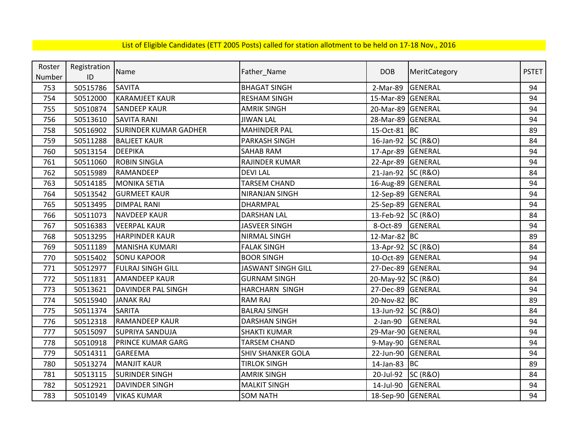| Roster | Registration  | Name                         |                           | <b>DOB</b>         |                     | <b>PSTET</b> |
|--------|---------------|------------------------------|---------------------------|--------------------|---------------------|--------------|
| Number | $\mathsf{ID}$ |                              | Father_Name               |                    | MeritCategory       |              |
| 753    | 50515786      | <b>SAVITA</b>                | <b>BHAGAT SINGH</b>       | 2-Mar-89           | GENERAL             | 94           |
| 754    | 50512000      | <b>KARAMJEET KAUR</b>        | <b>RESHAM SINGH</b>       | 15-Mar-89 GENERAL  |                     | 94           |
| 755    | 50510874      | <b>SANDEEP KAUR</b>          | <b>AMRIK SINGH</b>        | 20-Mar-89 GENERAL  |                     | 94           |
| 756    | 50513610      | <b>SAVITA RANI</b>           | <b>JIWAN LAL</b>          | 28-Mar-89 GENERAL  |                     | 94           |
| 758    | 50516902      | <b>SURINDER KUMAR GADHER</b> | <b>MAHINDER PAL</b>       | 15-Oct-81 BC       |                     | 89           |
| 759    | 50511288      | <b>BALJEET KAUR</b>          | PARKASH SINGH             | 16-Jan-92 SC (R&O) |                     | 84           |
| 760    | 50513154      | <b>DEEPIKA</b>               | SAHAB RAM                 | 17-Apr-89          | <b>GENERAL</b>      | 94           |
| 761    | 50511060      | <b>ROBIN SINGLA</b>          | RAJINDER KUMAR            | 22-Apr-89          | <b>GENERAL</b>      | 94           |
| 762    | 50515989      | RAMANDEEP                    | <b>DEVILAL</b>            | 21-Jan-92 SC (R&O) |                     | 84           |
| 763    | 50514185      | <b>MONIKA SETIA</b>          | <b>TARSEM CHAND</b>       | 16-Aug-89 GENERAL  |                     | 94           |
| 764    | 50513542      | <b>GURMEET KAUR</b>          | NIRANJAN SINGH            | 12-Sep-89 GENERAL  |                     | 94           |
| 765    | 50513495      | <b>DIMPAL RANI</b>           | DHARMPAL                  | 25-Sep-89 GENERAL  |                     | 94           |
| 766    | 50511073      | <b>NAVDEEP KAUR</b>          | <b>DARSHAN LAL</b>        | 13-Feb-92 SC (R&O) |                     | 84           |
| 767    | 50516383      | <b>VEERPAL KAUR</b>          | <b>JASVEER SINGH</b>      | 8-Oct-89           | <b>GENERAL</b>      | 94           |
| 768    | 50513295      | <b>HARPINDER KAUR</b>        | NIRMAL SINGH              | 12-Mar-82 BC       |                     | 89           |
| 769    | 50511189      | MANISHA KUMARI               | <b>FALAK SINGH</b>        | 13-Apr-92 SC (R&O) |                     | 84           |
| 770    | 50515402      | <b>SONU KAPOOR</b>           | <b>BOOR SINGH</b>         | 10-Oct-89          | GENERAL             | 94           |
| 771    | 50512977      | <b>FULRAJ SINGH GILL</b>     | <b>JASWANT SINGH GILL</b> | 27-Dec-89 GENERAL  |                     | 94           |
| 772    | 50511831      | <b>AMANDEEP KAUR</b>         | <b>GURNAM SINGH</b>       | 20-May-92 SC (R&O) |                     | 84           |
| 773    | 50513621      | <b>DAVINDER PAL SINGH</b>    | HARCHARN SINGH            | 27-Dec-89 GENERAL  |                     | 94           |
| 774    | 50515940      | <b>JANAK RAJ</b>             | <b>RAM RAJ</b>            | 20-Nov-82 BC       |                     | 89           |
| 775    | 50511374      | <b>SARITA</b>                | <b>BALRAJ SINGH</b>       | 13-Jun-92 SC (R&O) |                     | 84           |
| 776    | 50512318      | <b>RAMANDEEP KAUR</b>        | <b>DARSHAN SINGH</b>      | $2-Jan-90$         | <b>GENERAL</b>      | 94           |
| 777    | 50515097      | <b>SUPRIYA SANDUJA</b>       | <b>SHAKTI KUMAR</b>       | 29-Mar-90 GENERAL  |                     | 94           |
| 778    | 50510918      | <b>PRINCE KUMAR GARG</b>     | <b>TARSEM CHAND</b>       | 9-May-90           | <b>GENERAL</b>      | 94           |
| 779    | 50514311      | <b>GAREEMA</b>               | <b>SHIV SHANKER GOLA</b>  | 22-Jun-90          | GENERAL             | 94           |
| 780    | 50513274      | <b>MANJIT KAUR</b>           | <b>TIRLOK SINGH</b>       | 14-Jan-83          | <b>BC</b>           | 89           |
| 781    | 50513115      | <b>SURINDER SINGH</b>        | <b>AMRIK SINGH</b>        | 20-Jul-92          | <b>SC (R&amp;O)</b> | 84           |
| 782    | 50512921      | <b>DAVINDER SINGH</b>        | <b>MALKIT SINGH</b>       | 14-Jul-90          | GENERAL             | 94           |
| 783    | 50510149      | <b>VIKAS KUMAR</b>           | <b>SOM NATH</b>           | 18-Sep-90 GENERAL  |                     | 94           |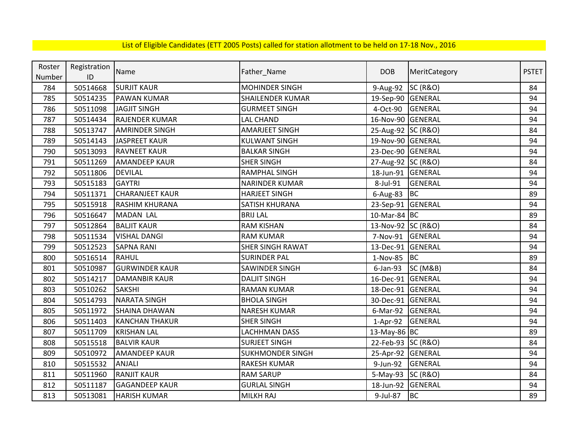| Roster | Registration | Name                   |                         | <b>DOB</b>         |                     | <b>PSTET</b> |
|--------|--------------|------------------------|-------------------------|--------------------|---------------------|--------------|
| Number | ID           |                        | Father_Name             |                    | MeritCategory       |              |
| 784    | 50514668     | <b>SURJIT KAUR</b>     | <b>MOHINDER SINGH</b>   | 9-Aug-92           | <b>SC (R&amp;O)</b> | 84           |
| 785    | 50514235     | <b>PAWAN KUMAR</b>     | <b>SHAILENDER KUMAR</b> | 19-Sep-90 GENERAL  |                     | 94           |
| 786    | 50511098     | JAGJIT SINGH           | <b>GURMEET SINGH</b>    | 4-Oct-90           | <b>GENERAL</b>      | 94           |
| 787    | 50514434     | <b>RAJENDER KUMAR</b>  | <b>LAL CHAND</b>        | 16-Nov-90 GENERAL  |                     | 94           |
| 788    | 50513747     | <b>AMRINDER SINGH</b>  | <b>AMARJEET SINGH</b>   | 25-Aug-92 SC (R&O) |                     | 84           |
| 789    | 50514143     | JASPREET KAUR          | <b>KULWANT SINGH</b>    | 19-Nov-90 GENERAL  |                     | 94           |
| 790    | 50513093     | <b>RAVNEET KAUR</b>    | <b>BALKAR SINGH</b>     | 23-Dec-90 GENERAL  |                     | 94           |
| 791    | 50511269     | <b>AMANDEEP KAUR</b>   | <b>SHER SINGH</b>       | 27-Aug-92 SC (R&O) |                     | 84           |
| 792    | 50511806     | <b>DEVILAL</b>         | <b>RAMPHAL SINGH</b>    | 18-Jun-91          | <b>GENERAL</b>      | 94           |
| 793    | 50515183     | <b>GAYTRI</b>          | <b>NARINDER KUMAR</b>   | 8-Jul-91           | <b>GENERAL</b>      | 94           |
| 794    | 50511371     | <b>CHARANJEET KAUR</b> | <b>HARJEET SINGH</b>    | $6$ -Aug-83        | <b>BC</b>           | 89           |
| 795    | 50515918     | <b>RASHIM KHURANA</b>  | <b>SATISH KHURANA</b>   | 23-Sep-91 GENERAL  |                     | 94           |
| 796    | 50516647     | <b>MADAN LAL</b>       | <b>BRIJ LAL</b>         | 10-Mar-84 BC       |                     | 89           |
| 797    | 50512864     | <b>BALJIT KAUR</b>     | <b>RAM KISHAN</b>       | 13-Nov-92 SC (R&O) |                     | 84           |
| 798    | 50511534     | <b>VISHAL DANGI</b>    | <b>RAM KUMAR</b>        | 7-Nov-91           | <b>GENERAL</b>      | 94           |
| 799    | 50512523     | <b>SAPNA RANI</b>      | <b>SHER SINGH RAWAT</b> | 13-Dec-91 GENERAL  |                     | 94           |
| 800    | 50516514     | <b>RAHUL</b>           | <b>SURINDER PAL</b>     | 1-Nov-85           | BC                  | 89           |
| 801    | 50510987     | <b>GURWINDER KAUR</b>  | SAWINDER SINGH          | $6$ -Jan-93        | <b>SC (M&amp;B)</b> | 84           |
| 802    | 50514217     | <b>DAMANBIR KAUR</b>   | <b>DALJIT SINGH</b>     | 16-Dec-91 GENERAL  |                     | 94           |
| 803    | 50510262     | <b>SAKSHI</b>          | <b>RAMAN KUMAR</b>      | 18-Dec-91 GENERAL  |                     | 94           |
| 804    | 50514793     | <b>NARATA SINGH</b>    | <b>BHOLA SINGH</b>      | 30-Dec-91          | <b>GENERAL</b>      | 94           |
| 805    | 50511972     | <b>SHAINA DHAWAN</b>   | <b>NARESH KUMAR</b>     | 6-Mar-92           | GENERAL             | 94           |
| 806    | 50511403     | <b>KANCHAN THAKUR</b>  | <b>SHER SINGH</b>       | 1-Apr-92           | <b>GENERAL</b>      | 94           |
| 807    | 50511709     | <b>KRISHAN LAL</b>     | <b>LACHHMAN DASS</b>    | 13-May-86 BC       |                     | 89           |
| 808    | 50515518     | <b>BALVIR KAUR</b>     | <b>SURJEET SINGH</b>    | 22-Feb-93 SC (R&O) |                     | 84           |
| 809    | 50510972     | <b>AMANDEEP KAUR</b>   | <b>SUKHMONDER SINGH</b> | 25-Apr-92          | <b>GENERAL</b>      | 94           |
| 810    | 50515532     | <b>ANJALI</b>          | RAKESH KUMAR            | 9-Jun-92           | <b>GENERAL</b>      | 94           |
| 811    | 50511960     | <b>RANJIT KAUR</b>     | <b>RAM SARUP</b>        | 5-May-93 SC (R&O)  |                     | 84           |
| 812    | 50511187     | <b>GAGANDEEP KAUR</b>  | <b>GURLAL SINGH</b>     | 18-Jun-92 GENERAL  |                     | 94           |
| 813    | 50513081     | <b>HARISH KUMAR</b>    | MILKH RAJ               | 9-Jul-87           | <b>BC</b>           | 89           |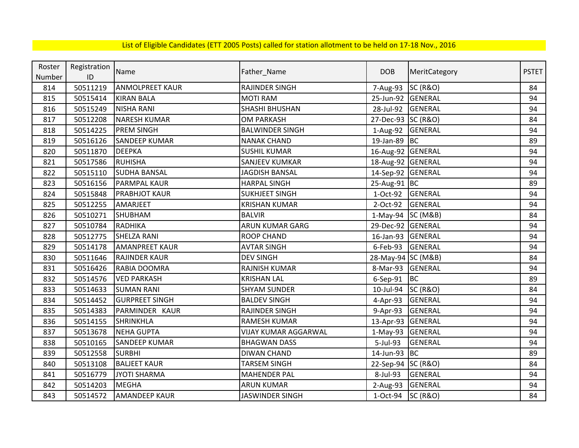| Roster | Registration | Name                   |                        | <b>DOB</b>         |                     | <b>PSTET</b> |
|--------|--------------|------------------------|------------------------|--------------------|---------------------|--------------|
| Number | ID           |                        | Father_Name            |                    | MeritCategory       |              |
| 814    | 50511219     | <b>ANMOLPREET KAUR</b> | <b>RAJINDER SINGH</b>  | 7-Aug-93           | <b>SC (R&amp;O)</b> | 84           |
| 815    | 50515414     | <b>KIRAN BALA</b>      | <b>MOTI RAM</b>        | 25-Jun-92 GENERAL  |                     | 94           |
| 816    | 50515249     | <b>NISHA RANI</b>      | SHASHI BHUSHAN         | 28-Jul-92          | <b>GENERAL</b>      | 94           |
| 817    | 50512208     | <b>NARESH KUMAR</b>    | <b>OM PARKASH</b>      | 27-Dec-93 SC (R&O) |                     | 84           |
| 818    | 50514225     | PREM SINGH             | <b>BALWINDER SINGH</b> | 1-Aug-92 GENERAL   |                     | 94           |
| 819    | 50516126     | <b>SANDEEP KUMAR</b>   | <b>NANAK CHAND</b>     | 19-Jan-89 BC       |                     | 89           |
| 820    | 50511870     | <b>DEEPKA</b>          | <b>SUSHIL KUMAR</b>    | 16-Aug-92 GENERAL  |                     | 94           |
| 821    | 50517586     | <b>RUHISHA</b>         | <b>SANJEEV KUMKAR</b>  | 18-Aug-92 GENERAL  |                     | 94           |
| 822    | 50515110     | <b>SUDHA BANSAL</b>    | <b>JAGDISH BANSAL</b>  | 14-Sep-92 GENERAL  |                     | 94           |
| 823    | 50516156     | <b>PARMPAL KAUR</b>    | <b>HARPAL SINGH</b>    | 25-Aug-91 BC       |                     | 89           |
| 824    | 50515848     | <b>PRABHJOT KAUR</b>   | <b>SUKHJEET SINGH</b>  | 1-Oct-92           | <b>GENERAL</b>      | 94           |
| 825    | 50512255     | AMARJEET               | <b>KRISHAN KUMAR</b>   | 2-Oct-92           | <b>GENERAL</b>      | 94           |
| 826    | 50510271     | <b>SHUBHAM</b>         | <b>BALVIR</b>          | 1-May-94 SC (M&B)  |                     | 84           |
| 827    | 50510784     | <b>RADHIKA</b>         | ARUN KUMAR GARG        | 29-Dec-92 GENERAL  |                     | 94           |
| 828    | 50512775     | <b>SHELZA RANI</b>     | <b>ROOP CHAND</b>      | 16-Jan-93 GENERAL  |                     | 94           |
| 829    | 50514178     | <b>AMANPREET KAUR</b>  | <b>AVTAR SINGH</b>     | 6-Feb-93           | <b>GENERAL</b>      | 94           |
| 830    | 50511646     | <b>RAJINDER KAUR</b>   | <b>DEV SINGH</b>       | 28-May-94 SC (M&B) |                     | 84           |
| 831    | 50516426     | RABIA DOOMRA           | <b>RAJNISH KUMAR</b>   | 8-Mar-93 GENERAL   |                     | 94           |
| 832    | 50514576     | <b>VED PARKASH</b>     | <b>KRISHAN LAL</b>     | $6-$ Sep $-91$     | <b>BC</b>           | 89           |
| 833    | 50514633     | <b>SUMAN RANI</b>      | <b>SHYAM SUNDER</b>    | 10-Jul-94          | <b>SC (R&amp;O)</b> | 84           |
| 834    | 50514452     | <b>GURPREET SINGH</b>  | <b>BALDEV SINGH</b>    | 4-Apr-93           | <b>GENERAL</b>      | 94           |
| 835    | 50514383     | PARMINDER KAUR         | RAJINDER SINGH         | 9-Apr-93           | <b>GENERAL</b>      | 94           |
| 836    | 50514155     | <b>SHRINKHLA</b>       | <b>RAMESH KUMAR</b>    | 13-Apr-93 GENERAL  |                     | 94           |
| 837    | 50513678     | <b>NEHA GUPTA</b>      | VIJAY KUMAR AGGARWAL   | $1-May-93$         | GENERAL             | 94           |
| 838    | 50510165     | <b>SANDEEP KUMAR</b>   | <b>BHAGWAN DASS</b>    | 5-Jul-93           | <b>GENERAL</b>      | 94           |
| 839    | 50512558     | <b>SURBHI</b>          | <b>DIWAN CHAND</b>     | 14-Jun-93          | <b>BC</b>           | 89           |
| 840    | 50513108     | <b>BALJEET KAUR</b>    | <b>TARSEM SINGH</b>    | 22-Sep-94 SC (R&O) |                     | 84           |
| 841    | 50516779     | <b>JYOTI SHARMA</b>    | <b>MAHENDER PAL</b>    | 8-Jul-93           | <b>GENERAL</b>      | 94           |
| 842    | 50514203     | <b>MEGHA</b>           | <b>ARUN KUMAR</b>      | $2-Aug-93$         | <b>GENERAL</b>      | 94           |
| 843    | 50514572     | <b>AMANDEEP KAUR</b>   | <b>JASWINDER SINGH</b> | 1-Oct-94           | <b>SC (R&amp;O)</b> | 84           |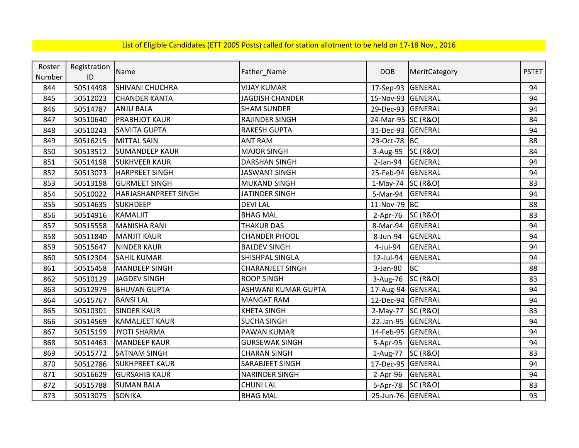| Roster | Registration | Name                  | Father_Name             | <b>DOB</b>         | MeritCategory       | <b>PSTET</b> |
|--------|--------------|-----------------------|-------------------------|--------------------|---------------------|--------------|
| Number | ID           |                       |                         |                    |                     |              |
| 844    | 50514498     | SHIVANI CHUCHRA       | <b>VIJAY KUMAR</b>      | 17-Sep-93 GENERAL  |                     | 94           |
| 845    | 50512023     | <b>CHANDER KANTA</b>  | <b>JAGDISH CHANDER</b>  | 15-Nov-93 GENERAL  |                     | 94           |
| 846    | 50514787     | <b>ANJU BALA</b>      | <b>SHAM SUNDER</b>      | 29-Dec-93 GENERAL  |                     | 94           |
| 847    | 50510640     | <b>PRABHJOT KAUR</b>  | <b>RAJINDER SINGH</b>   | 24-Mar-95 SC (R&O) |                     | 84           |
| 848    | 50510243     | <b>SAMITA GUPTA</b>   | <b>RAKESH GUPTA</b>     | 31-Dec-93 GENERAL  |                     | 94           |
| 849    | 50516215     | <b>MITTAL SAIN</b>    | <b>ANT RAM</b>          | 23-Oct-78 BC       |                     | 88           |
| 850    | 50513512     | <b>SUMANDEEP KAUR</b> | <b>MAJOR SINGH</b>      | 3-Aug-95           | <b>SC (R&amp;O)</b> | 84           |
| 851    | 50514198     | <b>SUKHVEER KAUR</b>  | <b>DARSHAN SINGH</b>    | 2-Jan-94           | GENERAL             | 94           |
| 852    | 50513073     | <b>HARPREET SINGH</b> | <b>JASWANT SINGH</b>    | 25-Feb-94 GENERAL  |                     | 94           |
| 853    | 50513198     | <b>GURMEET SINGH</b>  | <b>MUKAND SINGH</b>     | 1-May-74 SC (R&O)  |                     | 83           |
| 854    | 50510022     | HARJASHANPREET SINGH  | <b>JATINDER SINGH</b>   | 5-Mar-94           | GENERAL             | 94           |
| 855    | 50514635     | <b>SUKHDEEP</b>       | <b>DEVI LAL</b>         | 11-Nov-79          | <b>BC</b>           | 88           |
| 856    | 50514916     | <b>KAMALJIT</b>       | <b>BHAG MAL</b>         | $2-Apr-76$         | <b>SC (R&amp;O)</b> | 83           |
| 857    | 50515558     | <b>MANISHA RANI</b>   | <b>THAKUR DAS</b>       | 8-Mar-94           | GENERAL             | 94           |
| 858    | 50511840     | <b>MANJIT KAUR</b>    | <b>CHANDER PHOOL</b>    | 8-Jun-94           | GENERAL             | 94           |
| 859    | 50515647     | <b>NINDER KAUR</b>    | <b>BALDEV SINGH</b>     | 4-Jul-94           | <b>GENERAL</b>      | 94           |
| 860    | 50512304     | <b>SAHIL KUMAR</b>    | SHISHPAL SINGLA         | 12-Jul-94          | GENERAL             | 94           |
| 861    | 50515458     | <b>MANDEEP SINGH</b>  | <b>CHARANJEET SINGH</b> | 3-Jan-80           | <b>BC</b>           | 88           |
| 862    | 50510129     | <b>JAGDEV SINGH</b>   | <b>ROOP SINGH</b>       | 3-Aug-76           | <b>SC (R&amp;O)</b> | 83           |
| 863    | 50512979     | <b>BHUVAN GUPTA</b>   | ASHWANI KUMAR GUPTA     | 17-Aug-94 GENERAL  |                     | 94           |
| 864    | 50515767     | <b>BANSILAL</b>       | <b>MANGAT RAM</b>       | 12-Dec-94 GENERAL  |                     | 94           |
| 865    | 50510301     | <b>SINDER KAUR</b>    | <b>KHETA SINGH</b>      | 2-May-77 SC (R&O)  |                     | 83           |
| 866    | 50514569     | <b>KAMALJEET KAUR</b> | <b>SUCHA SINGH</b>      | 22-Jan-95 GENERAL  |                     | 94           |
| 867    | 50515199     | <b>JYOTI SHARMA</b>   | <b>PAWAN KUMAR</b>      | 14-Feb-95 GENERAL  |                     | 94           |
| 868    | 50514463     | <b>MANDEEP KAUR</b>   | <b>GURSEWAK SINGH</b>   | 5-Apr-95           | <b>GENERAL</b>      | 94           |
| 869    | 50515772     | <b>SATNAM SINGH</b>   | <b>CHARAN SINGH</b>     | 1-Aug-77           | <b>SC (R&amp;O)</b> | 83           |
| 870    | 50512786     | <b>SUKHPREET KAUR</b> | SARABJEET SINGH         | 17-Dec-95 GENERAL  |                     | 94           |
| 871    | 50516629     | <b>GURSAHIB KAUR</b>  | <b>NARINDER SINGH</b>   | 2-Apr-96 GENERAL   |                     | 94           |
| 872    | 50515788     | <b>SUMAN BALA</b>     | <b>CHUNI LAL</b>        | 5-Apr-78           | <b>SC (R&amp;O)</b> | 83           |
| 873    | 50513075     | <b>SONIKA</b>         | <b>BHAG MAL</b>         | 25-Jun-76 GENERAL  |                     | 93           |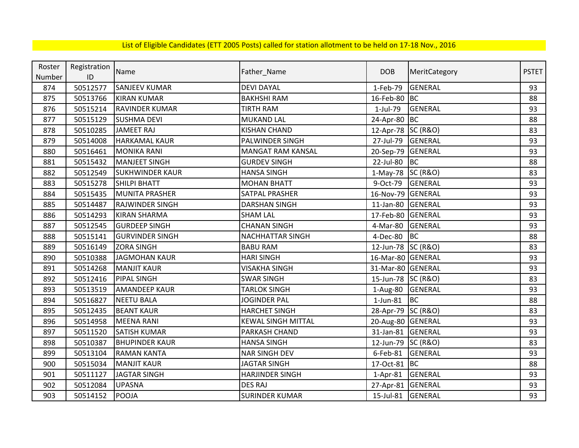| Roster | Registration | Name                   |                           | <b>DOB</b>         |                     | <b>PSTET</b> |
|--------|--------------|------------------------|---------------------------|--------------------|---------------------|--------------|
| Number | ID           |                        | Father_Name               |                    | MeritCategory       |              |
| 874    | 50512577     | <b>SANJEEV KUMAR</b>   | <b>DEVI DAYAL</b>         | 1-Feb-79           | <b>GENERAL</b>      | 93           |
| 875    | 50513766     | <b>KIRAN KUMAR</b>     | <b>BAKHSHI RAM</b>        | 16-Feb-80          | <b>BC</b>           | 88           |
| 876    | 50515214     | <b>RAVINDER KUMAR</b>  | <b>TIRTH RAM</b>          | 1-Jul-79           | <b>GENERAL</b>      | 93           |
| 877    | 50515129     | <b>SUSHMA DEVI</b>     | <b>MUKAND LAL</b>         | 24-Apr-80          | <b>BC</b>           | 88           |
| 878    | 50510285     | <b>JAMEET RAJ</b>      | <b>KISHAN CHAND</b>       | 12-Apr-78 SC (R&O) |                     | 83           |
| 879    | 50514008     | <b>HARKAMAL KAUR</b>   | PALWINDER SINGH           | 27-Jul-79          | <b>GENERAL</b>      | 93           |
| 880    | 50516461     | <b>MONIKA RANI</b>     | <b>MANGAT RAM KANSAL</b>  | 20-Sep-79          | GENERAL             | 93           |
| 881    | 50515432     | <b>MANJEET SINGH</b>   | <b>GURDEV SINGH</b>       | 22-Jul-80          | BC                  | 88           |
| 882    | 50512549     | <b>SUKHWINDER KAUR</b> | <b>HANSA SINGH</b>        | $1-May-78$         | <b>SC (R&amp;O)</b> | 83           |
| 883    | 50515278     | <b>SHILPI BHATT</b>    | <b>MOHAN BHATT</b>        | 9-Oct-79           | GENERAL             | 93           |
| 884    | 50515435     | <b>MUNITA PRASHER</b>  | SATPAL PRASHER            | 16-Nov-79          | <b>GENERAL</b>      | 93           |
| 885    | 50514487     | <b>RAJWINDER SINGH</b> | <b>DARSHAN SINGH</b>      | $11$ -Jan-80       | GENERAL             | 93           |
| 886    | 50514293     | <b>KIRAN SHARMA</b>    | <b>SHAM LAL</b>           | 17-Feb-80          | GENERAL             | 93           |
| 887    | 50512545     | <b>GURDEEP SINGH</b>   | <b>CHANAN SINGH</b>       | 4-Mar-80           | GENERAL             | 93           |
| 888    | 50515141     | <b>GURVINDER SINGH</b> | NACHHATTAR SINGH          | 4-Dec-80           | <b>BC</b>           | 88           |
| 889    | 50516149     | <b>ZORA SINGH</b>      | <b>BABU RAM</b>           | 12-Jun-78 SC (R&O) |                     | 83           |
| 890    | 50510388     | <b>JAGMOHAN KAUR</b>   | <b>HARI SINGH</b>         | 16-Mar-80 GENERAL  |                     | 93           |
| 891    | 50514268     | <b>MANJIT KAUR</b>     | <b>VISAKHA SINGH</b>      | 31-Mar-80 GENERAL  |                     | 93           |
| 892    | 50512416     | <b>PIPAL SINGH</b>     | <b>SWAR SINGH</b>         | 15-Jun-78 SC (R&O) |                     | 83           |
| 893    | 50513519     | <b>AMANDEEP KAUR</b>   | <b>TARLOK SINGH</b>       | 1-Aug-80           | GENERAL             | 93           |
| 894    | 50516827     | <b>NEETU BALA</b>      | JOGINDER PAL              | 1-Jun-81           | BC                  | 88           |
| 895    | 50512435     | <b>BEANT KAUR</b>      | <b>HARCHET SINGH</b>      | 28-Apr-79 SC (R&O) |                     | 83           |
| 896    | 50514958     | <b>MEENA RANI</b>      | <b>KEWAL SINGH MITTAL</b> | 20-Aug-80 GENERAL  |                     | 93           |
| 897    | 50511520     | <b>SATISH KUMAR</b>    | PARKASH CHAND             | 31-Jan-81          | <b>GENERAL</b>      | 93           |
| 898    | 50510387     | <b>BHUPINDER KAUR</b>  | <b>HANSA SINGH</b>        | 12-Jun-79          | <b>SC (R&amp;O)</b> | 83           |
| 899    | 50513104     | <b>RAMAN KANTA</b>     | <b>NAR SINGH DEV</b>      | 6-Feb-81           | <b>GENERAL</b>      | 93           |
| 900    | 50515034     | <b>MANJIT KAUR</b>     | <b>JAGTAR SINGH</b>       | 17-Oct-81 BC       |                     | 88           |
| 901    | 50511127     | <b>JAGTAR SINGH</b>    | <b>HARJINDER SINGH</b>    | $1-Apr-81$         | <b>GENERAL</b>      | 93           |
| 902    | 50512084     | <b>UPASNA</b>          | <b>DES RAJ</b>            | 27-Apr-81          | <b>GENERAL</b>      | 93           |
| 903    | 50514152     | POOJA                  | <b>SURINDER KUMAR</b>     | 15-Jul-81          | GENERAL             | 93           |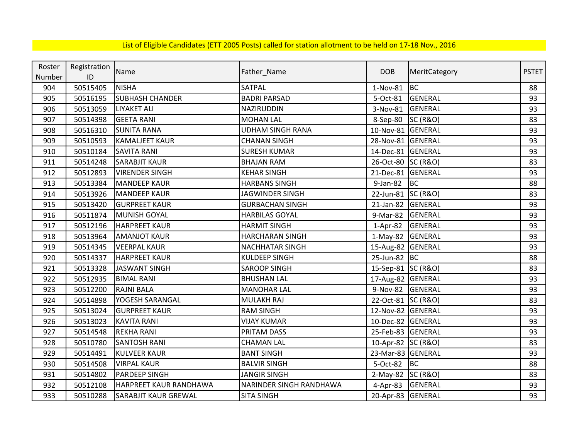| Roster | Registration | Name                        |                         | <b>DOB</b>         |                     | <b>PSTET</b> |
|--------|--------------|-----------------------------|-------------------------|--------------------|---------------------|--------------|
| Number | ID           |                             | Father_Name             |                    | MeritCategory       |              |
| 904    | 50515405     | <b>NISHA</b>                | SATPAL                  | $1-Nov-81$         | <b>BC</b>           | 88           |
| 905    | 50516195     | <b>SUBHASH CHANDER</b>      | <b>BADRI PARSAD</b>     | 5-Oct-81           | GENERAL             | 93           |
| 906    | 50513059     | <b>LIYAKET ALI</b>          | NAZIRUDDIN              | 3-Nov-81           | <b>GENERAL</b>      | 93           |
| 907    | 50514398     | <b>GEETA RANI</b>           | <b>MOHAN LAL</b>        | 8-Sep-80           | <b>SC (R&amp;O)</b> | 83           |
| 908    | 50516310     | <b>SUNITA RANA</b>          | <b>UDHAM SINGH RANA</b> | 10-Nov-81 GENERAL  |                     | 93           |
| 909    | 50510593     | <b>KAMALJEET KAUR</b>       | <b>CHANAN SINGH</b>     | 28-Nov-81 GENERAL  |                     | 93           |
| 910    | 50510184     | <b>SAVITA RANI</b>          | <b>SURESH KUMAR</b>     | 14-Dec-81 GENERAL  |                     | 93           |
| 911    | 50514248     | <b>SARABJIT KAUR</b>        | <b>BHAJAN RAM</b>       | 26-Oct-80 SC (R&O) |                     | 83           |
| 912    | 50512893     | <b>VIRENDER SINGH</b>       | <b>KEHAR SINGH</b>      | 21-Dec-81          | <b>GENERAL</b>      | 93           |
| 913    | 50513384     | <b>MANDEEP KAUR</b>         | <b>HARBANS SINGH</b>    | 9-Jan-82           | <b>BC</b>           | 88           |
| 914    | 50513926     | <b>MANDEEP KAUR</b>         | <b>JAGWINDER SINGH</b>  | 22-Jun-81 SC (R&O) |                     | 83           |
| 915    | 50513420     | <b>GURPREET KAUR</b>        | <b>GURBACHAN SINGH</b>  | 21-Jan-82          | <b>GENERAL</b>      | 93           |
| 916    | 50511874     | MUNISH GOYAL                | <b>HARBILAS GOYAL</b>   | 9-Mar-82           | <b>GENERAL</b>      | 93           |
| 917    | 50512196     | <b>HARPREET KAUR</b>        | <b>HARMIT SINGH</b>     | $1-Apr-82$         | <b>GENERAL</b>      | 93           |
| 918    | 50513964     | <b>AMANJOT KAUR</b>         | <b>HARCHARAN SINGH</b>  | 1-May-82 GENERAL   |                     | 93           |
| 919    | 50514345     | <b>VEERPAL KAUR</b>         | <b>NACHHATAR SINGH</b>  | 15-Aug-82 GENERAL  |                     | 93           |
| 920    | 50514337     | <b>HARPREET KAUR</b>        | <b>KULDEEP SINGH</b>    | 25-Jun-82 BC       |                     | 88           |
| 921    | 50513328     | <b>JASWANT SINGH</b>        | <b>SAROOP SINGH</b>     | 15-Sep-81 SC (R&O) |                     | 83           |
| 922    | 50512935     | <b>BIMAL RANI</b>           | <b>BHUSHAN LAL</b>      | 17-Aug-82 GENERAL  |                     | 93           |
| 923    | 50512200     | <b>RAJNI BALA</b>           | <b>MANOHAR LAL</b>      | 9-Nov-82           | <b>GENERAL</b>      | 93           |
| 924    | 50514898     | YOGESH SARANGAL             | MULAKH RAJ              | 22-Oct-81 SC (R&O) |                     | 83           |
| 925    | 50513024     | <b>GURPREET KAUR</b>        | <b>RAM SINGH</b>        | 12-Nov-82 GENERAL  |                     | 93           |
| 926    | 50513023     | <b>KAVITA RANI</b>          | <b>VIJAY KUMAR</b>      | 10-Dec-82 GENERAL  |                     | 93           |
| 927    | 50514548     | <b>REKHA RANI</b>           | PRITAM DASS             | 25-Feb-83 GENERAL  |                     | 93           |
| 928    | 50510780     | <b>SANTOSH RANI</b>         | <b>CHAMAN LAL</b>       | 10-Apr-82 SC (R&O) |                     | 83           |
| 929    | 50514491     | <b>KULVEER KAUR</b>         | <b>BANT SINGH</b>       | 23-Mar-83 GENERAL  |                     | 93           |
| 930    | 50514508     | <b>VIRPAL KAUR</b>          | <b>BALVIR SINGH</b>     | 5-Oct-82           | BC                  | 88           |
| 931    | 50514802     | <b>PARDEEP SINGH</b>        | <b>JANGIR SINGH</b>     | 2-May-82 SC (R&O)  |                     | 83           |
| 932    | 50512108     | HARPREET KAUR RANDHAWA      | NARINDER SINGH RANDHAWA | 4-Apr-83           | GENERAL             | 93           |
| 933    | 50510288     | <b>SARABJIT KAUR GREWAL</b> | <b>SITA SINGH</b>       | 20-Apr-83 GENERAL  |                     | 93           |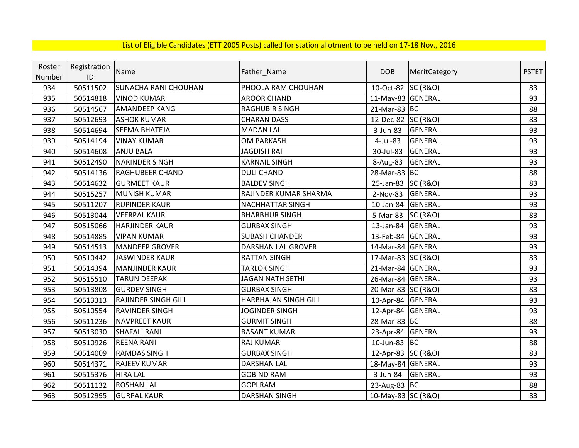| Roster | Registration | Name                        | Father_Name                 | <b>DOB</b>         | MeritCategory       | <b>PSTET</b> |
|--------|--------------|-----------------------------|-----------------------------|--------------------|---------------------|--------------|
| Number | ID           |                             |                             |                    |                     |              |
| 934    | 50511502     | <b>SUNACHA RANI CHOUHAN</b> | PHOOLA RAM CHOUHAN          | 10-Oct-82 SC (R&O) |                     | 83           |
| 935    | 50514818     | <b>VINOD KUMAR</b>          | <b>AROOR CHAND</b>          | 11-May-83 GENERAL  |                     | 93           |
| 936    | 50514567     | <b>AMANDEEP KANG</b>        | <b>RAGHUBIR SINGH</b>       | 21-Mar-83 BC       |                     | 88           |
| 937    | 50512693     | <b>ASHOK KUMAR</b>          | <b>CHARAN DASS</b>          | 12-Dec-82 SC (R&O) |                     | 83           |
| 938    | 50514694     | <b>SEEMA BHATEJA</b>        | <b>MADAN LAL</b>            | 3-Jun-83           | <b>GENERAL</b>      | 93           |
| 939    | 50514194     | <b>VINAY KUMAR</b>          | <b>OM PARKASH</b>           | 4-Jul-83           | <b>GENERAL</b>      | 93           |
| 940    | 50514608     | <b>ANJU BALA</b>            | <b>JAGDISH RAI</b>          | 30-Jul-83          | <b>GENERAL</b>      | 93           |
| 941    | 50512490     | <b>NARINDER SINGH</b>       | <b>KARNAIL SINGH</b>        | 8-Aug-83           | <b>GENERAL</b>      | 93           |
| 942    | 50514136     | <b>RAGHUBEER CHAND</b>      | <b>DULI CHAND</b>           | 28-Mar-83 BC       |                     | 88           |
| 943    | 50514632     | <b>GURMEET KAUR</b>         | <b>BALDEV SINGH</b>         | 25-Jan-83 SC (R&O) |                     | 83           |
| 944    | 50515257     | <b>MUNISH KUMAR</b>         | RAJINDER KUMAR SHARMA       | 2-Nov-83           | <b>GENERAL</b>      | 93           |
| 945    | 50511207     | <b>RUPINDER KAUR</b>        | <b>NACHHATTAR SINGH</b>     | 10-Jan-84          | <b>GENERAL</b>      | 93           |
| 946    | 50513044     | <b>VEERPAL KAUR</b>         | <b>BHARBHUR SINGH</b>       | 5-Mar-83           | <b>SC (R&amp;O)</b> | 83           |
| 947    | 50515066     | <b>HARJINDER KAUR</b>       | <b>GURBAX SINGH</b>         | 13-Jan-84 GENERAL  |                     | 93           |
| 948    | 50514885     | <b>VIPAN KUMAR</b>          | <b>SUBASH CHANDER</b>       | 13-Feb-84 GENERAL  |                     | 93           |
| 949    | 50514513     | <b>MANDEEP GROVER</b>       | <b>DARSHAN LAL GROVER</b>   | 14-Mar-84 GENERAL  |                     | 93           |
| 950    | 50510442     | JASWINDER KAUR              | <b>RATTAN SINGH</b>         | 17-Mar-83 SC (R&O) |                     | 83           |
| 951    | 50514394     | <b>MANJINDER KAUR</b>       | <b>TARLOK SINGH</b>         | 21-Mar-84 GENERAL  |                     | 93           |
| 952    | 50515510     | <b>TARUN DEEPAK</b>         | <b>JAGAN NATH SETHI</b>     | 26-Mar-84 GENERAL  |                     | 93           |
| 953    | 50513808     | <b>GURDEV SINGH</b>         | <b>GURBAX SINGH</b>         | 20-Mar-83 SC (R&O) |                     | 83           |
| 954    | 50513313     | <b>RAJINDER SINGH GILL</b>  | <b>HARBHAJAN SINGH GILL</b> | 10-Apr-84 GENERAL  |                     | 93           |
| 955    | 50510554     | <b>RAVINDER SINGH</b>       | <b>JOGINDER SINGH</b>       | 12-Apr-84 GENERAL  |                     | 93           |
| 956    | 50511236     | <b>NAVPREET KAUR</b>        | <b>GURMIT SINGH</b>         | 28-Mar-83 BC       |                     | 88           |
| 957    | 50513030     | <b>SHAFALI RANI</b>         | <b>BASANT KUMAR</b>         | 23-Apr-84 GENERAL  |                     | 93           |
| 958    | 50510926     | <b>REENA RANI</b>           | <b>RAJ KUMAR</b>            | 10-Jun-83 BC       |                     | 88           |
| 959    | 50514009     | <b>RAMDAS SINGH</b>         | <b>GURBAX SINGH</b>         | 12-Apr-83 SC (R&O) |                     | 83           |
| 960    | 50514371     | RAJEEV KUMAR                | <b>DARSHAN LAL</b>          | 18-May-84 GENERAL  |                     | 93           |
| 961    | 50515376     | <b>HIRA LAL</b>             | <b>GOBIND RAM</b>           | 3-Jun-84           | GENERAL             | 93           |
| 962    | 50511132     | <b>ROSHAN LAL</b>           | <b>GOPI RAM</b>             | 23-Aug-83 BC       |                     | 88           |
| 963    | 50512995     | <b>GURPAL KAUR</b>          | <b>DARSHAN SINGH</b>        | 10-May-83 SC (R&O) |                     | 83           |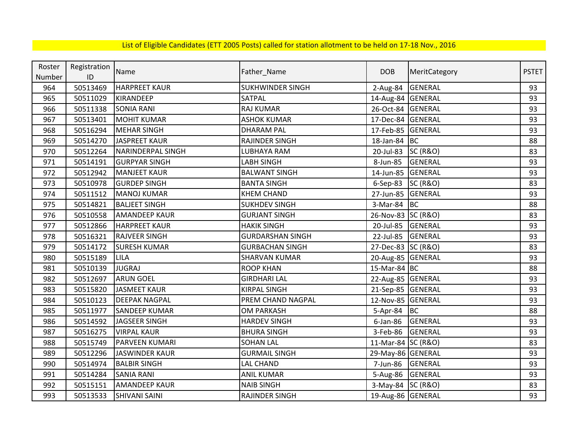| Roster | Registration | Name                  |                         | <b>DOB</b>         |                     | <b>PSTET</b> |
|--------|--------------|-----------------------|-------------------------|--------------------|---------------------|--------------|
| Number | ID           |                       | Father_Name             |                    | MeritCategory       |              |
| 964    | 50513469     | <b>HARPREET KAUR</b>  | <b>SUKHWINDER SINGH</b> | 2-Aug-84           | <b>GENERAL</b>      | 93           |
| 965    | 50511029     | <b>KIRANDEEP</b>      | SATPAL                  | 14-Aug-84 GENERAL  |                     | 93           |
| 966    | 50511338     | <b>SONIA RANI</b>     | <b>RAJ KUMAR</b>        | 26-Oct-84 GENERAL  |                     | 93           |
| 967    | 50513401     | <b>MOHIT KUMAR</b>    | <b>ASHOK KUMAR</b>      | 17-Dec-84 GENERAL  |                     | 93           |
| 968    | 50516294     | <b>MEHAR SINGH</b>    | <b>DHARAM PAL</b>       | 17-Feb-85 GENERAL  |                     | 93           |
| 969    | 50514270     | JASPREET KAUR         | RAJINDER SINGH          | 18-Jan-84 BC       |                     | 88           |
| 970    | 50512264     | NARINDERPAL SINGH     | <b>LUBHAYA RAM</b>      | 20-Jul-83          | <b>SC (R&amp;O)</b> | 83           |
| 971    | 50514191     | <b>GURPYAR SINGH</b>  | LABH SINGH              | 8-Jun-85           | <b>GENERAL</b>      | 93           |
| 972    | 50512942     | <b>MANJEET KAUR</b>   | <b>BALWANT SINGH</b>    | 14-Jun-85 GENERAL  |                     | 93           |
| 973    | 50510978     | <b>GURDEP SINGH</b>   | <b>BANTA SINGH</b>      | 6-Sep-83 SC (R&O)  |                     | 83           |
| 974    | 50511512     | <b>MANOJ KUMAR</b>    | <b>KHEM CHAND</b>       | 27-Jun-85 GENERAL  |                     | 93           |
| 975    | 50514821     | <b>BALJEET SINGH</b>  | <b>SUKHDEV SINGH</b>    | 3-Mar-84           | BC                  | 88           |
| 976    | 50510558     | <b>AMANDEEP KAUR</b>  | <b>GURJANT SINGH</b>    | 26-Nov-83 SC (R&O) |                     | 83           |
| 977    | 50512866     | <b>HARPREET KAUR</b>  | <b>HAKIK SINGH</b>      | 20-Jul-85          | GENERAL             | 93           |
| 978    | 50516321     | <b>RAJVEER SINGH</b>  | <b>GURDARSHAN SINGH</b> | 22-Jul-85          | <b>GENERAL</b>      | 93           |
| 979    | 50514172     | <b>SURESH KUMAR</b>   | <b>GURBACHAN SINGH</b>  | 27-Dec-83 SC (R&O) |                     | 83           |
| 980    | 50515189     | LILA                  | <b>SHARVAN KUMAR</b>    | 20-Aug-85 GENERAL  |                     | 93           |
| 981    | 50510139     | <b>JUGRAJ</b>         | <b>ROOP KHAN</b>        | 15-Mar-84 BC       |                     | 88           |
| 982    | 50512697     | <b>ARUN GOEL</b>      | <b>GIRDHARI LAL</b>     | 22-Aug-85 GENERAL  |                     | 93           |
| 983    | 50515820     | JASMEET KAUR          | <b>KIRPAL SINGH</b>     | 21-Sep-85 GENERAL  |                     | 93           |
| 984    | 50510123     | <b>DEEPAK NAGPAL</b>  | PREM CHAND NAGPAL       | 12-Nov-85 GENERAL  |                     | 93           |
| 985    | 50511977     | <b>SANDEEP KUMAR</b>  | <b>OM PARKASH</b>       | 5-Apr-84           | <b>BC</b>           | 88           |
| 986    | 50514592     | JAGSEER SINGH         | <b>HARDEV SINGH</b>     | $6$ -Jan-86        | GENERAL             | 93           |
| 987    | 50516275     | <b>VIRPAL KAUR</b>    | <b>BHURA SINGH</b>      | 3-Feb-86           | <b>GENERAL</b>      | 93           |
| 988    | 50515749     | <b>PARVEEN KUMARI</b> | <b>SOHAN LAL</b>        | 11-Mar-84 SC (R&O) |                     | 83           |
| 989    | 50512296     | <b>JASWINDER KAUR</b> | <b>GURMAIL SINGH</b>    | 29-May-86 GENERAL  |                     | 93           |
| 990    | 50514974     | <b>BALBIR SINGH</b>   | LAL CHAND               | 7-Jun-86           | <b>GENERAL</b>      | 93           |
| 991    | 50514284     | <b>SANIA RANI</b>     | <b>ANIL KUMAR</b>       | 5-Aug-86 GENERAL   |                     | 93           |
| 992    | 50515151     | <b>AMANDEEP KAUR</b>  | <b>NAIB SINGH</b>       | 3-May-84 SC (R&O)  |                     | 83           |
| 993    | 50513533     | <b>SHIVANI SAINI</b>  | RAJINDER SINGH          | 19-Aug-86 GENERAL  |                     | 93           |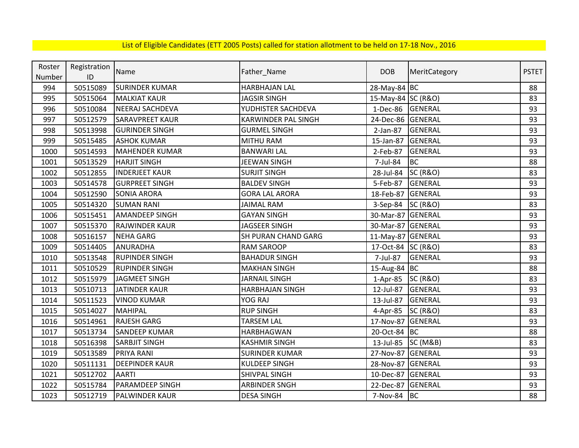| Roster | Registration | Name                   |                            | <b>DOB</b>         |                     | <b>PSTET</b> |
|--------|--------------|------------------------|----------------------------|--------------------|---------------------|--------------|
| Number | ID           |                        | Father_Name                |                    | MeritCategory       |              |
| 994    | 50515089     | <b>SURINDER KUMAR</b>  | <b>HARBHAJAN LAL</b>       | 28-May-84 BC       |                     | 88           |
| 995    | 50515064     | <b>MALKIAT KAUR</b>    | <b>JAGSIR SINGH</b>        | 15-May-84 SC (R&O) |                     | 83           |
| 996    | 50510084     | NEERAJ SACHDEVA        | YUDHISTER SACHDEVA         | 1-Dec-86           | <b>GENERAL</b>      | 93           |
| 997    | 50512579     | <b>SARAVPREET KAUR</b> | <b>KARWINDER PAL SINGH</b> | 24-Dec-86 GENERAL  |                     | 93           |
| 998    | 50513998     | <b>GURINDER SINGH</b>  | <b>GURMEL SINGH</b>        | 2-Jan-87           | <b>GENERAL</b>      | 93           |
| 999    | 50515485     | <b>ASHOK KUMAR</b>     | MITHU RAM                  | 15-Jan-87          | <b>GENERAL</b>      | 93           |
| 1000   | 50514593     | <b>MAHENDER KUMAR</b>  | <b>BANWARI LAL</b>         | 2-Feb-87           | <b>GENERAL</b>      | 93           |
| 1001   | 50513529     | <b>HARJIT SINGH</b>    | <b>JEEWAN SINGH</b>        | 7-Jul-84           | <b>BC</b>           | 88           |
| 1002   | 50512855     | <b>INDERJEET KAUR</b>  | <b>SURJIT SINGH</b>        | 28-Jul-84          | <b>SC (R&amp;O)</b> | 83           |
| 1003   | 50514578     | <b>GURPREET SINGH</b>  | <b>BALDEV SINGH</b>        | 5-Feb-87           | <b>GENERAL</b>      | 93           |
| 1004   | 50512590     | <b>SONIA ARORA</b>     | <b>GORA LAL ARORA</b>      | 18-Feb-87          | GENERAL             | 93           |
| 1005   | 50514320     | <b>SUMAN RANI</b>      | <b>JAIMAL RAM</b>          | 3-Sep-84           | <b>SC (R&amp;O)</b> | 83           |
| 1006   | 50515451     | <b>AMANDEEP SINGH</b>  | <b>GAYAN SINGH</b>         | 30-Mar-87          | <b>GENERAL</b>      | 93           |
| 1007   | 50515370     | <b>RAJWINDER KAUR</b>  | <b>JAGSEER SINGH</b>       | 30-Mar-87          | <b>GENERAL</b>      | 93           |
| 1008   | 50516157     | <b>NEHA GARG</b>       | SH PURAN CHAND GARG        | 11-May-87          | <b>GENERAL</b>      | 93           |
| 1009   | 50514405     | ANURADHA               | <b>RAM SAROOP</b>          | 17-Oct-84 SC (R&O) |                     | 83           |
| 1010   | 50513548     | <b>RUPINDER SINGH</b>  | <b>BAHADUR SINGH</b>       | 7-Jul-87           | <b>GENERAL</b>      | 93           |
| 1011   | 50510529     | <b>RUPINDER SINGH</b>  | <b>MAKHAN SINGH</b>        | 15-Aug-84 BC       |                     | 88           |
| 1012   | 50515979     | JAGMEET SINGH          | <b>JARNAIL SINGH</b>       | 1-Apr-85           | <b>SC (R&amp;O)</b> | 83           |
| 1013   | 50510713     | <b>JATINDER KAUR</b>   | <b>HARBHAJAN SINGH</b>     | 12-Jul-87          | <b>GENERAL</b>      | 93           |
| 1014   | 50511523     | <b>VINOD KUMAR</b>     | YOG RAJ                    | 13-Jul-87          | <b>GENERAL</b>      | 93           |
| 1015   | 50514027     | MAHIPAL                | <b>RUP SINGH</b>           | 4-Apr-85           | <b>SC (R&amp;O)</b> | 83           |
| 1016   | 50514961     | <b>RAJESH GARG</b>     | <b>TARSEM LAL</b>          | 17-Nov-87          | GENERAL             | 93           |
| 1017   | 50513734     | <b>SANDEEP KUMAR</b>   | HARBHAGWAN                 | 20-Oct-84 BC       |                     | 88           |
| 1018   | 50516398     | <b>SARBJIT SINGH</b>   | <b>KASHMIR SINGH</b>       | 13-Jul-85          | SC (M&B)            | 83           |
| 1019   | 50513589     | <b>PRIYA RANI</b>      | <b>SURINDER KUMAR</b>      | 27-Nov-87          | GENERAL             | 93           |
| 1020   | 50511131     | <b>DEEPINDER KAUR</b>  | <b>KULDEEP SINGH</b>       | 28-Nov-87          | <b>GENERAL</b>      | 93           |
| 1021   | 50512702     | <b>AARTI</b>           | <b>SHIVPAL SINGH</b>       | 10-Dec-87          | GENERAL             | 93           |
| 1022   | 50515784     | <b>PARAMDEEP SINGH</b> | <b>ARBINDER SNGH</b>       | 22-Dec-87          | <b>GENERAL</b>      | 93           |
| 1023   | 50512719     | <b>PALWINDER KAUR</b>  | <b>DESA SINGH</b>          | 7-Nov-84 BC        |                     | 88           |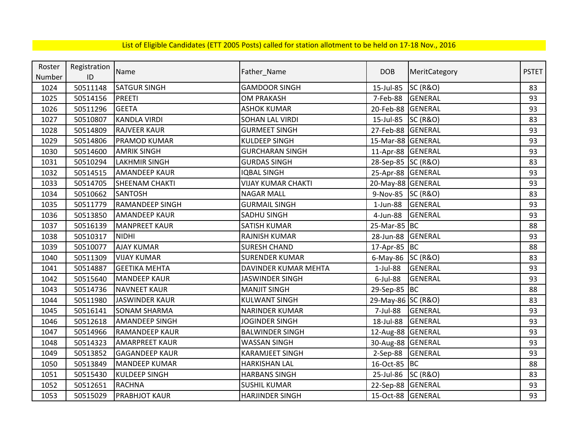| Roster | Registration | Name                   |                           | <b>DOB</b>         | MeritCategory       | <b>PSTET</b> |
|--------|--------------|------------------------|---------------------------|--------------------|---------------------|--------------|
| Number | ID           |                        | Father_Name               |                    |                     |              |
| 1024   | 50511148     | <b>SATGUR SINGH</b>    | <b>GAMDOOR SINGH</b>      | 15-Jul-85          | <b>SC (R&amp;O)</b> | 83           |
| 1025   | 50514156     | <b>PREETI</b>          | <b>OM PRAKASH</b>         | 7-Feb-88           | <b>GENERAL</b>      | 93           |
| 1026   | 50511296     | <b>GEETA</b>           | <b>ASHOK KUMAR</b>        | 20-Feb-88          | <b>GENERAL</b>      | 93           |
| 1027   | 50510807     | <b>KANDLA VIRDI</b>    | <b>SOHAN LAL VIRDI</b>    | 15-Jul-85          | <b>SC (R&amp;O)</b> | 83           |
| 1028   | 50514809     | <b>RAJVEER KAUR</b>    | <b>GURMEET SINGH</b>      | 27-Feb-88          | <b>GENERAL</b>      | 93           |
| 1029   | 50514806     | <b>PRAMOD KUMAR</b>    | <b>KULDEEP SINGH</b>      | 15-Mar-88 GENERAL  |                     | 93           |
| 1030   | 50514600     | <b>AMRIK SINGH</b>     | <b>GURCHARAN SINGH</b>    | 11-Apr-88          | GENERAL             | 93           |
| 1031   | 50510294     | <b>LAKHMIR SINGH</b>   | <b>GURDAS SINGH</b>       | 28-Sep-85 SC (R&O) |                     | 83           |
| 1032   | 50514515     | <b>AMANDEEP KAUR</b>   | <b>IQBAL SINGH</b>        | 25-Apr-88 GENERAL  |                     | 93           |
| 1033   | 50514705     | <b>SHEENAM CHAKTI</b>  | <b>VIJAY KUMAR CHAKTI</b> | 20-May-88 GENERAL  |                     | 93           |
| 1034   | 50510662     | <b>SANTOSH</b>         | <b>NAGAR MALL</b>         | 9-Nov-85 SC (R&O)  |                     | 83           |
| 1035   | 50511779     | <b>RAMANDEEP SINGH</b> | <b>GURMAIL SINGH</b>      | $1$ -Jun-88        | <b>GENERAL</b>      | 93           |
| 1036   | 50513850     | <b>AMANDEEP KAUR</b>   | SADHU SINGH               | 4-Jun-88           | GENERAL             | 93           |
| 1037   | 50516139     | <b>MANPREET KAUR</b>   | SATISH KUMAR              | 25-Mar-85 BC       |                     | 88           |
| 1038   | 50510317     | <b>NIDHI</b>           | <b>RAJNISH KUMAR</b>      | 28-Jun-88          | GENERAL             | 93           |
| 1039   | 50510077     | <b>AJAY KUMAR</b>      | <b>SURESH CHAND</b>       | 17-Apr-85 BC       |                     | 88           |
| 1040   | 50511309     | <b>VIJAY KUMAR</b>     | <b>SURENDER KUMAR</b>     | $6$ -May-86        | <b>SC (R&amp;O)</b> | 83           |
| 1041   | 50514887     | <b>GEETIKA MEHTA</b>   | DAVINDER KUMAR MEHTA      | $1$ -Jul-88        | <b>GENERAL</b>      | 93           |
| 1042   | 50515640     | <b>MANDEEP KAUR</b>    | <b>JASWINDER SINGH</b>    | $6$ -Jul-88        | <b>GENERAL</b>      | 93           |
| 1043   | 50514736     | <b>NAVNEET KAUR</b>    | <b>MANJIT SINGH</b>       | 29-Sep-85 BC       |                     | 88           |
| 1044   | 50511980     | <b>JASWINDER KAUR</b>  | <b>KULWANT SINGH</b>      | 29-May-86 SC (R&O) |                     | 83           |
| 1045   | 50516141     | <b>SONAM SHARMA</b>    | NARINDER KUMAR            | 7-Jul-88           | <b>GENERAL</b>      | 93           |
| 1046   | 50512618     | <b>AMANDEEP SINGH</b>  | <b>JOGINDER SINGH</b>     | 18-Jul-88          | <b>GENERAL</b>      | 93           |
| 1047   | 50514966     | <b>RAMANDEEP KAUR</b>  | <b>BALWINDER SINGH</b>    | 12-Aug-88 GENERAL  |                     | 93           |
| 1048   | 50514323     | <b>AMARPREET KAUR</b>  | <b>WASSAN SINGH</b>       | 30-Aug-88 GENERAL  |                     | 93           |
| 1049   | 50513852     | <b>GAGANDEEP KAUR</b>  | <b>KARAMJEET SINGH</b>    | 2-Sep-88           | GENERAL             | 93           |
| 1050   | 50513849     | <b>MANDEEP KUMAR</b>   | <b>HARKISHAN LAL</b>      | 16-Oct-85          | <b>BC</b>           | 88           |
| 1051   | 50515430     | <b>KULDEEP SINGH</b>   | <b>HARBANS SINGH</b>      | 25-Jul-86          | <b>SC (R&amp;O)</b> | 83           |
| 1052   | 50512651     | <b>RACHNA</b>          | <b>SUSHIL KUMAR</b>       | 22-Sep-88          | <b>GENERAL</b>      | 93           |
| 1053   | 50515029     | <b>PRABHJOT KAUR</b>   | <b>HARJINDER SINGH</b>    | 15-Oct-88 GENERAL  |                     | 93           |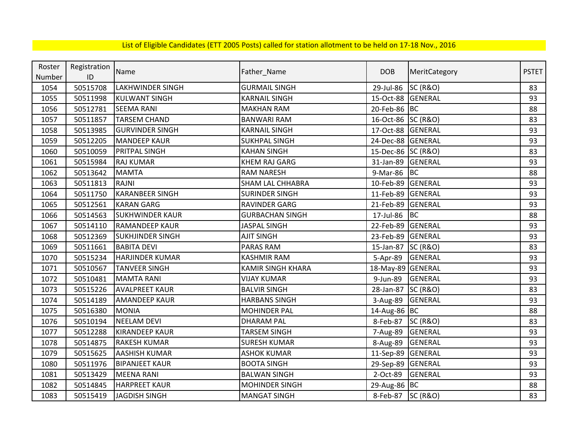| Roster | Registration | Name                    |                          | <b>DOB</b>         |                     | <b>PSTET</b> |
|--------|--------------|-------------------------|--------------------------|--------------------|---------------------|--------------|
| Number | ID           |                         | Father_Name              |                    | MeritCategory       |              |
| 1054   | 50515708     | <b>LAKHWINDER SINGH</b> | <b>GURMAIL SINGH</b>     | 29-Jul-86          | <b>SC (R&amp;O)</b> | 83           |
| 1055   | 50511998     | <b>KULWANT SINGH</b>    | <b>KARNAIL SINGH</b>     | 15-Oct-88 GENERAL  |                     | 93           |
| 1056   | 50512781     | <b>SEEMA RANI</b>       | <b>MAKHAN RAM</b>        | 20-Feb-86 BC       |                     | 88           |
| 1057   | 50511857     | <b>TARSEM CHAND</b>     | <b>BANWARI RAM</b>       | 16-Oct-86 SC (R&O) |                     | 83           |
| 1058   | 50513985     | <b>GURVINDER SINGH</b>  | <b>KARNAIL SINGH</b>     | 17-Oct-88 GENERAL  |                     | 93           |
| 1059   | 50512205     | <b>MANDEEP KAUR</b>     | <b>SUKHPAL SINGH</b>     | 24-Dec-88 GENERAL  |                     | 93           |
| 1060   | 50510059     | <b>PRITPAL SINGH</b>    | <b>KAHAN SINGH</b>       | 15-Dec-86 SC (R&O) |                     | 83           |
| 1061   | 50515984     | <b>RAJ KUMAR</b>        | <b>KHEM RAJ GARG</b>     | 31-Jan-89          | <b>GENERAL</b>      | 93           |
| 1062   | 50513642     | <b>MAMTA</b>            | <b>RAM NARESH</b>        | 9-Mar-86           | <b>BC</b>           | 88           |
| 1063   | 50511813     | <b>RAJNI</b>            | <b>SHAM LAL CHHABRA</b>  | 10-Feb-89          | GENERAL             | 93           |
| 1064   | 50511750     | <b>KARANBEER SINGH</b>  | <b>SURINDER SINGH</b>    | 11-Feb-89          | <b>GENERAL</b>      | 93           |
| 1065   | 50512561     | <b>KARAN GARG</b>       | <b>RAVINDER GARG</b>     | 21-Feb-89          | GENERAL             | 93           |
| 1066   | 50514563     | <b>SUKHWINDER KAUR</b>  | <b>GURBACHAN SINGH</b>   | 17-Jul-86          | <b>BC</b>           | 88           |
| 1067   | 50514110     | <b>RAMANDEEP KAUR</b>   | <b>JASPAL SINGH</b>      | 22-Feb-89          | GENERAL             | 93           |
| 1068   | 50512369     | <b>SUKHJINDER SINGH</b> | <b>AJIT SINGH</b>        | 23-Feb-89          | GENERAL             | 93           |
| 1069   | 50511661     | <b>BABITA DEVI</b>      | PARAS RAM                | 15-Jan-87 SC (R&O) |                     | 83           |
| 1070   | 50515234     | <b>HARJINDER KUMAR</b>  | <b>KASHMIR RAM</b>       | 5-Apr-89           | GENERAL             | 93           |
| 1071   | 50510567     | <b>TANVEER SINGH</b>    | <b>KAMIR SINGH KHARA</b> | 18-May-89 GENERAL  |                     | 93           |
| 1072   | 50510481     | <b>MAMTA RANI</b>       | <b>VIJAY KUMAR</b>       | 9-Jun-89           | GENERAL             | 93           |
| 1073   | 50515226     | <b>AVALPREET KAUR</b>   | <b>BALVIR SINGH</b>      | 28-Jan-87          | <b>SC (R&amp;O)</b> | 83           |
| 1074   | 50514189     | <b>AMANDEEP KAUR</b>    | <b>HARBANS SINGH</b>     | 3-Aug-89           | <b>GENERAL</b>      | 93           |
| 1075   | 50516380     | <b>MONIA</b>            | <b>MOHINDER PAL</b>      | 14-Aug-86 BC       |                     | 88           |
| 1076   | 50510194     | <b>NEELAM DEVI</b>      | <b>DHARAM PAL</b>        | 8-Feb-87           | <b>SC (R&amp;O)</b> | 83           |
| 1077   | 50512288     | <b>KIRANDEEP KAUR</b>   | <b>TARSEM SINGH</b>      | 7-Aug-89           | <b>GENERAL</b>      | 93           |
| 1078   | 50514875     | <b>RAKESH KUMAR</b>     | <b>SURESH KUMAR</b>      | 8-Aug-89           | <b>GENERAL</b>      | 93           |
| 1079   | 50515625     | <b>AASHISH KUMAR</b>    | <b>ASHOK KUMAR</b>       | 11-Sep-89 GENERAL  |                     | 93           |
| 1080   | 50511976     | <b>BIPANJEET KAUR</b>   | <b>BOOTA SINGH</b>       | 29-Sep-89 GENERAL  |                     | 93           |
| 1081   | 50513429     | <b>MEENA RANI</b>       | <b>BALWAN SINGH</b>      | 2-Oct-89           | <b>GENERAL</b>      | 93           |
| 1082   | 50514845     | <b>HARPREET KAUR</b>    | <b>MOHINDER SINGH</b>    | 29-Aug-86 BC       |                     | 88           |
| 1083   | 50515419     | JAGDISH SINGH           | <b>MANGAT SINGH</b>      | 8-Feb-87 SC (R&O)  |                     | 83           |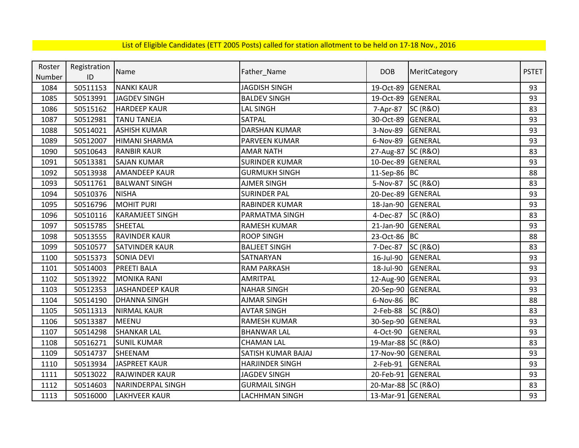| Roster | Registration | Name                   |                        | <b>DOB</b>         |                     | <b>PSTET</b> |
|--------|--------------|------------------------|------------------------|--------------------|---------------------|--------------|
| Number | ID           |                        | Father_Name            |                    | MeritCategory       |              |
| 1084   | 50511153     | <b>NANKI KAUR</b>      | <b>JAGDISH SINGH</b>   | 19-Oct-89          | GENERAL             | 93           |
| 1085   | 50513991     | <b>JAGDEV SINGH</b>    | <b>BALDEV SINGH</b>    | 19-Oct-89          | <b>GENERAL</b>      | 93           |
| 1086   | 50515162     | <b>HARDEEP KAUR</b>    | <b>LAL SINGH</b>       | 7-Apr-87           | <b>SC (R&amp;O)</b> | 83           |
| 1087   | 50512981     | <b>TANU TANEJA</b>     | SATPAL                 | 30-Oct-89          | GENERAL             | 93           |
| 1088   | 50514021     | <b>ASHISH KUMAR</b>    | <b>DARSHAN KUMAR</b>   | 3-Nov-89           | GENERAL             | 93           |
| 1089   | 50512007     | <b>HIMANI SHARMA</b>   | PARVEEN KUMAR          | 6-Nov-89           | GENERAL             | 93           |
| 1090   | 50510643     | <b>RANBIR KAUR</b>     | <b>AMAR NATH</b>       | 27-Aug-87 SC (R&O) |                     | 83           |
| 1091   | 50513381     | <b>SAJAN KUMAR</b>     | <b>SURINDER KUMAR</b>  | 10-Dec-89 GENERAL  |                     | 93           |
| 1092   | 50513938     | <b>AMANDEEP KAUR</b>   | <b>GURMUKH SINGH</b>   | 11-Sep-86 BC       |                     | 88           |
| 1093   | 50511761     | <b>BALWANT SINGH</b>   | <b>AJMER SINGH</b>     | 5-Nov-87           | <b>SC (R&amp;O)</b> | 83           |
| 1094   | 50510376     | <b>NISHA</b>           | <b>SURINDER PAL</b>    | 20-Dec-89          | GENERAL             | 93           |
| 1095   | 50516796     | <b>MOHIT PURI</b>      | RABINDER KUMAR         | 18-Jan-90          | <b>GENERAL</b>      | 93           |
| 1096   | 50510116     | <b>KARAMJEET SINGH</b> | PARMATMA SINGH         | 4-Dec-87           | SC (R&O)            | 83           |
| 1097   | 50515785     | SHEETAL                | RAMESH KUMAR           | 21-Jan-90          | <b>GENERAL</b>      | 93           |
| 1098   | 50513555     | <b>RAVINDER KAUR</b>   | <b>ROOP SINGH</b>      | 23-Oct-86 BC       |                     | 88           |
| 1099   | 50510577     | <b>SATVINDER KAUR</b>  | <b>BALJEET SINGH</b>   | 7-Dec-87           | <b>SC (R&amp;O)</b> | 83           |
| 1100   | 50515373     | <b>SONIA DEVI</b>      | SATNARYAN              | 16-Jul-90          | <b>GENERAL</b>      | 93           |
| 1101   | 50514003     | <b>PREETI BALA</b>     | <b>RAM PARKASH</b>     | 18-Jul-90          | <b>GENERAL</b>      | 93           |
| 1102   | 50513922     | <b>MONIKA RANI</b>     | <b>AMRITPAL</b>        | 12-Aug-90          | GENERAL             | 93           |
| 1103   | 50512353     | <b>JASHANDEEP KAUR</b> | <b>NAHAR SINGH</b>     | 20-Sep-90          | GENERAL             | 93           |
| 1104   | 50514190     | <b>DHANNA SINGH</b>    | <b>AJMAR SINGH</b>     | 6-Nov-86           | <b>BC</b>           | 88           |
| 1105   | 50511313     | <b>NIRMAL KAUR</b>     | <b>AVTAR SINGH</b>     | 2-Feb-88           | <b>SC (R&amp;O)</b> | 83           |
| 1106   | 50513387     | <b>MEENU</b>           | RAMESH KUMAR           | 30-Sep-90          | GENERAL             | 93           |
| 1107   | 50514298     | <b>SHANKAR LAL</b>     | <b>BHANWAR LAL</b>     | 4-Oct-90           | <b>GENERAL</b>      | 93           |
| 1108   | 50516271     | <b>SUNIL KUMAR</b>     | <b>CHAMAN LAL</b>      | 19-Mar-88 SC (R&O) |                     | 83           |
| 1109   | 50514737     | SHEENAM                | SATISH KUMAR BAJAJ     | 17-Nov-90 GENERAL  |                     | 93           |
| 1110   | 50513934     | <b>JASPREET KAUR</b>   | <b>HARJINDER SINGH</b> | 2-Feb-91           | GENERAL             | 93           |
| 1111   | 50513022     | <b>RAJWINDER KAUR</b>  | <b>JAGDEV SINGH</b>    | 20-Feb-91          | <b>GENERAL</b>      | 93           |
| 1112   | 50514603     | NARINDERPAL SINGH      | <b>GURMAIL SINGH</b>   | 20-Mar-88 SC (R&O) |                     | 83           |
| 1113   | 50516000     | <b>LAKHVEER KAUR</b>   | LACHHMAN SINGH         | 13-Mar-91 GENERAL  |                     | 93           |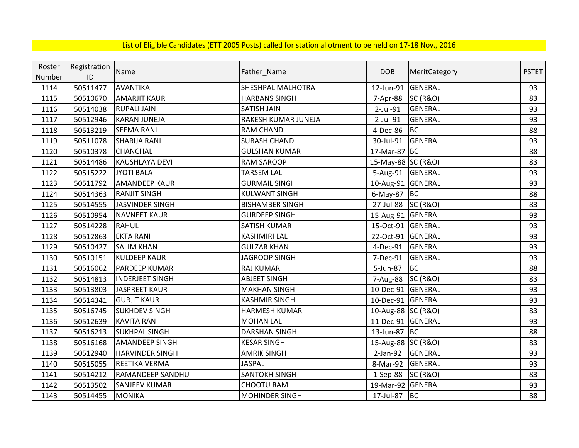| Roster | Registration | Name                    |                          | <b>DOB</b>         |                     | <b>PSTET</b> |
|--------|--------------|-------------------------|--------------------------|--------------------|---------------------|--------------|
| Number | ID           |                         | Father_Name              |                    | MeritCategory       |              |
| 1114   | 50511477     | AVANTIKA                | <b>SHESHPAL MALHOTRA</b> | 12-Jun-91          | <b>GENERAL</b>      | 93           |
| 1115   | 50510670     | <b>AMARJIT KAUR</b>     | <b>HARBANS SINGH</b>     | 7-Apr-88           | <b>SC (R&amp;O)</b> | 83           |
| 1116   | 50514038     | <b>RUPALI JAIN</b>      | SATISH JAIN              | 2-Jul-91           | <b>GENERAL</b>      | 93           |
| 1117   | 50512946     | <b>KARAN JUNEJA</b>     | RAKESH KUMAR JUNEJA      | 2-Jul-91           | <b>GENERAL</b>      | 93           |
| 1118   | 50513219     | <b>SEEMA RANI</b>       | <b>RAM CHAND</b>         | 4-Dec-86           | <b>BC</b>           | 88           |
| 1119   | 50511078     | <b>SHARIJA RANI</b>     | <b>SUBASH CHAND</b>      | 30-Jul-91          | GENERAL             | 93           |
| 1120   | 50510378     | <b>CHANCHAL</b>         | <b>GULSHAN KUMAR</b>     | 17-Mar-87 BC       |                     | 88           |
| 1121   | 50514486     | <b>KAUSHLAYA DEVI</b>   | <b>RAM SAROOP</b>        | 15-May-88 SC (R&O) |                     | 83           |
| 1122   | 50515222     | JYOTI BALA              | <b>TARSEM LAL</b>        | 5-Aug-91 GENERAL   |                     | 93           |
| 1123   | 50511792     | <b>AMANDEEP KAUR</b>    | <b>GURMAIL SINGH</b>     | 10-Aug-91 GENERAL  |                     | 93           |
| 1124   | 50514363     | <b>RANJIT SINGH</b>     | <b>KULWANT SINGH</b>     | 6-May-87 BC        |                     | 88           |
| 1125   | 50514555     | JASVINDER SINGH         | <b>BISHAMBER SINGH</b>   | 27-Jul-88 SC (R&O) |                     | 83           |
| 1126   | 50510954     | <b>NAVNEET KAUR</b>     | <b>GURDEEP SINGH</b>     | 15-Aug-91 GENERAL  |                     | 93           |
| 1127   | 50514228     | <b>RAHUL</b>            | SATISH KUMAR             | 15-Oct-91 GENERAL  |                     | 93           |
| 1128   | 50512863     | <b>EKTA RANI</b>        | <b>KASHMIRI LAL</b>      | 22-Oct-91          | <b>GENERAL</b>      | 93           |
| 1129   | 50510427     | <b>SALIM KHAN</b>       | <b>GULZAR KHAN</b>       | 4-Dec-91           | GENERAL             | 93           |
| 1130   | 50510151     | <b>KULDEEP KAUR</b>     | <b>JAGROOP SINGH</b>     | 7-Dec-91           | <b>GENERAL</b>      | 93           |
| 1131   | 50516062     | <b>PARDEEP KUMAR</b>    | <b>RAJ KUMAR</b>         | 5-Jun-87           | <b>BC</b>           | 88           |
| 1132   | 50514813     | <b>INDERJEET SINGH</b>  | <b>ABJEET SINGH</b>      | 7-Aug-88 SC (R&O)  |                     | 83           |
| 1133   | 50513803     | <b>JASPREET KAUR</b>    | <b>MAKHAN SINGH</b>      | 10-Dec-91 GENERAL  |                     | 93           |
| 1134   | 50514341     | <b>GURJIT KAUR</b>      | <b>KASHMIR SINGH</b>     | 10-Dec-91 GENERAL  |                     | 93           |
| 1135   | 50516745     | <b>SUKHDEV SINGH</b>    | <b>HARMESH KUMAR</b>     | 10-Aug-88 SC (R&O) |                     | 83           |
| 1136   | 50512639     | <b>KAVITA RANI</b>      | <b>MOHAN LAL</b>         | 11-Dec-91 GENERAL  |                     | 93           |
| 1137   | 50516213     | <b>SUKHPAL SINGH</b>    | <b>DARSHAN SINGH</b>     | 13-Jun-87 BC       |                     | 88           |
| 1138   | 50516168     | <b>AMANDEEP SINGH</b>   | <b>KESAR SINGH</b>       | 15-Aug-88 SC (R&O) |                     | 83           |
| 1139   | 50512940     | <b>HARVINDER SINGH</b>  | <b>AMRIK SINGH</b>       | $2-Jan-92$         | GENERAL             | 93           |
| 1140   | 50515055     | <b>REETIKA VERMA</b>    | <b>JASPAL</b>            | 8-Mar-92           | GENERAL             | 93           |
| 1141   | 50514212     | <b>RAMANDEEP SANDHU</b> | <b>SANTOKH SINGH</b>     | 1-Sep-88           | <b>SC (R&amp;O)</b> | 83           |
| 1142   | 50513502     | <b>SANJEEV KUMAR</b>    | <b>CHOOTU RAM</b>        | 19-Mar-92 GENERAL  |                     | 93           |
| 1143   | 50514455     | <b>MONIKA</b>           | <b>MOHINDER SINGH</b>    | 17-Jul-87 BC       |                     | 88           |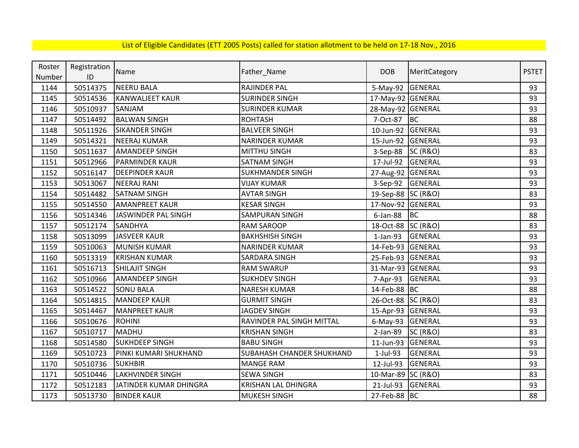| Roster | Registration | Name                    | Father_Name                | <b>DOB</b>         | MeritCategory       | <b>PSTET</b> |
|--------|--------------|-------------------------|----------------------------|--------------------|---------------------|--------------|
| Number | ID           |                         |                            |                    |                     |              |
| 1144   | 50514375     | <b>NEERU BALA</b>       | <b>RAJINDER PAL</b>        | 5-May-92           | <b>GENERAL</b>      | 93           |
| 1145   | 50514536     | <b>KANWALJEET KAUR</b>  | <b>SURINDER SINGH</b>      | 17-May-92 GENERAL  |                     | 93           |
| 1146   | 50510937     | SANJAM                  | <b>SURINDER KUMAR</b>      | 28-May-92 GENERAL  |                     | 93           |
| 1147   | 50514492     | <b>BALWAN SINGH</b>     | <b>ROHTASH</b>             | 7-Oct-87           | <b>BC</b>           | 88           |
| 1148   | 50511926     | <b>SIKANDER SINGH</b>   | <b>BALVEER SINGH</b>       | 10-Jun-92          | GENERAL             | 93           |
| 1149   | 50514321     | <b>NEERAJ KUMAR</b>     | <b>NARINDER KUMAR</b>      | 15-Jun-92          | GENERAL             | 93           |
| 1150   | 50511637     | <b>AMANDEEP SINGH</b>   | <b>MITTHU SINGH</b>        | 3-Sep-88           | <b>SC (R&amp;O)</b> | 83           |
| 1151   | 50512966     | PARMINDER KAUR          | <b>SATNAM SINGH</b>        | 17-Jul-92          | GENERAL             | 93           |
| 1152   | 50516147     | <b>DEEPINDER KAUR</b>   | <b>SUKHMANDER SINGH</b>    | 27-Aug-92          | <b>GENERAL</b>      | 93           |
| 1153   | 50513067     | <b>NEERAJ RANI</b>      | <b>VIJAY KUMAR</b>         | 3-Sep-92           | <b>GENERAL</b>      | 93           |
| 1154   | 50514482     | <b>SATNAM SINGH</b>     | <b>AVTAR SINGH</b>         | 19-Sep-88 SC (R&O) |                     | 83           |
| 1155   | 50514550     | <b>AMANPREET KAUR</b>   | <b>KESAR SINGH</b>         | 17-Nov-92          | <b>GENERAL</b>      | 93           |
| 1156   | 50514346     | JASWINDER PAL SINGH     | <b>SAMPURAN SINGH</b>      | $6$ -Jan-88        | <b>BC</b>           | 88           |
| 1157   | 50512174     | <b>SANDHYA</b>          | <b>RAM SAROOP</b>          | 18-Oct-88          | <b>SC (R&amp;O)</b> | 83           |
| 1158   | 50513099     | <b>JASVEER KAUR</b>     | <b>BAKHSHISH SINGH</b>     | $1-Jan-93$         | <b>GENERAL</b>      | 93           |
| 1159   | 50510063     | <b>MUNISH KUMAR</b>     | <b>NARINDER KUMAR</b>      | 14-Feb-93          | GENERAL             | 93           |
| 1160   | 50513319     | <b>KRISHAN KUMAR</b>    | SARDARA SINGH              | 25-Feb-93 GENERAL  |                     | 93           |
| 1161   | 50516713     | <b>SHILAJIT SINGH</b>   | <b>RAM SWARUP</b>          | 31-Mar-93 GENERAL  |                     | 93           |
| 1162   | 50510966     | <b>AMANDEEP SINGH</b>   | <b>SUKHDEV SINGH</b>       | 7-Apr-93           | <b>GENERAL</b>      | 93           |
| 1163   | 50514522     | <b>SONU BALA</b>        | <b>NARESH KUMAR</b>        | 14-Feb-88 BC       |                     | 88           |
| 1164   | 50514815     | <b>MANDEEP KAUR</b>     | <b>GURMIT SINGH</b>        | 26-Oct-88 SC (R&O) |                     | 83           |
| 1165   | 50514467     | <b>MANPREET KAUR</b>    | <b>JAGDEV SINGH</b>        | 15-Apr-93 GENERAL  |                     | 93           |
| 1166   | 50510676     | <b>ROHINI</b>           | RAVINDER PAL SINGH MITTAL  | $6$ -May-93        | <b>GENERAL</b>      | 93           |
| 1167   | 50510717     | <b>MADHU</b>            | <b>KRISHAN SINGH</b>       | $2-Jan-89$         | <b>SC (R&amp;O)</b> | 83           |
| 1168   | 50514580     | <b>SUKHDEEP SINGH</b>   | <b>BABU SINGH</b>          | 11-Jun-93          | GENERAL             | 93           |
| 1169   | 50510723     | PINKI KUMARI SHUKHAND   | SUBAHASH CHANDER SHUKHAND  | $1-Jul-93$         | <b>GENERAL</b>      | 93           |
| 1170   | 50510736     | <b>SUKHBIR</b>          | <b>MANGE RAM</b>           | 12-Jul-93          | <b>GENERAL</b>      | 93           |
| 1171   | 50510446     | <b>LAKHVINDER SINGH</b> | <b>SEWA SINGH</b>          | 10-Mar-89          | <b>SC (R&amp;O)</b> | 83           |
| 1172   | 50512183     | JATINDER KUMAR DHINGRA  | <b>KRISHAN LAL DHINGRA</b> | 21-Jul-93          | <b>GENERAL</b>      | 93           |
| 1173   | 50513730     | <b>BINDER KAUR</b>      | <b>MUKESH SINGH</b>        | 27-Feb-88 BC       |                     | 88           |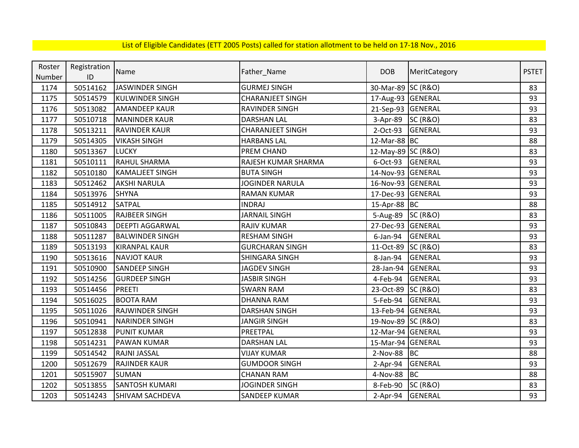| Roster | Registration |                        |                         |                    |                     |              |
|--------|--------------|------------------------|-------------------------|--------------------|---------------------|--------------|
| Number | ID           | Name                   | Father_Name             | <b>DOB</b>         | MeritCategory       | <b>PSTET</b> |
| 1174   | 50514162     | JASWINDER SINGH        | <b>GURMEJ SINGH</b>     | 30-Mar-89 SC (R&O) |                     | 83           |
| 1175   | 50514579     | <b>KULWINDER SINGH</b> | <b>CHARANJEET SINGH</b> | 17-Aug-93 GENERAL  |                     | 93           |
| 1176   | 50513082     | <b>AMANDEEP KAUR</b>   | <b>RAVINDER SINGH</b>   | 21-Sep-93 GENERAL  |                     | 93           |
| 1177   | 50510718     | <b>MANINDER KAUR</b>   | <b>DARSHAN LAL</b>      | 3-Apr-89           | <b>SC (R&amp;O)</b> | 83           |
| 1178   | 50513211     | <b>RAVINDER KAUR</b>   | <b>CHARANJEET SINGH</b> | 2-Oct-93           | <b>GENERAL</b>      | 93           |
| 1179   | 50514305     | <b>VIKASH SINGH</b>    | <b>HARBANS LAL</b>      | 12-Mar-88 BC       |                     | 88           |
| 1180   | 50513367     | <b>LUCKY</b>           | PREM CHAND              | 12-May-89 SC (R&O) |                     | 83           |
| 1181   | 50510111     | <b>RAHUL SHARMA</b>    | RAJESH KUMAR SHARMA     | 6-Oct-93           | <b>GENERAL</b>      | 93           |
| 1182   | 50510180     | <b>KAMALJEET SINGH</b> | <b>BUTA SINGH</b>       | 14-Nov-93 GENERAL  |                     | 93           |
| 1183   | 50512462     | <b>AKSHI NARULA</b>    | JOGINDER NARULA         | 16-Nov-93 GENERAL  |                     | 93           |
| 1184   | 50513976     | <b>SHYNA</b>           | <b>RAMAN KUMAR</b>      | 17-Dec-93          | <b>GENERAL</b>      | 93           |
| 1185   | 50514912     | <b>SATPAL</b>          | <b>INDRAJ</b>           | 15-Apr-88 BC       |                     | 88           |
| 1186   | 50511005     | <b>RAJBEER SINGH</b>   | <b>JARNAIL SINGH</b>    | 5-Aug-89           | <b>SC (R&amp;O)</b> | 83           |
| 1187   | 50510843     | <b>DEEPTI AGGARWAL</b> | RAJIV KUMAR             | 27-Dec-93          | GENERAL             | 93           |
| 1188   | 50511287     | <b>BALWINDER SINGH</b> | <b>RESHAM SINGH</b>     | 6-Jan-94           | <b>GENERAL</b>      | 93           |
| 1189   | 50513193     | <b>KIRANPAL KAUR</b>   | <b>GURCHARAN SINGH</b>  | 11-Oct-89          | <b>SC (R&amp;O)</b> | 83           |
| 1190   | 50513616     | <b>NAVJOT KAUR</b>     | SHINGARA SINGH          | 8-Jan-94           | <b>GENERAL</b>      | 93           |
| 1191   | 50510900     | <b>SANDEEP SINGH</b>   | <b>JAGDEV SINGH</b>     | 28-Jan-94          | GENERAL             | 93           |
| 1192   | 50514256     | <b>GURDEEP SINGH</b>   | <b>JASBIR SINGH</b>     | 4-Feb-94           | <b>GENERAL</b>      | 93           |
| 1193   | 50514456     | <b>PREETI</b>          | <b>SWARN RAM</b>        | 23-Oct-89          | <b>SC (R&amp;O)</b> | 83           |
| 1194   | 50516025     | <b>BOOTA RAM</b>       | <b>DHANNA RAM</b>       | 5-Feb-94           | <b>GENERAL</b>      | 93           |
| 1195   | 50511026     | <b>RAJWINDER SINGH</b> | <b>DARSHAN SINGH</b>    | 13-Feb-94 GENERAL  |                     | 93           |
| 1196   | 50510941     | <b>NARINDER SINGH</b>  | <b>JANGIR SINGH</b>     | 19-Nov-89 SC (R&O) |                     | 83           |
| 1197   | 50512838     | <b>PUNIT KUMAR</b>     | PREETPAL                | 12-Mar-94 GENERAL  |                     | 93           |
| 1198   | 50514231     | <b>PAWAN KUMAR</b>     | <b>DARSHAN LAL</b>      | 15-Mar-94 GENERAL  |                     | 93           |
| 1199   | 50514542     | RAJNI JASSAL           | <b>VIJAY KUMAR</b>      | 2-Nov-88           | <b>BC</b>           | 88           |
| 1200   | 50512679     | <b>RAJINDER KAUR</b>   | <b>GUMDOOR SINGH</b>    | $2-Apr-94$         | <b>GENERAL</b>      | 93           |
| 1201   | 50515907     | <b>SUMAN</b>           | <b>CHANAN RAM</b>       | 4-Nov-88           | <b>BC</b>           | 88           |
| 1202   | 50513855     | <b>SANTOSH KUMARI</b>  | JOGINDER SINGH          | 8-Feb-90           | <b>SC (R&amp;O)</b> | 83           |
| 1203   | 50514243     | <b>SHIVAM SACHDEVA</b> | SANDEEP KUMAR           | $2-Apr-94$         | <b>GENERAL</b>      | 93           |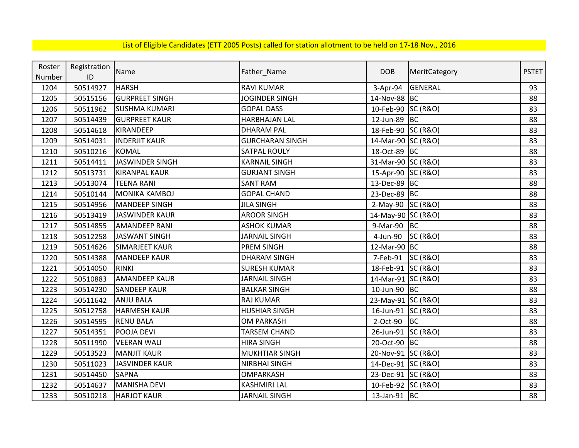| Roster | Registration | Name                   | Father_Name            | <b>DOB</b>         | MeritCategory       | <b>PSTET</b> |
|--------|--------------|------------------------|------------------------|--------------------|---------------------|--------------|
| Number | ID           |                        |                        |                    |                     |              |
| 1204   | 50514927     | <b>HARSH</b>           | <b>RAVI KUMAR</b>      | $3-Apr-94$         | <b>GENERAL</b>      | 93           |
| 1205   | 50515156     | <b>GURPREET SINGH</b>  | <b>JOGINDER SINGH</b>  | 14-Nov-88 BC       |                     | 88           |
| 1206   | 50511962     | <b>SUSHMA KUMARI</b>   | <b>GOPAL DASS</b>      | 10-Feb-90          | <b>SC (R&amp;O)</b> | 83           |
| 1207   | 50514439     | <b>GURPREET KAUR</b>   | <b>HARBHAJAN LAL</b>   | 12-Jun-89 BC       |                     | 88           |
| 1208   | 50514618     | <b>KIRANDEEP</b>       | <b>DHARAM PAL</b>      | 18-Feb-90 SC (R&O) |                     | 83           |
| 1209   | 50514031     | <b>INDERJIT KAUR</b>   | <b>GURCHARAN SINGH</b> | 14-Mar-90 SC (R&O) |                     | 83           |
| 1210   | 50510216     | <b>KOMAL</b>           | <b>SATPAL ROULY</b>    | 18-Oct-89 BC       |                     | 88           |
| 1211   | 50514411     | <b>JASWINDER SINGH</b> | <b>KARNAIL SINGH</b>   | 31-Mar-90 SC (R&O) |                     | 83           |
| 1212   | 50513731     | <b>KIRANPAL KAUR</b>   | <b>GURJANT SINGH</b>   | 15-Apr-90 SC (R&O) |                     | 83           |
| 1213   | 50513074     | <b>TEENA RANI</b>      | <b>SANT RAM</b>        | 13-Dec-89 BC       |                     | 88           |
| 1214   | 50510144     | <b>MONIKA KAMBOJ</b>   | <b>GOPAL CHAND</b>     | 23-Dec-89 BC       |                     | 88           |
| 1215   | 50514956     | <b>MANDEEP SINGH</b>   | <b>JILA SINGH</b>      | 2-May-90 SC (R&O)  |                     | 83           |
| 1216   | 50513419     | <b>JASWINDER KAUR</b>  | <b>AROOR SINGH</b>     | 14-May-90 SC (R&O) |                     | 83           |
| 1217   | 50514855     | <b>AMANDEEP RANI</b>   | <b>ASHOK KUMAR</b>     | 9-Mar-90 BC        |                     | 88           |
| 1218   | 50512258     | <b>JASWANT SINGH</b>   | <b>JARNAIL SINGH</b>   | 4-Jun-90           | SC(R&O)             | 83           |
| 1219   | 50514626     | <b>SIMARJEET KAUR</b>  | PREM SINGH             | 12-Mar-90 BC       |                     | 88           |
| 1220   | 50514388     | <b>MANDEEP KAUR</b>    | <b>DHARAM SINGH</b>    | 7-Feb-91           | <b>SC (R&amp;O)</b> | 83           |
| 1221   | 50514050     | <b>RINKI</b>           | <b>SURESH KUMAR</b>    | 18-Feb-91 SC (R&O) |                     | 83           |
| 1222   | 50510883     | <b>AMANDEEP KAUR</b>   | <b>JARNAIL SINGH</b>   | 14-Mar-91 SC (R&O) |                     | 83           |
| 1223   | 50514230     | <b>SANDEEP KAUR</b>    | <b>BALKAR SINGH</b>    | 10-Jun-90 BC       |                     | 88           |
| 1224   | 50511642     | <b>ANJU BALA</b>       | <b>RAJ KUMAR</b>       | 23-May-91 SC (R&O) |                     | 83           |
| 1225   | 50512758     | <b>HARMESH KAUR</b>    | <b>HUSHIAR SINGH</b>   | 16-Jun-91 SC (R&O) |                     | 83           |
| 1226   | 50514595     | <b>RENU BALA</b>       | <b>OM PARKASH</b>      | 2-Oct-90           | BC                  | 88           |
| 1227   | 50514351     | POOJA DEVI             | <b>TARSEM CHAND</b>    | 26-Jun-91          | <b>SC (R&amp;O)</b> | 83           |
| 1228   | 50511990     | <b>VEERAN WALI</b>     | <b>HIRA SINGH</b>      | 20-Oct-90          | BC                  | 88           |
| 1229   | 50513523     | <b>MANJIT KAUR</b>     | <b>MUKHTIAR SINGH</b>  | 20-Nov-91 SC (R&O) |                     | 83           |
| 1230   | 50511023     | <b>JASVINDER KAUR</b>  | <b>NIRBHAI SINGH</b>   | 14-Dec-91 SC (R&O) |                     | 83           |
| 1231   | 50514450     | <b>SAPNA</b>           | <b>OMPARKASH</b>       | 23-Dec-91 SC (R&O) |                     | 83           |
| 1232   | 50514637     | <b>MANISHA DEVI</b>    | <b>KASHMIRI LAL</b>    | 10-Feb-92 SC (R&O) |                     | 83           |
| 1233   | 50510218     | <b>HARJOT KAUR</b>     | <b>JARNAIL SINGH</b>   | 13-Jan-91 BC       |                     | 88           |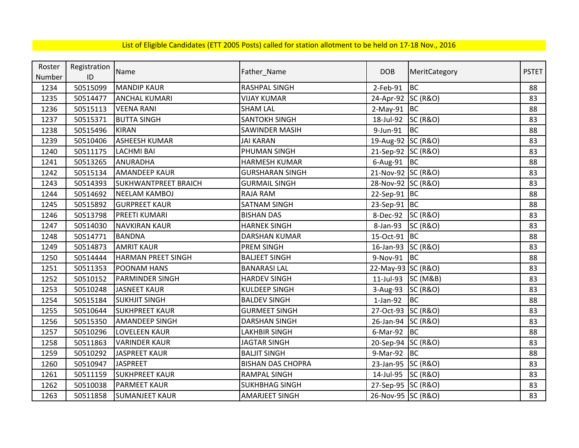| Roster | Registration | Name                        |                          | <b>DOB</b>         |                     | <b>PSTET</b> |
|--------|--------------|-----------------------------|--------------------------|--------------------|---------------------|--------------|
| Number | ID           |                             | Father_Name              |                    | MeritCategory       |              |
| 1234   | 50515099     | <b>MANDIP KAUR</b>          | RASHPAL SINGH            | $2$ -Feb-91        | <b>BC</b>           | 88           |
| 1235   | 50514477     | <b>ANCHAL KUMARI</b>        | <b>VIJAY KUMAR</b>       | 24-Apr-92 SC (R&O) |                     | 83           |
| 1236   | 50515113     | <b>VEENA RANI</b>           | <b>SHAM LAL</b>          | $2-May-91$ BC      |                     | 88           |
| 1237   | 50515371     | <b>BUTTA SINGH</b>          | SANTOKH SINGH            | 18-Jul-92          | <b>SC (R&amp;O)</b> | 83           |
| 1238   | 50515496     | <b>KIRAN</b>                | SAWINDER MASIH           | 9-Jun-91           | <b>BC</b>           | 88           |
| 1239   | 50510406     | <b>ASHEESH KUMAR</b>        | <b>JAI KARAN</b>         | 19-Aug-92 SC (R&O) |                     | 83           |
| 1240   | 50511175     | <b>LACHMI BAI</b>           | PHUMAN SINGH             | 21-Sep-92 SC (R&O) |                     | 83           |
| 1241   | 50513265     | <b>ANURADHA</b>             | <b>HARMESH KUMAR</b>     | $6$ -Aug-91 BC     |                     | 88           |
| 1242   | 50515134     | <b>AMANDEEP KAUR</b>        | <b>GURSHARAN SINGH</b>   | 21-Nov-92 SC (R&O) |                     | 83           |
| 1243   | 50514393     | <b>SUKHWANTPREET BRAICH</b> | <b>GURMAIL SINGH</b>     | 28-Nov-92 SC (R&O) |                     | 83           |
| 1244   | 50514692     | <b>NEELAM KAMBOJ</b>        | RAJA RAM                 | 22-Sep-91 BC       |                     | 88           |
| 1245   | 50515892     | <b>GURPREET KAUR</b>        | <b>SATNAM SINGH</b>      | 23-Sep-91 BC       |                     | 88           |
| 1246   | 50513798     | <b>PREETI KUMARI</b>        | <b>BISHAN DAS</b>        | 8-Dec-92           | <b>SC (R&amp;O)</b> | 83           |
| 1247   | 50514030     | <b>NAVKIRAN KAUR</b>        | <b>HARNEK SINGH</b>      | 8-Jan-93           | <b>SC (R&amp;O)</b> | 83           |
| 1248   | 50514771     | <b>BANDNA</b>               | <b>DARSHAN KUMAR</b>     | 15-Oct-91          | <b>BC</b>           | 88           |
| 1249   | 50514873     | <b>AMRIT KAUR</b>           | PREM SINGH               | 16-Jan-93          | <b>SC (R&amp;O)</b> | 83           |
| 1250   | 50514444     | <b>HARMAN PREET SINGH</b>   | <b>BALJEET SINGH</b>     | 9-Nov-91           | <b>BC</b>           | 88           |
| 1251   | 50511353     | POONAM HANS                 | <b>BANARASI LAL</b>      | 22-May-93 SC (R&O) |                     | 83           |
| 1252   | 50510152     | <b>PARMINDER SINGH</b>      | <b>HARDEV SINGH</b>      | 11-Jul-93 SC (M&B) |                     | 83           |
| 1253   | 50510248     | <b>JASNEET KAUR</b>         | <b>KULDEEP SINGH</b>     | 3-Aug-93           | <b>SC (R&amp;O)</b> | 83           |
| 1254   | 50515184     | <b>SUKHJIT SINGH</b>        | <b>BALDEV SINGH</b>      | $1-Jan-92$         | <b>BC</b>           | 88           |
| 1255   | 50510644     | <b>SUKHPREET KAUR</b>       | <b>GURMEET SINGH</b>     | 27-Oct-93 SC (R&O) |                     | 83           |
| 1256   | 50515350     | <b>AMANDEEP SINGH</b>       | <b>DARSHAN SINGH</b>     | 26-Jan-94 SC (R&O) |                     | 83           |
| 1257   | 50510296     | <b>LOVELEEN KAUR</b>        | LAKHBIR SINGH            | $6$ -Mar-92 BC     |                     | 88           |
| 1258   | 50511863     | <b>VARINDER KAUR</b>        | <b>JAGTAR SINGH</b>      | 20-Sep-94 SC (R&O) |                     | 83           |
| 1259   | 50510292     | <b>JASPREET KAUR</b>        | <b>BALJIT SINGH</b>      | 9-Mar-92           | <b>BC</b>           | 88           |
| 1260   | 50510947     | <b>JASPREET</b>             | <b>BISHAN DAS CHOPRA</b> | 23-Jan-95          | <b>SC (R&amp;O)</b> | 83           |
| 1261   | 50511159     | <b>SUKHPREET KAUR</b>       | <b>RAMPAL SINGH</b>      | 14-Jul-95          | <b>SC (R&amp;O)</b> | 83           |
| 1262   | 50510038     | <b>PARMEET KAUR</b>         | <b>SUKHBHAG SINGH</b>    | 27-Sep-95 SC (R&O) |                     | 83           |
| 1263   | 50511858     | <b>SUMANJEET KAUR</b>       | <b>AMARJEET SINGH</b>    | 26-Nov-95 SC (R&O) |                     | 83           |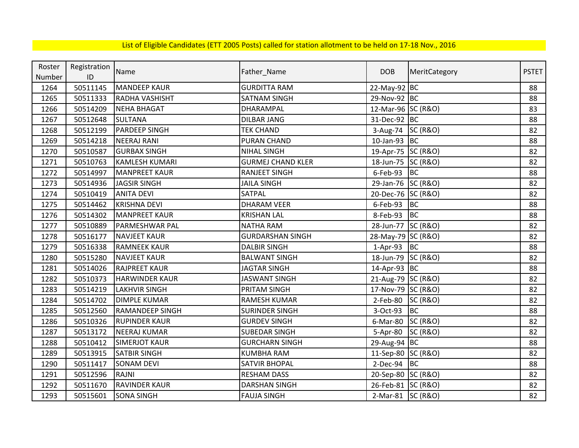| Roster | Registration | Name                   | Father_Name              | <b>DOB</b>         | MeritCategory       | <b>PSTET</b> |
|--------|--------------|------------------------|--------------------------|--------------------|---------------------|--------------|
| Number | ID           |                        |                          |                    |                     |              |
| 1264   | 50511145     | <b>MANDEEP KAUR</b>    | <b>GURDITTA RAM</b>      | 22-May-92 BC       |                     | 88           |
| 1265   | 50511333     | RADHA VASHISHT         | <b>SATNAM SINGH</b>      | 29-Nov-92 BC       |                     | 88           |
| 1266   | 50514209     | <b>NEHA BHAGAT</b>     | DHARAMPAL                | 12-Mar-96 SC (R&O) |                     | 83           |
| 1267   | 50512648     | <b>SULTANA</b>         | <b>DILBAR JANG</b>       | 31-Dec-92 BC       |                     | 88           |
| 1268   | 50512199     | <b>PARDEEP SINGH</b>   | <b>TEK CHAND</b>         | 3-Aug-74 SC (R&O)  |                     | 82           |
| 1269   | 50514218     | <b>NEERAJ RANI</b>     | <b>PURAN CHAND</b>       | 10-Jan-93 BC       |                     | 88           |
| 1270   | 50510587     | <b>GURBAX SINGH</b>    | <b>NIHAL SINGH</b>       | 19-Apr-75 SC (R&O) |                     | 82           |
| 1271   | 50510763     | <b>KAMLESH KUMARI</b>  | <b>GURMEJ CHAND KLER</b> | 18-Jun-75 SC (R&O) |                     | 82           |
| 1272   | 50514997     | <b>MANPREET KAUR</b>   | <b>RANJEET SINGH</b>     | 6-Feb-93           | BC                  | 88           |
| 1273   | 50514936     | <b>JAGSIR SINGH</b>    | <b>JAILA SINGH</b>       | 29-Jan-76 SC (R&O) |                     | 82           |
| 1274   | 50510419     | <b>ANITA DEVI</b>      | SATPAL                   | 20-Dec-76 SC (R&O) |                     | 82           |
| 1275   | 50514462     | <b>KRISHNA DEVI</b>    | <b>DHARAM VEER</b>       | 6-Feb-93           | BC                  | 88           |
| 1276   | 50514302     | <b>MANPREET KAUR</b>   | <b>KRISHAN LAL</b>       | 8-Feb-93           | <b>BC</b>           | 88           |
| 1277   | 50510889     | PARMESHWAR PAL         | <b>NATHA RAM</b>         | 28-Jun-77 SC (R&O) |                     | 82           |
| 1278   | 50516177     | <b>NAVJEET KAUR</b>    | <b>GURDARSHAN SINGH</b>  | 28-May-79 SC (R&O) |                     | 82           |
| 1279   | 50516338     | <b>RAMNEEK KAUR</b>    | <b>DALBIR SINGH</b>      | 1-Apr-93 BC        |                     | 88           |
| 1280   | 50515280     | <b>NAVJEET KAUR</b>    | <b>BALWANT SINGH</b>     | 18-Jun-79 SC (R&O) |                     | 82           |
| 1281   | 50514026     | <b>RAJPREET KAUR</b>   | <b>JAGTAR SINGH</b>      | 14-Apr-93 BC       |                     | 88           |
| 1282   | 50510373     | <b>HARWINDER KAUR</b>  | <b>JASWANT SINGH</b>     | 21-Aug-79 SC (R&O) |                     | 82           |
| 1283   | 50514219     | <b>LAKHVIR SINGH</b>   | PRITAM SINGH             | 17-Nov-79 SC (R&O) |                     | 82           |
| 1284   | 50514702     | <b>DIMPLE KUMAR</b>    | <b>RAMESH KUMAR</b>      | 2-Feb-80           | <b>SC (R&amp;O)</b> | 82           |
| 1285   | 50512560     | <b>RAMANDEEP SINGH</b> | <b>SURINDER SINGH</b>    | 3-Oct-93           | BC                  | 88           |
| 1286   | 50510326     | <b>RUPINDER KAUR</b>   | <b>GURDEV SINGH</b>      | 6-Mar-80 SC (R&O)  |                     | 82           |
| 1287   | 50513172     | <b>NEERAJ KUMAR</b>    | <b>SUBEDAR SINGH</b>     | 5-Apr-80           | <b>SC (R&amp;O)</b> | 82           |
| 1288   | 50510412     | <b>SIMERJOT KAUR</b>   | <b>GURCHARN SINGH</b>    | 29-Aug-94 BC       |                     | 88           |
| 1289   | 50513915     | <b>SATBIR SINGH</b>    | <b>KUMBHA RAM</b>        | 11-Sep-80 SC (R&O) |                     | 82           |
| 1290   | 50511417     | <b>SONAM DEVI</b>      | <b>SATVIR BHOPAL</b>     | $2-Dec-94$ BC      |                     | 88           |
| 1291   | 50512596     | <b>RAJNI</b>           | <b>RESHAM DASS</b>       | 20-Sep-80 SC (R&O) |                     | 82           |
| 1292   | 50511670     | <b>RAVINDER KAUR</b>   | <b>DARSHAN SINGH</b>     | 26-Feb-81 SC (R&O) |                     | 82           |
| 1293   | 50515601     | <b>SONA SINGH</b>      | <b>FAUJA SINGH</b>       | 2-Mar-81 SC (R&O)  |                     | 82           |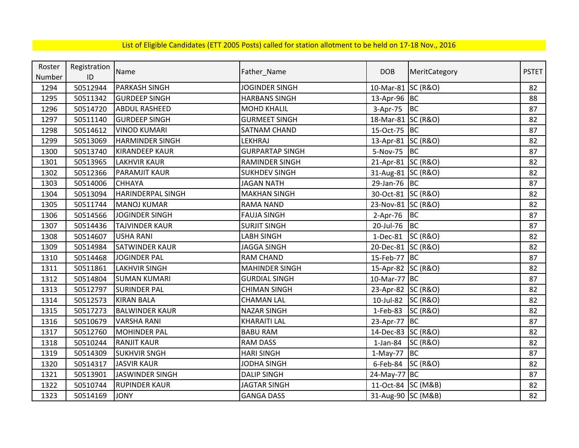| Roster | Registration | Name                     |                        | <b>DOB</b>         |                     | <b>PSTET</b> |
|--------|--------------|--------------------------|------------------------|--------------------|---------------------|--------------|
| Number | ID           |                          | Father_Name            |                    | MeritCategory       |              |
| 1294   | 50512944     | <b>PARKASH SINGH</b>     | <b>JOGINDER SINGH</b>  | 10-Mar-81 SC (R&O) |                     | 82           |
| 1295   | 50511342     | <b>GURDEEP SINGH</b>     | <b>HARBANS SINGH</b>   | 13-Apr-96 BC       |                     | 88           |
| 1296   | 50514720     | <b>ABDUL RASHEED</b>     | <b>MOHD KHALIL</b>     | 3-Apr-75           | <b>BC</b>           | 87           |
| 1297   | 50511140     | <b>GURDEEP SINGH</b>     | <b>GURMEET SINGH</b>   | 18-Mar-81 SC (R&O) |                     | 82           |
| 1298   | 50514612     | <b>VINOD KUMARI</b>      | SATNAM CHAND           | 15-Oct-75 BC       |                     | 87           |
| 1299   | 50513069     | <b>HARMINDER SINGH</b>   | LEKHRAJ                | 13-Apr-81 SC (R&O) |                     | 82           |
| 1300   | 50513740     | <b>KIRANDEEP KAUR</b>    | <b>GURPARTAP SINGH</b> | 5-Nov-75           | <b>BC</b>           | 87           |
| 1301   | 50513965     | <b>LAKHVIR KAUR</b>      | RAMINDER SINGH         | 21-Apr-81 SC (R&O) |                     | 82           |
| 1302   | 50512366     | <b>PARAMJIT KAUR</b>     | <b>SUKHDEV SINGH</b>   | 31-Aug-81 SC (R&O) |                     | 82           |
| 1303   | 50514006     | <b>CHHAYA</b>            | <b>JAGAN NATH</b>      | 29-Jan-76 BC       |                     | 87           |
| 1304   | 50513094     | <b>HARINDERPAL SINGH</b> | <b>MAKHAN SINGH</b>    | 30-Oct-81 SC (R&O) |                     | 82           |
| 1305   | 50511744     | <b>MANOJ KUMAR</b>       | <b>RAMA NAND</b>       | 23-Nov-81 SC (R&O) |                     | 82           |
| 1306   | 50514566     | <b>JOGINDER SINGH</b>    | <b>FAUJA SINGH</b>     | 2-Apr-76           | <b>BC</b>           | 87           |
| 1307   | 50514436     | <b>TAJVINDER KAUR</b>    | <b>SURJIT SINGH</b>    | 20-Jul-76          | BC                  | 87           |
| 1308   | 50514607     | <b>USHA RANI</b>         | <b>LABH SINGH</b>      | $1-Dec-81$         | <b>SC (R&amp;O)</b> | 82           |
| 1309   | 50514984     | <b>SATWINDER KAUR</b>    | <b>JAGGA SINGH</b>     | 20-Dec-81 SC (R&O) |                     | 82           |
| 1310   | 50514468     | <b>JOGINDER PAL</b>      | <b>RAM CHAND</b>       | 15-Feb-77 BC       |                     | 87           |
| 1311   | 50511861     | <b>LAKHVIR SINGH</b>     | <b>MAHINDER SINGH</b>  | 15-Apr-82 SC (R&O) |                     | 82           |
| 1312   | 50514804     | <b>SUMAN KUMARI</b>      | <b>GURDIAL SINGH</b>   | 10-Mar-77          | <b>BC</b>           | 87           |
| 1313   | 50512797     | <b>SURINDER PAL</b>      | <b>CHIMAN SINGH</b>    | 23-Apr-82 SC (R&O) |                     | 82           |
| 1314   | 50512573     | <b>KIRAN BALA</b>        | <b>CHAMAN LAL</b>      | 10-Jul-82          | <b>SC (R&amp;O)</b> | 82           |
| 1315   | 50517273     | <b>BALWINDER KAUR</b>    | <b>NAZAR SINGH</b>     | 1-Feb-83           | <b>SC (R&amp;O)</b> | 82           |
| 1316   | 50510679     | <b>VARSHA RANI</b>       | <b>KHARAITI LAL</b>    | 23-Apr-77 BC       |                     | 87           |
| 1317   | 50512760     | <b>MOHINDER PAL</b>      | <b>BABU RAM</b>        | 14-Dec-83 SC (R&O) |                     | 82           |
| 1318   | 50510244     | <b>RANJIT KAUR</b>       | <b>RAM DASS</b>        | $1$ -Jan-84        | <b>SC (R&amp;O)</b> | 82           |
| 1319   | 50514309     | <b>SUKHVIR SNGH</b>      | <b>HARI SINGH</b>      | $1-May-77$         | <b>BC</b>           | 87           |
| 1320   | 50514317     | <b>JASVIR KAUR</b>       | <b>JODHA SINGH</b>     | 6-Feb-84           | <b>SC (R&amp;O)</b> | 82           |
| 1321   | 50513901     | JASWINDER SINGH          | <b>DALIP SINGH</b>     | 24-May-77 BC       |                     | 87           |
| 1322   | 50510744     | <b>RUPINDER KAUR</b>     | <b>JAGTAR SINGH</b>    | 11-Oct-84 SC (M&B) |                     | 82           |
| 1323   | 50514169     | <b>JONY</b>              | <b>GANGA DASS</b>      | 31-Aug-90 SC (M&B) |                     | 82           |